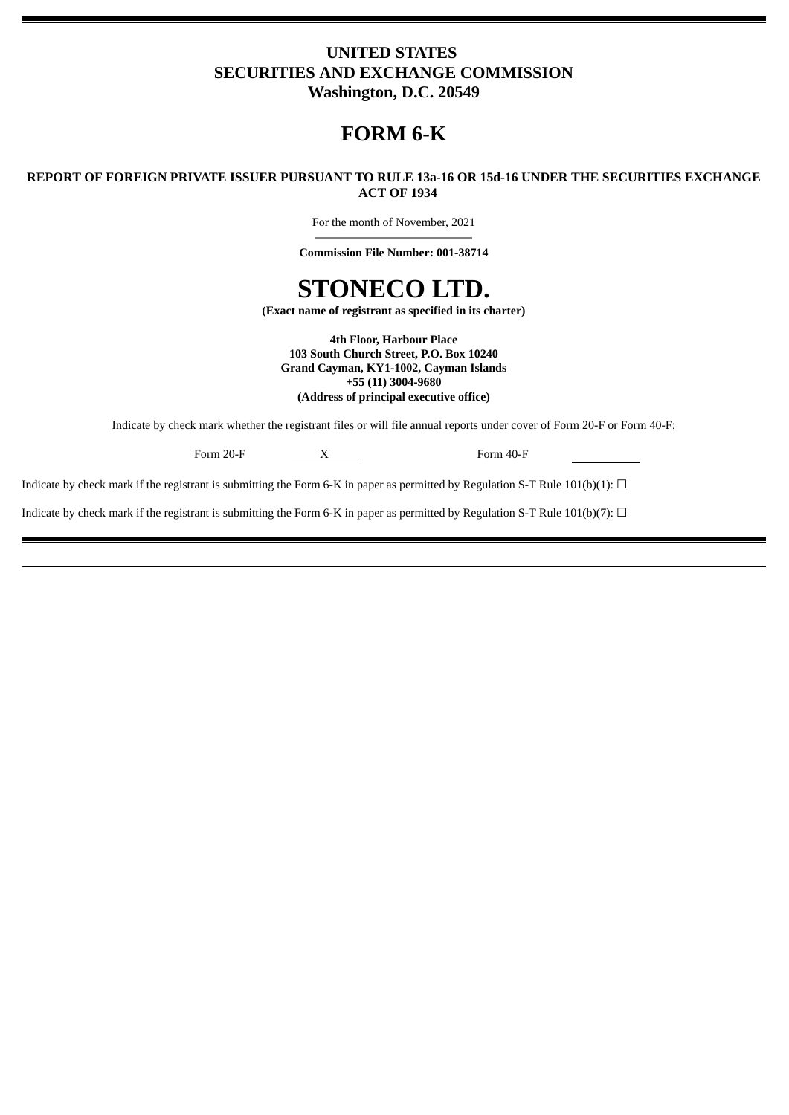# **UNITED STATES SECURITIES AND EXCHANGE COMMISSION Washington, D.C. 20549**

# **FORM 6-K**

# **REPORT OF FOREIGN PRIVATE ISSUER PURSUANT TO RULE 13a-16 OR 15d-16 UNDER THE SECURITIES EXCHANGE ACT OF 1934**

For the month of November, 2021

**Commission File Number: 001-38714**

# **STONECO LTD.**

**(Exact name of registrant as specified in its charter)**

**4th Floor, Harbour Place 103 South Church Street, P.O. Box 10240 Grand Cayman, KY1-1002, Cayman Islands +55 (11) 3004-9680 (Address of principal executive office)**

Indicate by check mark whether the registrant files or will file annual reports under cover of Form 20-F or Form 40-F:

Form 20-F X Form 40-F

Indicate by check mark if the registrant is submitting the Form 6-K in paper as permitted by Regulation S-T Rule 101(b)(1):  $\Box$ 

Indicate by check mark if the registrant is submitting the Form 6-K in paper as permitted by Regulation S-T Rule 101(b)(7):  $\Box$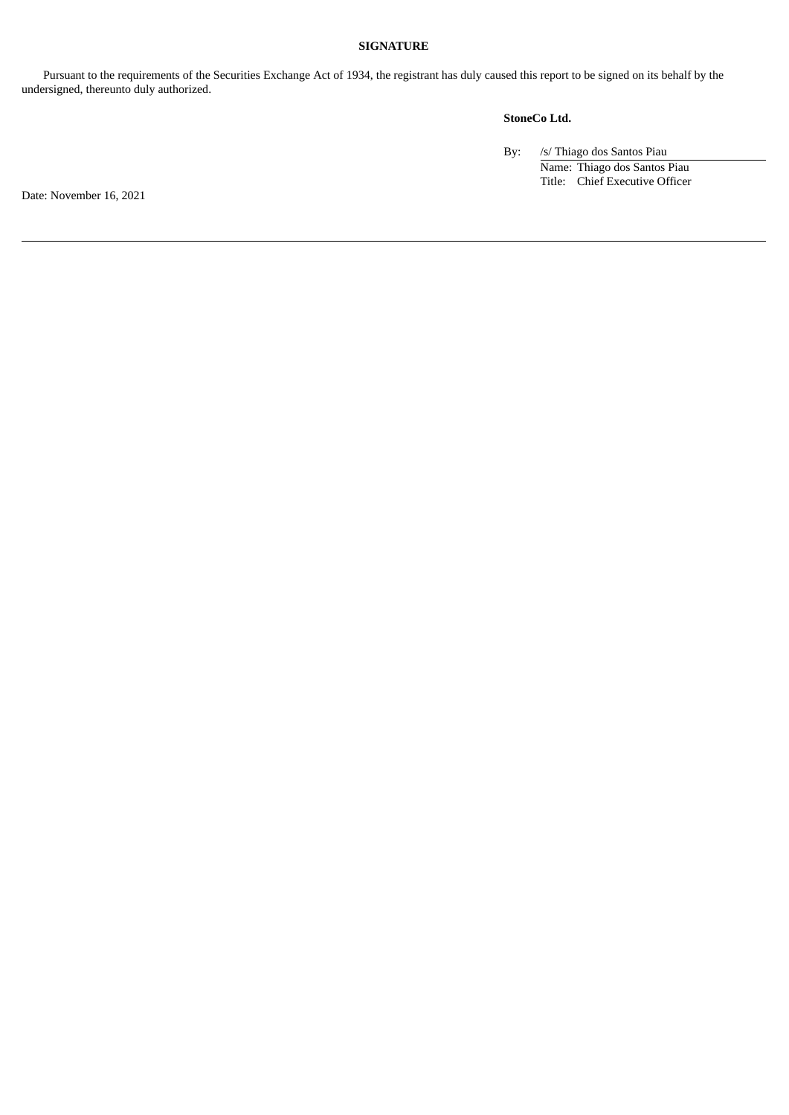# **SIGNATURE**

Pursuant to the requirements of the Securities Exchange Act of 1934, the registrant has duly caused this report to be signed on its behalf by the undersigned, thereunto duly authorized.

# **StoneCo Ltd.**

By: /s/ Thiago dos Santos Piau Name: Thiago dos Santos Piau Title: Chief Executive Officer

Date: November 16, 2021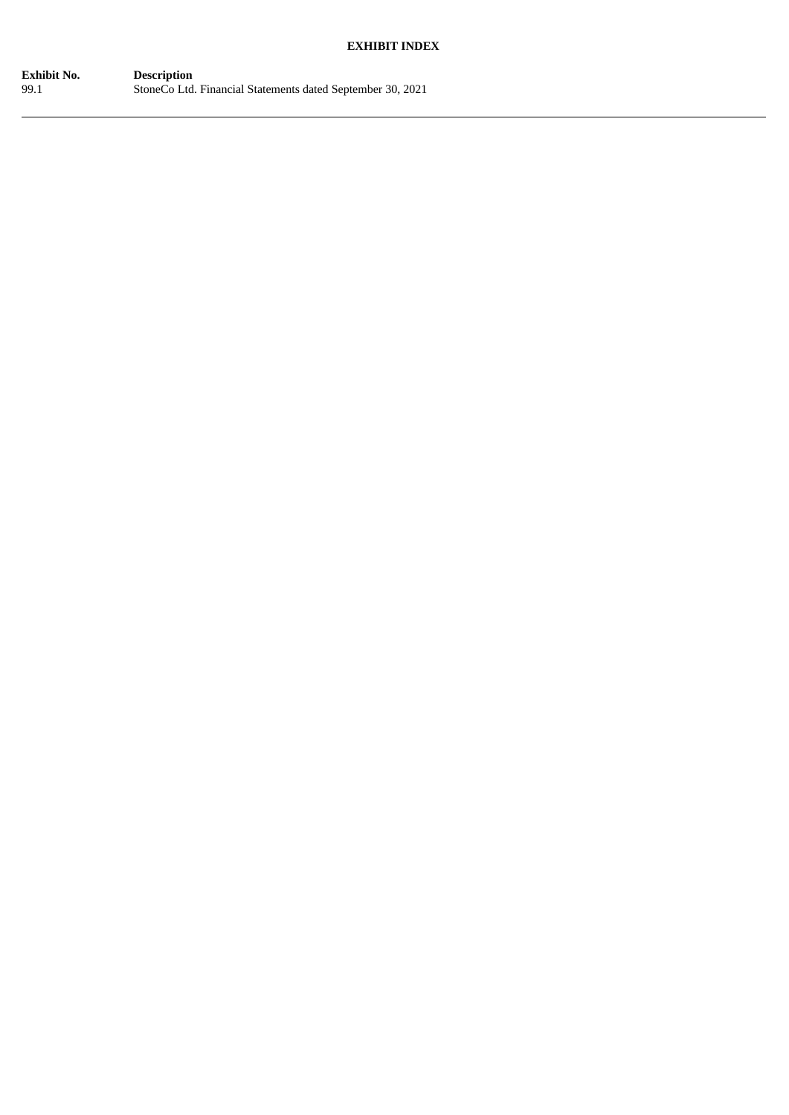# **EXHIBIT INDEX**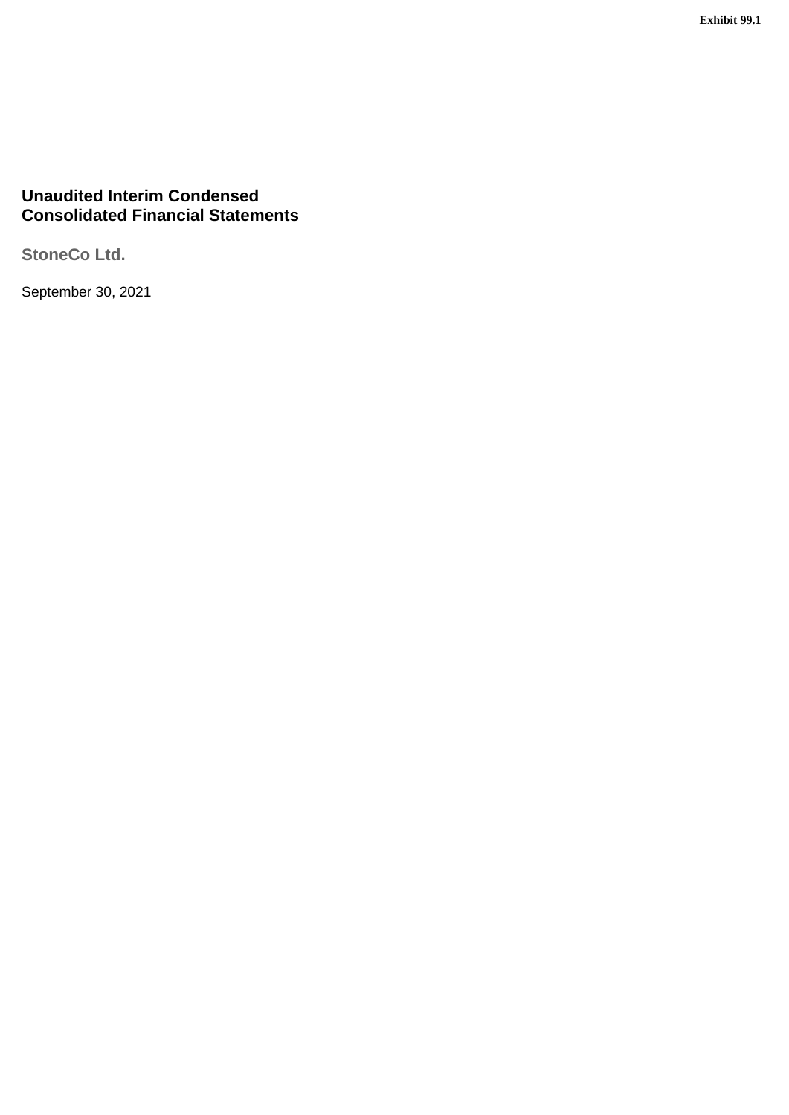# **Unaudited Interim Condensed Consolidated Financial Statements**

**StoneCo Ltd.**

September 30, 2021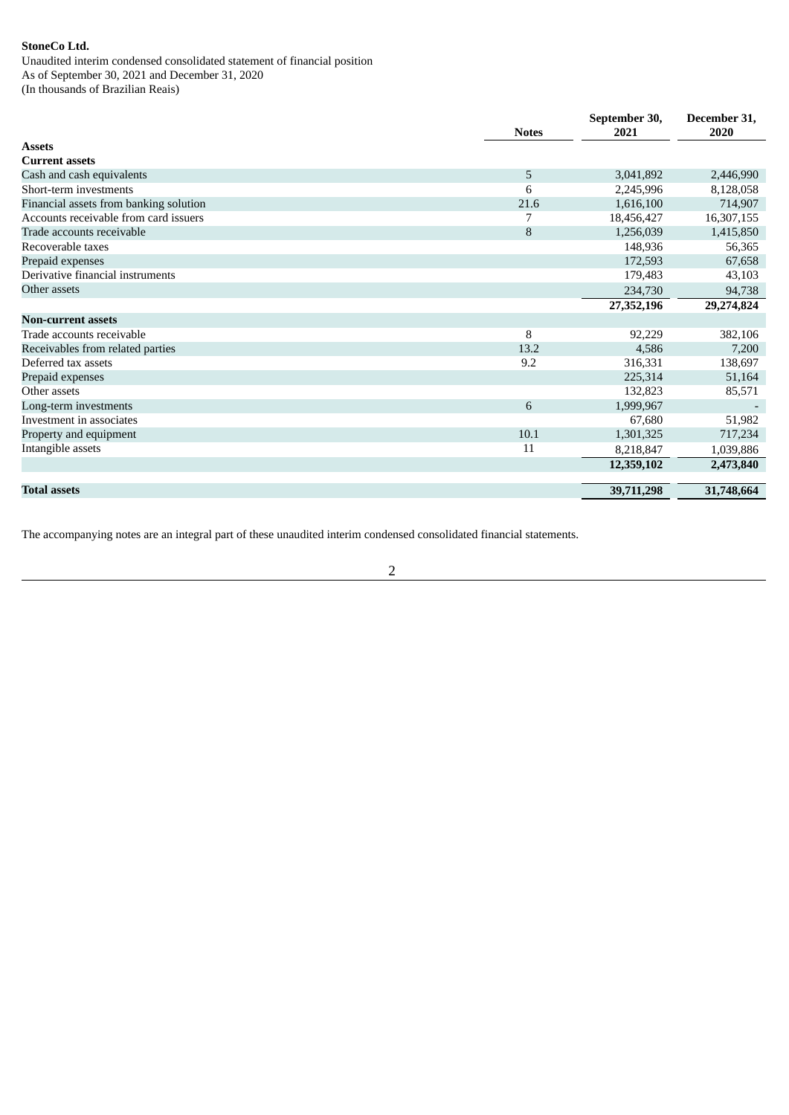Unaudited interim condensed consolidated statement of financial position As of September 30, 2021 and December 31, 2020 (In thousands of Brazilian Reais)

|                                        | <b>Notes</b> | September 30,<br>2021 | December 31,<br>2020 |
|----------------------------------------|--------------|-----------------------|----------------------|
| <b>Assets</b>                          |              |                       |                      |
| <b>Current assets</b>                  |              |                       |                      |
| Cash and cash equivalents              | 5            | 3,041,892             | 2,446,990            |
| Short-term investments                 | 6            | 2,245,996             | 8,128,058            |
| Financial assets from banking solution | 21.6         | 1,616,100             | 714,907              |
| Accounts receivable from card issuers  | 7            | 18,456,427            | 16,307,155           |
| Trade accounts receivable              | 8            | 1,256,039             | 1,415,850            |
| Recoverable taxes                      |              | 148,936               | 56,365               |
| Prepaid expenses                       |              | 172,593               | 67,658               |
| Derivative financial instruments       |              | 179,483               | 43,103               |
| Other assets                           |              | 234,730               | 94,738               |
|                                        |              | 27,352,196            | 29,274,824           |
| <b>Non-current assets</b>              |              |                       |                      |
| Trade accounts receivable              | 8            | 92,229                | 382,106              |
| Receivables from related parties       | 13.2         | 4,586                 | 7,200                |
| Deferred tax assets                    | 9.2          | 316,331               | 138,697              |
| Prepaid expenses                       |              | 225,314               | 51,164               |
| Other assets                           |              | 132,823               | 85,571               |
| Long-term investments                  | 6            | 1,999,967             |                      |
| Investment in associates               |              | 67,680                | 51,982               |
| Property and equipment                 | 10.1         | 1,301,325             | 717,234              |
| Intangible assets                      | 11           | 8,218,847             | 1,039,886            |
|                                        |              | 12,359,102            | 2,473,840            |
|                                        |              |                       |                      |
| <b>Total assets</b>                    |              | 39,711,298            | 31,748,664           |

The accompanying notes are an integral part of these unaudited interim condensed consolidated financial statements.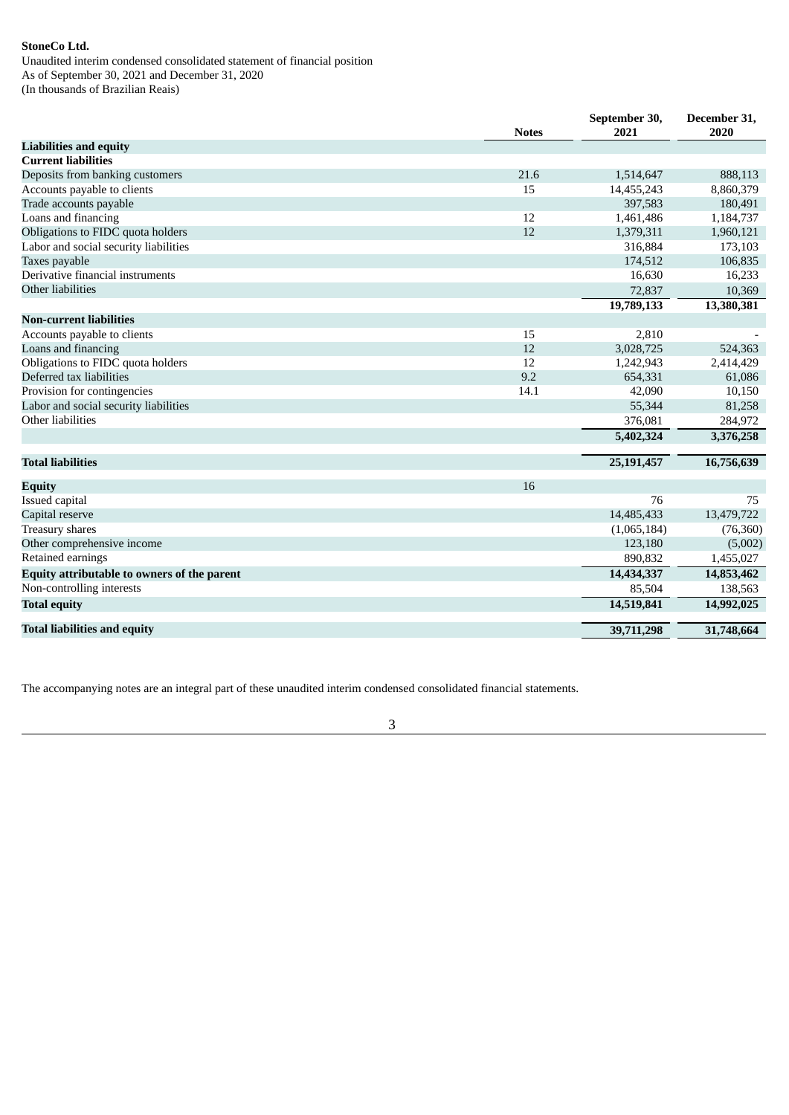Unaudited interim condensed consolidated statement of financial position As of September 30, 2021 and December 31, 2020 (In thousands of Brazilian Reais)

|                                             | <b>Notes</b> | September 30,<br>2021 | December 31,<br>2020 |
|---------------------------------------------|--------------|-----------------------|----------------------|
| <b>Liabilities and equity</b>               |              |                       |                      |
| <b>Current liabilities</b>                  |              |                       |                      |
| Deposits from banking customers             | 21.6         | 1,514,647             | 888,113              |
| Accounts payable to clients                 | 15           | 14,455,243            | 8,860,379            |
| Trade accounts payable                      |              | 397,583               | 180,491              |
| Loans and financing                         | 12           | 1,461,486             | 1,184,737            |
| Obligations to FIDC quota holders           | 12           | 1,379,311             | 1,960,121            |
| Labor and social security liabilities       |              | 316,884               | 173,103              |
| Taxes payable                               |              | 174,512               | 106,835              |
| Derivative financial instruments            |              | 16,630                | 16,233               |
| Other liabilities                           |              | 72,837                | 10,369               |
|                                             |              | 19,789,133            | 13,380,381           |
| <b>Non-current liabilities</b>              |              |                       |                      |
| Accounts payable to clients                 | 15           | 2,810                 |                      |
| Loans and financing                         | 12           | 3,028,725             | 524,363              |
| Obligations to FIDC quota holders           | 12           | 1,242,943             | 2,414,429            |
| Deferred tax liabilities                    | 9.2          | 654,331               | 61,086               |
| Provision for contingencies                 | 14.1         | 42,090                | 10,150               |
| Labor and social security liabilities       |              | 55,344                | 81,258               |
| Other liabilities                           |              | 376,081               | 284,972              |
|                                             |              | 5,402,324             | 3,376,258            |
| <b>Total liabilities</b>                    |              | 25,191,457            | 16,756,639           |
| Equity                                      | 16           |                       |                      |
| Issued capital                              |              | 76                    | 75                   |
| Capital reserve                             |              | 14,485,433            | 13,479,722           |
| <b>Treasury shares</b>                      |              | (1,065,184)           | (76,360)             |
| Other comprehensive income                  |              | 123,180               | (5,002)              |
| Retained earnings                           |              | 890,832               | 1,455,027            |
| Equity attributable to owners of the parent |              | 14,434,337            | 14,853,462           |
| Non-controlling interests                   |              | 85,504                | 138,563              |
| <b>Total equity</b>                         |              | 14,519,841            | 14,992,025           |
|                                             |              |                       |                      |
| <b>Total liabilities and equity</b>         |              | 39,711,298            | 31,748,664           |

The accompanying notes are an integral part of these unaudited interim condensed consolidated financial statements.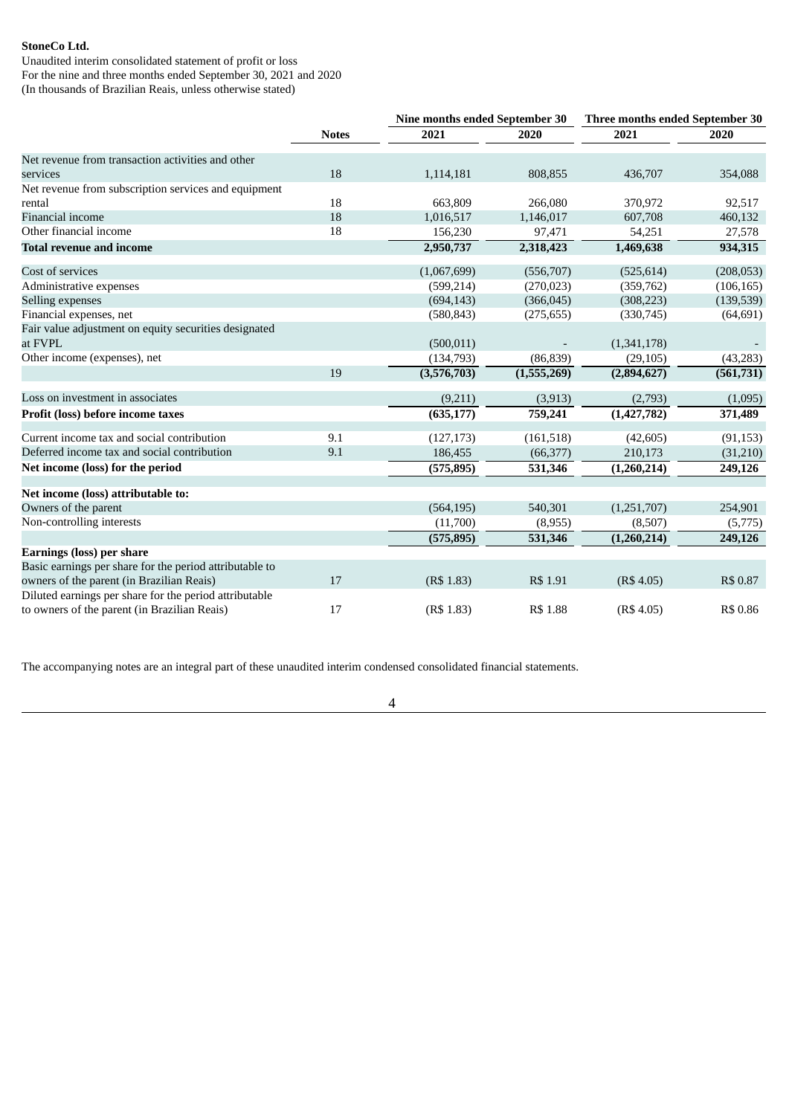Unaudited interim consolidated statement of profit or loss For the nine and three months ended September 30, 2021 and 2020 (In thousands of Brazilian Reais, unless otherwise stated)

|                                                                  |              | Nine months ended September 30 |             | Three months ended September 30 |            |  |
|------------------------------------------------------------------|--------------|--------------------------------|-------------|---------------------------------|------------|--|
|                                                                  | <b>Notes</b> | 2021                           | 2020        | 2021                            | 2020       |  |
| Net revenue from transaction activities and other                |              |                                |             |                                 |            |  |
| services                                                         | 18           | 1,114,181                      | 808,855     | 436,707                         | 354,088    |  |
| Net revenue from subscription services and equipment             |              |                                |             |                                 |            |  |
| rental                                                           | 18           | 663,809                        | 266.080     | 370.972                         | 92,517     |  |
| Financial income                                                 | 18           | 1,016,517                      | 1,146,017   | 607,708                         | 460,132    |  |
| Other financial income                                           | 18           | 156,230                        | 97,471      | 54,251                          | 27,578     |  |
| <b>Total revenue and income</b>                                  |              | 2,950,737                      | 2,318,423   | 1,469,638                       | 934,315    |  |
| Cost of services                                                 |              | (1,067,699)                    | (556, 707)  | (525, 614)                      | (208, 053) |  |
| Administrative expenses                                          |              | (599, 214)                     | (270, 023)  | (359, 762)                      | (106, 165) |  |
| Selling expenses                                                 |              | (694, 143)                     | (366, 045)  | (308, 223)                      | (139, 539) |  |
| Financial expenses, net                                          |              | (580, 843)                     | (275, 655)  | (330,745)                       | (64, 691)  |  |
| Fair value adjustment on equity securities designated<br>at FVPL |              | (500, 011)                     |             | (1,341,178)                     |            |  |
| Other income (expenses), net                                     |              | (134,793)                      | (86, 839)   | (29, 105)                       | (43, 283)  |  |
|                                                                  | 19           | (3,576,703)                    | (1,555,269) | (2,894,627)                     | (561, 731) |  |
| Loss on investment in associates                                 |              | (9,211)                        | (3, 913)    | (2,793)                         | (1,095)    |  |
| Profit (loss) before income taxes                                |              | (635, 177)                     | 759,241     | (1,427,782)                     | 371,489    |  |
| Current income tax and social contribution                       | 9.1          | (127, 173)                     | (161, 518)  | (42, 605)                       | (91, 153)  |  |
| Deferred income tax and social contribution                      | 9.1          | 186,455                        | (66, 377)   | 210,173                         | (31,210)   |  |
| Net income (loss) for the period                                 |              | (575, 895)                     | 531,346     | (1,260,214)                     | 249,126    |  |
| Net income (loss) attributable to:                               |              |                                |             |                                 |            |  |
| Owners of the parent                                             |              | (564, 195)                     | 540,301     | (1,251,707)                     | 254,901    |  |
| Non-controlling interests                                        |              | (11,700)                       | (8,955)     | (8,507)                         | (5,775)    |  |
|                                                                  |              | (575, 895)                     | 531,346     | (1,260,214)                     | 249,126    |  |
| <b>Earnings (loss) per share</b>                                 |              |                                |             |                                 |            |  |
| Basic earnings per share for the period attributable to          |              |                                |             |                                 |            |  |
| owners of the parent (in Brazilian Reais)                        | 17           | (R\$ 1.83)                     | R\$ 1.91    | (R\$ 4.05)                      | R\$ 0.87   |  |
| Diluted earnings per share for the period attributable           |              |                                |             |                                 |            |  |
| to owners of the parent (in Brazilian Reais)                     | 17           | (R\$ 1.83)                     | R\$ 1.88    | (R\$4.05)                       | R\$ 0.86   |  |

The accompanying notes are an integral part of these unaudited interim condensed consolidated financial statements.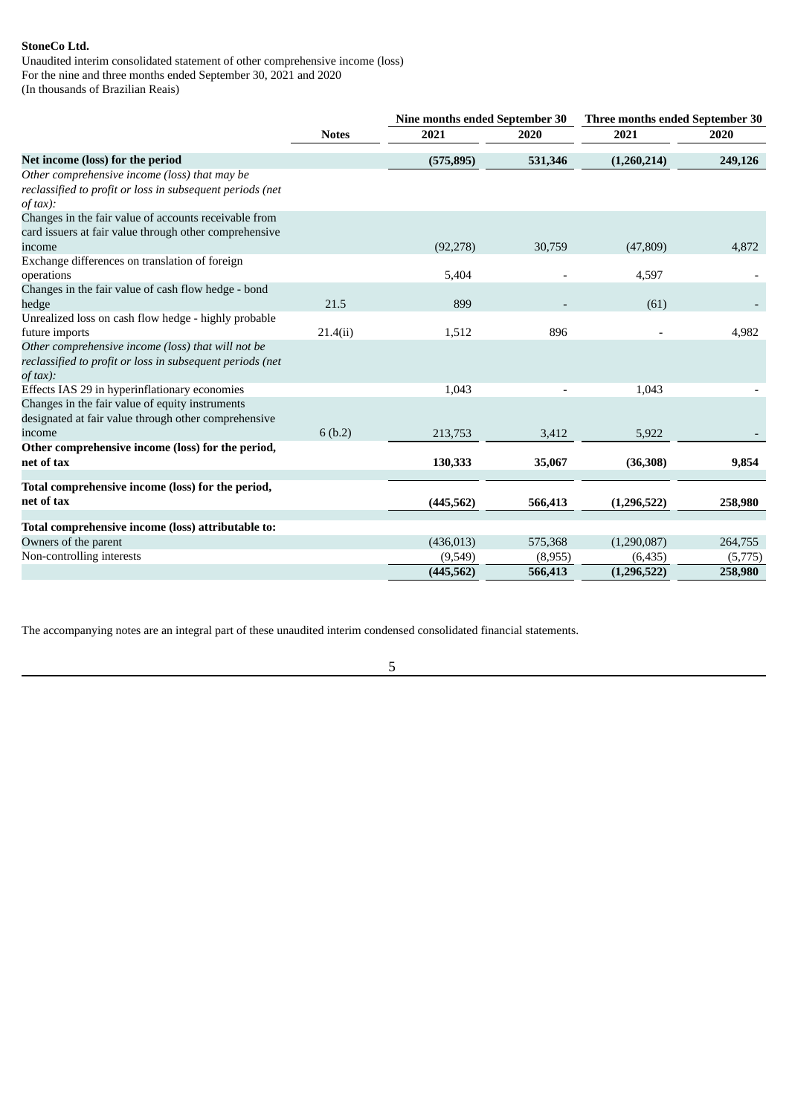Unaudited interim consolidated statement of other comprehensive income (loss) For the nine and three months ended September 30, 2021 and 2020 (In thousands of Brazilian Reais)

|                                                                                                                             |              | Nine months ended September 30 |         | Three months ended September 30 |         |
|-----------------------------------------------------------------------------------------------------------------------------|--------------|--------------------------------|---------|---------------------------------|---------|
|                                                                                                                             | <b>Notes</b> | 2021                           | 2020    | 2021                            | 2020    |
| Net income (loss) for the period                                                                                            |              | (575, 895)                     | 531,346 | (1,260,214)                     | 249,126 |
| Other comprehensive income (loss) that may be<br>reclassified to profit or loss in subsequent periods (net<br>$of tax$ :    |              |                                |         |                                 |         |
| Changes in the fair value of accounts receivable from<br>card issuers at fair value through other comprehensive             |              |                                |         |                                 |         |
| income                                                                                                                      |              | (92, 278)                      | 30,759  | (47, 809)                       | 4,872   |
| Exchange differences on translation of foreign<br>operations                                                                |              | 5,404                          |         | 4,597                           |         |
| Changes in the fair value of cash flow hedge - bond                                                                         |              |                                |         |                                 |         |
| hedge                                                                                                                       | 21.5         | 899                            |         | (61)                            |         |
| Unrealized loss on cash flow hedge - highly probable                                                                        |              |                                |         |                                 |         |
| future imports                                                                                                              | 21.4(ii)     | 1,512                          | 896     |                                 | 4,982   |
| Other comprehensive income (loss) that will not be<br>reclassified to profit or loss in subsequent periods (net<br>of tax): |              |                                |         |                                 |         |
| Effects IAS 29 in hyperinflationary economies                                                                               |              | 1,043                          |         | 1,043                           |         |
| Changes in the fair value of equity instruments<br>designated at fair value through other comprehensive                     |              |                                |         |                                 |         |
| income                                                                                                                      | 6(b.2)       | 213,753                        | 3,412   | 5,922                           |         |
| Other comprehensive income (loss) for the period,<br>net of tax                                                             |              | 130,333                        | 35,067  | (36, 308)                       | 9,854   |
| Total comprehensive income (loss) for the period,                                                                           |              |                                |         |                                 |         |
| net of tax                                                                                                                  |              | (445, 562)                     | 566,413 | (1,296,522)                     | 258,980 |
| Total comprehensive income (loss) attributable to:                                                                          |              |                                |         |                                 |         |
| Owners of the parent                                                                                                        |              | (436, 013)                     | 575,368 | (1,290,087)                     | 264,755 |
| Non-controlling interests                                                                                                   |              | (9,549)                        | (8,955) | (6, 435)                        | (5,775) |
|                                                                                                                             |              | (445, 562)                     | 566,413 | (1,296,522)                     | 258,980 |

The accompanying notes are an integral part of these unaudited interim condensed consolidated financial statements.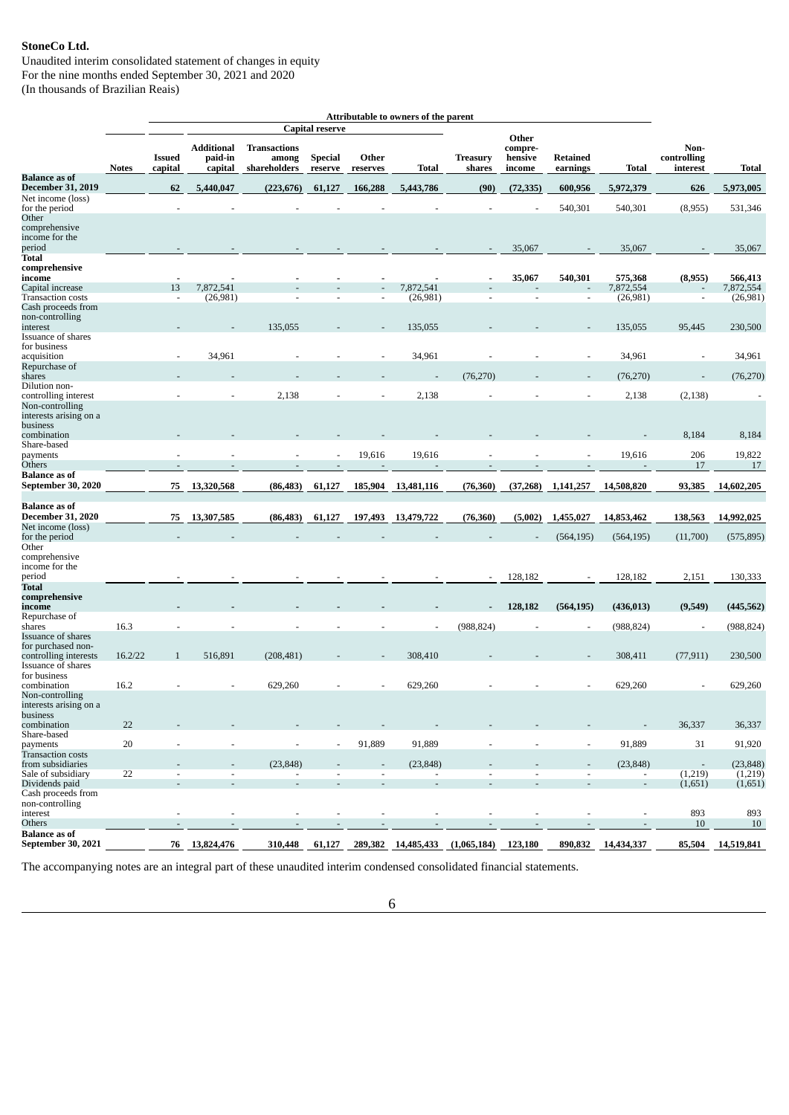Unaudited interim consolidated statement of changes in equity For the nine months ended September 30, 2021 and 2020 (In thousands of Brazilian Reais)

|                                               |              |                          |                                         |                                              |                           |                          | Attributable to owners of the parent |                           |                                       |                             |                          |                                     |                    |
|-----------------------------------------------|--------------|--------------------------|-----------------------------------------|----------------------------------------------|---------------------------|--------------------------|--------------------------------------|---------------------------|---------------------------------------|-----------------------------|--------------------------|-------------------------------------|--------------------|
|                                               |              |                          |                                         |                                              | <b>Capital reserve</b>    |                          |                                      |                           |                                       |                             |                          |                                     |                    |
|                                               | <b>Notes</b> | <b>Issued</b><br>capital | <b>Additional</b><br>paid-in<br>capital | <b>Transactions</b><br>among<br>shareholders | <b>Special</b><br>reserve | Other<br>reserves        | <b>Total</b>                         | <b>Treasury</b><br>shares | Other<br>compre-<br>hensive<br>income | <b>Retained</b><br>earnings | Total                    | Non-<br>controlling<br>interest     | Total              |
| <b>Balance</b> as of                          |              |                          |                                         |                                              |                           |                          |                                      |                           |                                       |                             |                          |                                     |                    |
| <b>December 31, 2019</b><br>Net income (loss) |              | 62                       | 5,440,047                               | (223, 676)                                   | 61,127                    | 166,288                  | 5,443,786                            | (90)                      | (72, 335)                             | 600,956                     | 5,972,379                | 626                                 | 5,973,005          |
| for the period                                |              |                          |                                         |                                              |                           |                          |                                      |                           |                                       | 540,301                     | 540,301                  | (8,955)                             | 531,346            |
| Other                                         |              |                          |                                         |                                              |                           |                          |                                      |                           |                                       |                             |                          |                                     |                    |
| comprehensive<br>income for the               |              |                          |                                         |                                              |                           |                          |                                      |                           |                                       |                             |                          |                                     |                    |
| period                                        |              |                          |                                         |                                              |                           |                          |                                      |                           | 35,067                                |                             | 35,067                   |                                     | 35,067             |
| Total                                         |              |                          |                                         |                                              |                           |                          |                                      |                           |                                       |                             |                          |                                     |                    |
| comprehensive<br>income                       |              |                          |                                         |                                              |                           |                          |                                      |                           | 35,067                                | 540,301                     | 575,368                  | (8,955)                             | 566,413            |
| Capital increase                              |              | 13                       | 7,872,541                               |                                              |                           |                          | 7,872,541                            |                           |                                       |                             | 7,872,554                |                                     | 7,872,554          |
| <b>Transaction costs</b>                      |              | $\blacksquare$           | (26,981)                                |                                              |                           | $\blacksquare$           | (26, 981)                            |                           | $\sim$                                | $\overline{\phantom{a}}$    | (26,981)                 | $\overline{\phantom{a}}$            | (26,981)           |
| Cash proceeds from<br>non-controlling         |              |                          |                                         |                                              |                           |                          |                                      |                           |                                       |                             |                          |                                     |                    |
| interest                                      |              |                          |                                         | 135,055                                      |                           |                          | 135,055                              |                           |                                       |                             | 135,055                  | 95,445                              | 230,500            |
| Issuance of shares                            |              |                          |                                         |                                              |                           |                          |                                      |                           |                                       |                             |                          |                                     |                    |
| for business<br>acquisition                   |              | ÷,                       | 34,961                                  |                                              |                           | $\overline{\phantom{a}}$ | 34,961                               |                           |                                       | $\overline{a}$              | 34,961                   | $\blacksquare$                      | 34,961             |
| Repurchase of                                 |              |                          |                                         |                                              |                           |                          |                                      |                           |                                       |                             |                          |                                     |                    |
| shares                                        |              |                          |                                         |                                              |                           |                          |                                      | (76, 270)                 |                                       |                             | (76, 270)                |                                     | (76, 270)          |
| Dilution non-<br>controlling interest         |              |                          |                                         | 2,138                                        |                           | $\blacksquare$           |                                      |                           |                                       |                             |                          |                                     |                    |
| Non-controlling                               |              |                          |                                         |                                              |                           |                          | 2,138                                |                           |                                       |                             | 2,138                    | (2, 138)                            |                    |
| interests arising on a                        |              |                          |                                         |                                              |                           |                          |                                      |                           |                                       |                             |                          |                                     |                    |
| business                                      |              |                          |                                         |                                              |                           |                          |                                      |                           |                                       |                             |                          |                                     |                    |
| combination<br>Share-based                    |              |                          |                                         |                                              |                           |                          |                                      |                           |                                       |                             |                          | 8,184                               | 8,184              |
| payments                                      |              |                          |                                         |                                              |                           | 19,616                   | 19,616                               |                           |                                       |                             | 19,616                   | 206                                 | 19,822             |
| Others                                        |              |                          |                                         |                                              |                           | $\overline{\phantom{a}}$ | $\overline{\phantom{a}}$             |                           |                                       |                             | $\overline{\phantom{a}}$ | 17                                  | 17                 |
| <b>Balance as of</b><br>September 30, 2020    |              | 75                       | 13,320,568                              | (86, 483)                                    | 61,127                    | 185,904                  | 13,481,116                           | (76, 360)                 | (37,268)                              | 1,141,257                   | 14,508,820               | 93,385                              | 14,602,205         |
|                                               |              |                          |                                         |                                              |                           |                          |                                      |                           |                                       |                             |                          |                                     |                    |
| <b>Balance</b> as of                          |              |                          |                                         |                                              |                           |                          |                                      |                           |                                       |                             |                          |                                     |                    |
| <b>December 31, 2020</b><br>Net income (loss) |              | 75                       | 13,307,585                              | (86, 483)                                    | 61,127                    | 197,493                  | 13,479,722                           | (76, 360)                 | (5,002)                               | 1,455,027                   | 14,853,462               | 138,563                             | 14,992,025         |
| for the period                                |              |                          |                                         |                                              |                           |                          |                                      |                           |                                       | (564, 195)                  | (564, 195)               | (11,700)                            | (575, 895)         |
| Other                                         |              |                          |                                         |                                              |                           |                          |                                      |                           |                                       |                             |                          |                                     |                    |
| comprehensive                                 |              |                          |                                         |                                              |                           |                          |                                      |                           |                                       |                             |                          |                                     |                    |
| income for the<br>period                      |              |                          |                                         |                                              |                           |                          |                                      | $\overline{\phantom{a}}$  | 128,182                               | $\overline{\phantom{a}}$    | 128,182                  | 2,151                               | 130,333            |
| Total                                         |              |                          |                                         |                                              |                           |                          |                                      |                           |                                       |                             |                          |                                     |                    |
| comprehensive                                 |              |                          |                                         |                                              |                           |                          |                                      |                           |                                       |                             |                          |                                     |                    |
| income<br>Repurchase of                       |              |                          |                                         |                                              |                           |                          |                                      |                           | 128,182                               | (564, 195)                  | (436, 013)               | (9,549)                             | (445, 562)         |
| shares                                        | 16.3         |                          |                                         |                                              |                           |                          |                                      | (988, 824)                |                                       | $\blacksquare$              | (988, 824)               | $\sim$                              | (988, 824)         |
| Issuance of shares                            |              |                          |                                         |                                              |                           |                          |                                      |                           |                                       |                             |                          |                                     |                    |
| for purchased non-<br>controlling interests   | 16.2/22      | $\mathbf{1}$             | 516,891                                 | (208, 481)                                   |                           |                          | 308,410                              |                           |                                       |                             | 308,411                  | (77, 911)                           | 230,500            |
| Issuance of shares                            |              |                          |                                         |                                              |                           |                          |                                      |                           |                                       |                             |                          |                                     |                    |
| for business                                  |              |                          |                                         |                                              |                           |                          |                                      |                           |                                       |                             |                          |                                     |                    |
| combination<br>Non-controlling                | 16.2         |                          |                                         | 629,260                                      |                           |                          | 629,260                              |                           |                                       |                             | 629,260                  |                                     | 629,260            |
| interests arising on a                        |              |                          |                                         |                                              |                           |                          |                                      |                           |                                       |                             |                          |                                     |                    |
| business                                      |              |                          |                                         |                                              |                           |                          |                                      |                           |                                       |                             |                          |                                     |                    |
| combination<br>Share-based                    | 22           |                          |                                         |                                              |                           |                          |                                      |                           |                                       |                             |                          | 36,337                              | 36,337             |
| payments                                      | 20           | $\overline{\phantom{a}}$ | $\overline{\phantom{a}}$                | $\sim$                                       | $\overline{\phantom{a}}$  | 91,889                   | 91,889                               |                           | $\overline{\phantom{a}}$              | $\overline{\phantom{a}}$    | 91,889                   | 31                                  | 91,920             |
| <b>Transaction costs</b>                      |              |                          |                                         |                                              |                           |                          |                                      |                           |                                       |                             |                          |                                     |                    |
| from subsidiaries<br>Sale of subsidiary       | 22           | $\sim$                   | $\overline{\phantom{a}}$                | (23, 848)<br>$\blacksquare$                  |                           | $\sim$                   | (23, 848)                            |                           | $\blacksquare$                        | $\sim$                      | (23, 848)                | $\overline{\phantom{a}}$<br>(1,219) | (23, 848)          |
| Dividends paid                                |              |                          |                                         | $\overline{\phantom{a}}$                     |                           | $\blacksquare$           | $\overline{a}$                       |                           |                                       |                             | $\overline{\phantom{a}}$ | (1,651)                             | (1,219)<br>(1,651) |
| Cash proceeds from                            |              |                          |                                         |                                              |                           |                          |                                      |                           |                                       |                             |                          |                                     |                    |
| non-controlling                               |              |                          |                                         |                                              |                           |                          |                                      |                           |                                       |                             |                          |                                     |                    |
| interest<br>Others                            |              |                          | J.<br>$\overline{\phantom{a}}$          | $\overline{\phantom{a}}$                     |                           |                          | ÷,                                   |                           |                                       |                             |                          | 893<br>10                           | 893<br>10          |
| <b>Balance as of</b>                          |              |                          |                                         |                                              |                           |                          |                                      |                           |                                       |                             |                          |                                     |                    |
| September 30, 2021                            |              |                          | 76 13,824,476                           | 310,448                                      | 61,127                    |                          | 289,382 14,485,433 (1,065,184)       |                           | 123,180                               | 890,832                     | 14,434,337               | 85,504                              | 14,519,841         |

The accompanying notes are an integral part of these unaudited interim condensed consolidated financial statements.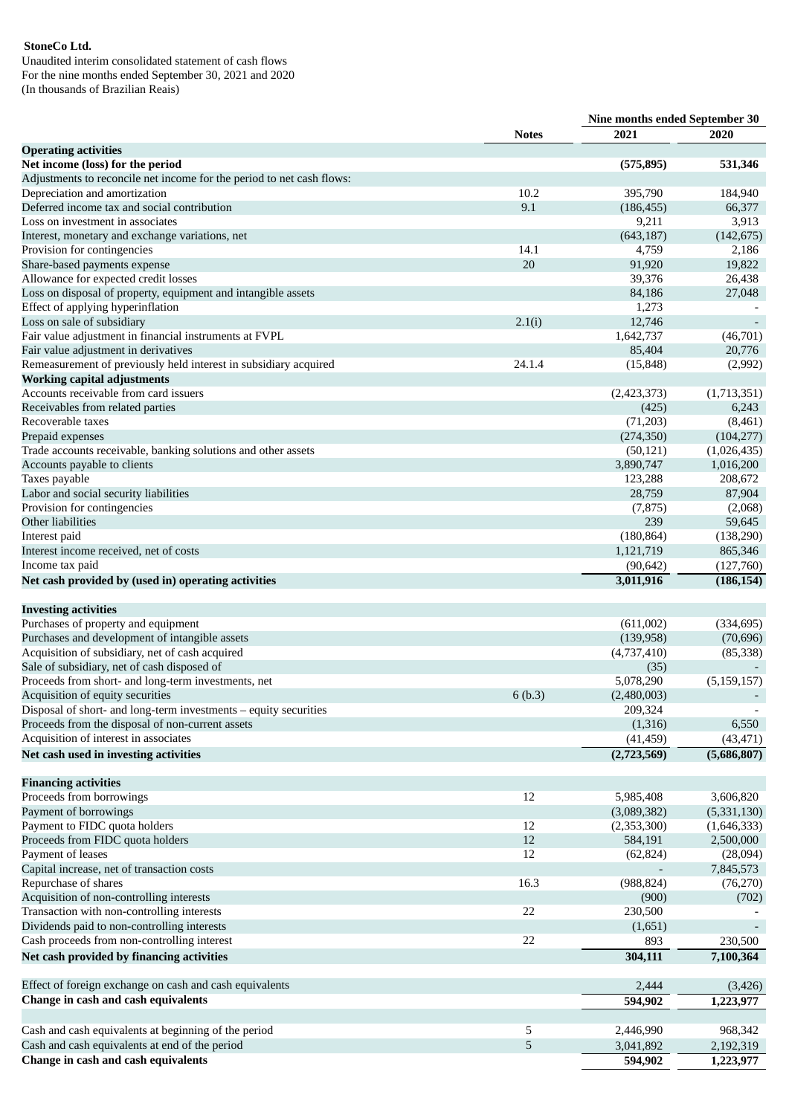Unaudited interim consolidated statement of cash flows For the nine months ended September 30, 2021 and 2020 (In thousands of Brazilian Reais)

|                                                                                                    |              | Nine months ended September 30 |                            |  |
|----------------------------------------------------------------------------------------------------|--------------|--------------------------------|----------------------------|--|
|                                                                                                    | <b>Notes</b> | 2021                           | 2020                       |  |
| <b>Operating activities</b>                                                                        |              |                                |                            |  |
| Net income (loss) for the period                                                                   |              | (575, 895)                     | 531,346                    |  |
| Adjustments to reconcile net income for the period to net cash flows:                              |              |                                |                            |  |
| Depreciation and amortization                                                                      | 10.2         | 395,790                        | 184,940                    |  |
| Deferred income tax and social contribution                                                        | 9.1          | (186, 455)                     | 66,377                     |  |
| Loss on investment in associates                                                                   |              | 9,211                          | 3,913                      |  |
| Interest, monetary and exchange variations, net                                                    |              | (643, 187)                     | (142, 675)                 |  |
| Provision for contingencies                                                                        | 14.1         | 4,759                          | 2,186                      |  |
| Share-based payments expense                                                                       | 20           | 91,920                         | 19,822                     |  |
| Allowance for expected credit losses                                                               |              | 39,376                         | 26,438                     |  |
| Loss on disposal of property, equipment and intangible assets<br>Effect of applying hyperinflation |              | 84,186<br>1,273                | 27,048                     |  |
| Loss on sale of subsidiary                                                                         | 2.1(i)       | 12,746                         |                            |  |
| Fair value adjustment in financial instruments at FVPL                                             |              | 1,642,737                      | (46,701)                   |  |
| Fair value adjustment in derivatives                                                               |              | 85,404                         | 20,776                     |  |
| Remeasurement of previously held interest in subsidiary acquired                                   | 24.1.4       | (15, 848)                      | (2,992)                    |  |
| <b>Working capital adjustments</b>                                                                 |              |                                |                            |  |
| Accounts receivable from card issuers                                                              |              | (2,423,373)                    | (1,713,351)                |  |
| Receivables from related parties                                                                   |              | (425)                          | 6,243                      |  |
| Recoverable taxes                                                                                  |              | (71,203)                       | (8,461)                    |  |
| Prepaid expenses                                                                                   |              | (274, 350)                     | (104, 277)                 |  |
| Trade accounts receivable, banking solutions and other assets                                      |              | (50, 121)                      | (1,026,435)                |  |
| Accounts payable to clients                                                                        |              | 3,890,747                      | 1,016,200                  |  |
| Taxes payable                                                                                      |              | 123,288                        | 208,672                    |  |
| Labor and social security liabilities                                                              |              | 28,759                         | 87,904                     |  |
| Provision for contingencies                                                                        |              | (7, 875)                       | (2,068)                    |  |
| Other liabilities                                                                                  |              | 239                            | 59,645                     |  |
| Interest paid                                                                                      |              | (180, 864)                     | (138, 290)                 |  |
| Interest income received, net of costs                                                             |              | 1,121,719                      | 865,346                    |  |
| Income tax paid                                                                                    |              | (90, 642)                      | (127,760)                  |  |
| Net cash provided by (used in) operating activities                                                |              | 3,011,916                      | (186, 154)                 |  |
|                                                                                                    |              |                                |                            |  |
| <b>Investing activities</b>                                                                        |              |                                |                            |  |
| Purchases of property and equipment                                                                |              | (611,002)                      | (334, 695)                 |  |
| Purchases and development of intangible assets                                                     |              | (139, 958)                     | (70, 696)                  |  |
| Acquisition of subsidiary, net of cash acquired                                                    |              | (4,737,410)                    | (85, 338)                  |  |
| Sale of subsidiary, net of cash disposed of                                                        |              | (35)                           |                            |  |
| Proceeds from short- and long-term investments, net                                                |              | 5,078,290                      | (5, 159, 157)              |  |
| Acquisition of equity securities                                                                   | 6(b.3)       | (2,480,003)                    |                            |  |
| Disposal of short- and long-term investments - equity securities                                   |              | 209,324                        |                            |  |
| Proceeds from the disposal of non-current assets                                                   |              | (1,316)                        | 6,550                      |  |
| Acquisition of interest in associates                                                              |              | (41, 459)                      | (43, 471)                  |  |
| Net cash used in investing activities                                                              |              | (2,723,569)                    | (5,686,807)                |  |
|                                                                                                    |              |                                |                            |  |
| <b>Financing activities</b>                                                                        | 12           |                                |                            |  |
| Proceeds from borrowings<br>Payment of borrowings                                                  |              | 5,985,408<br>(3,089,382)       | 3,606,820                  |  |
| Payment to FIDC quota holders                                                                      | 12           | (2,353,300)                    | (5,331,130)<br>(1,646,333) |  |
| Proceeds from FIDC quota holders                                                                   | 12           | 584,191                        | 2,500,000                  |  |
| Payment of leases                                                                                  | 12           | (62, 824)                      | (28,094)                   |  |
| Capital increase, net of transaction costs                                                         |              |                                | 7,845,573                  |  |
| Repurchase of shares                                                                               | 16.3         | (988, 824)                     | (76, 270)                  |  |
| Acquisition of non-controlling interests                                                           |              | (900)                          | (702)                      |  |
| Transaction with non-controlling interests                                                         | 22           | 230,500                        |                            |  |
| Dividends paid to non-controlling interests                                                        |              | (1,651)                        |                            |  |
| Cash proceeds from non-controlling interest                                                        | 22           | 893                            | 230,500                    |  |
| Net cash provided by financing activities                                                          |              | 304,111                        | 7,100,364                  |  |
|                                                                                                    |              |                                |                            |  |
| Effect of foreign exchange on cash and cash equivalents                                            |              | 2,444                          | (3, 426)                   |  |
| Change in cash and cash equivalents                                                                |              | 594,902                        | 1,223,977                  |  |
|                                                                                                    |              |                                |                            |  |
| Cash and cash equivalents at beginning of the period                                               | 5            | 2,446,990                      | 968,342                    |  |
| Cash and cash equivalents at end of the period                                                     | 5            | 3,041,892                      | 2,192,319                  |  |
| Change in cash and cash equivalents                                                                |              | 594,902                        | 1,223,977                  |  |
|                                                                                                    |              |                                |                            |  |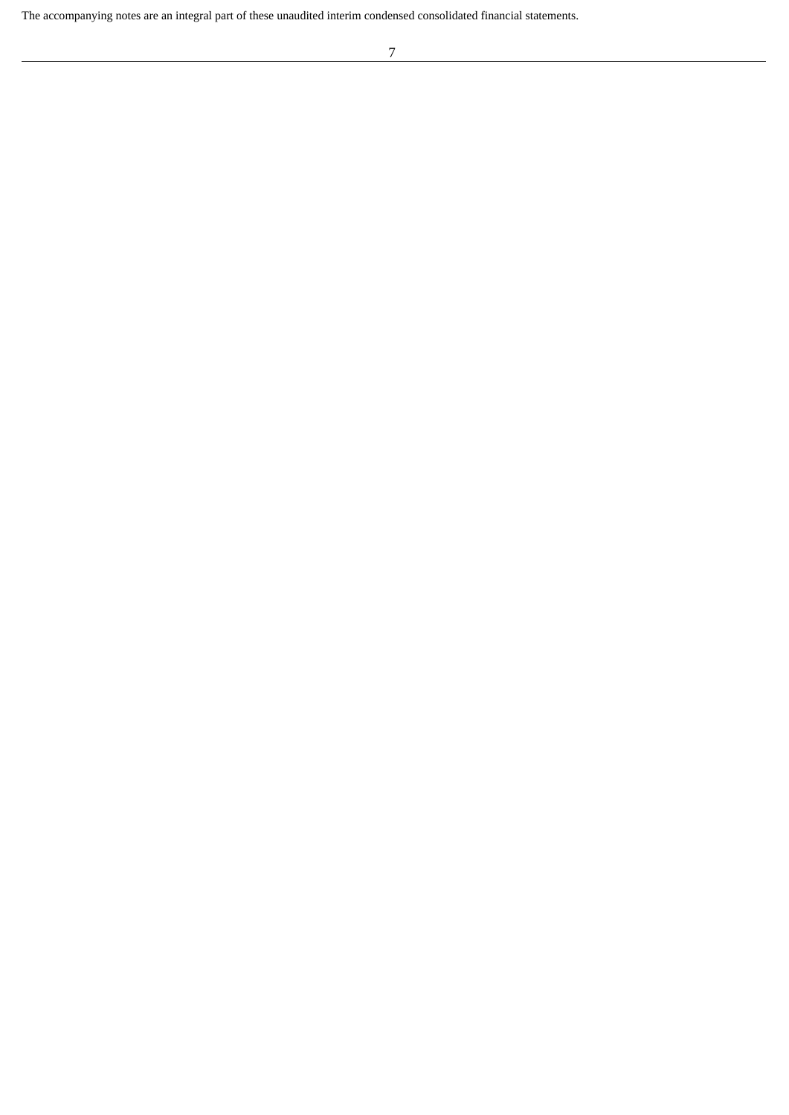The accompanying notes are an integral part of these unaudited interim condensed consolidated financial statements.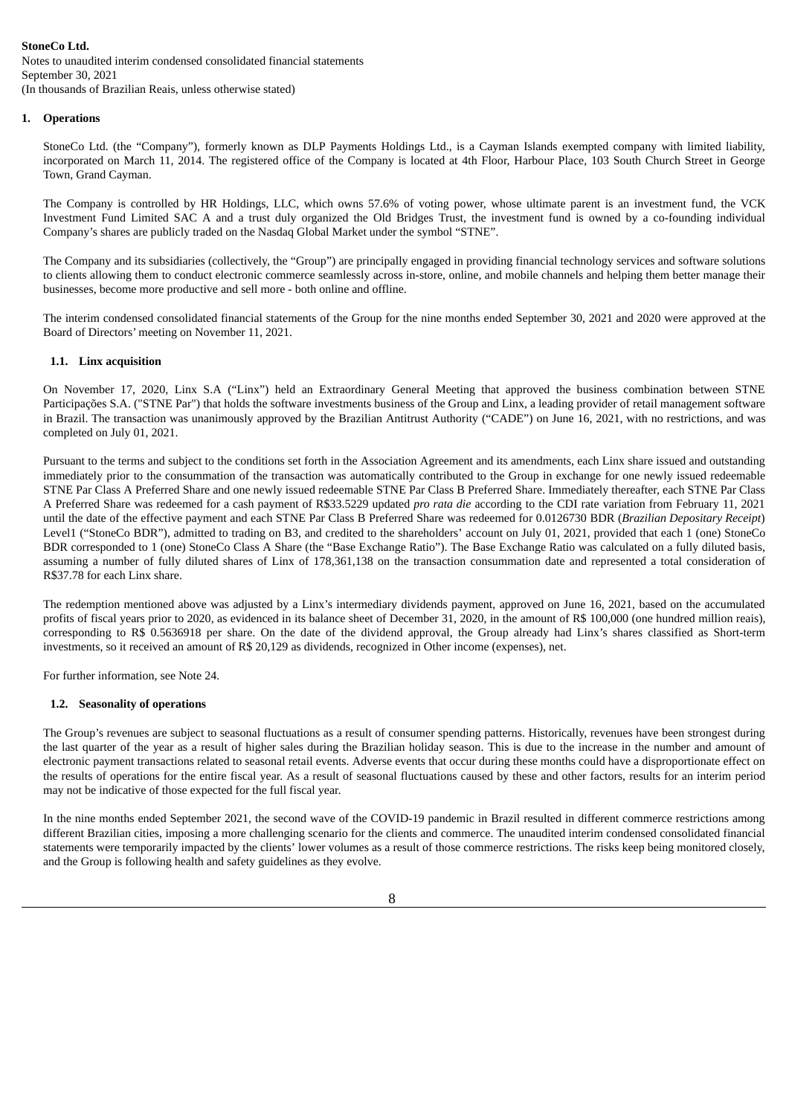Notes to unaudited interim condensed consolidated financial statements September 30, 2021 (In thousands of Brazilian Reais, unless otherwise stated)

**1. Operations**

StoneCo Ltd. (the "Company"), formerly known as DLP Payments Holdings Ltd., is a Cayman Islands exempted company with limited liability, incorporated on March 11, 2014. The registered office of the Company is located at 4th Floor, Harbour Place, 103 South Church Street in George Town, Grand Cayman.

The Company is controlled by HR Holdings, LLC, which owns 57.6% of voting power, whose ultimate parent is an investment fund, the VCK Investment Fund Limited SAC A and a trust duly organized the Old Bridges Trust, the investment fund is owned by a co-founding individual Company's shares are publicly traded on the Nasdaq Global Market under the symbol "STNE".

The Company and its subsidiaries (collectively, the "Group") are principally engaged in providing financial technology services and software solutions to clients allowing them to conduct electronic commerce seamlessly across in-store, online, and mobile channels and helping them better manage their businesses, become more productive and sell more - both online and offline.

The interim condensed consolidated financial statements of the Group for the nine months ended September 30, 2021 and 2020 were approved at the Board of Directors' meeting on November 11, 2021.

# **1.1. Linx acquisition**

On November 17, 2020, Linx S.A ("Linx") held an Extraordinary General Meeting that approved the business combination between STNE Participações S.A. ("STNE Par") that holds the software investments business of the Group and Linx, a leading provider of retail management software in Brazil. The transaction was unanimously approved by the Brazilian Antitrust Authority ("CADE") on June 16, 2021, with no restrictions, and was completed on July 01, 2021.

Pursuant to the terms and subject to the conditions set forth in the Association Agreement and its amendments, each Linx share issued and outstanding immediately prior to the consummation of the transaction was automatically contributed to the Group in exchange for one newly issued redeemable STNE Par Class A Preferred Share and one newly issued redeemable STNE Par Class B Preferred Share. Immediately thereafter, each STNE Par Class A Preferred Share was redeemed for a cash payment of R\$33.5229 updated *pro rata die* according to the CDI rate variation from February 11, 2021 until the date of the effective payment and each STNE Par Class B Preferred Share was redeemed for 0.0126730 BDR (*Brazilian Depositary Receipt*) Level1 ("StoneCo BDR"), admitted to trading on B3, and credited to the shareholders' account on July 01, 2021, provided that each 1 (one) StoneCo BDR corresponded to 1 (one) StoneCo Class A Share (the "Base Exchange Ratio"). The Base Exchange Ratio was calculated on a fully diluted basis, assuming a number of fully diluted shares of Linx of 178,361,138 on the transaction consummation date and represented a total consideration of R\$37.78 for each Linx share.

The redemption mentioned above was adjusted by a Linx's intermediary dividends payment, approved on June 16, 2021, based on the accumulated profits of fiscal years prior to 2020, as evidenced in its balance sheet of December 31, 2020, in the amount of R\$ 100,000 (one hundred million reais), corresponding to R\$ 0.5636918 per share. On the date of the dividend approval, the Group already had Linx's shares classified as Short-term investments, so it received an amount of R\$ 20,129 as dividends, recognized in Other income (expenses), net.

For further information, see Note 24.

# **1.2. Seasonality of operations**

The Group's revenues are subject to seasonal fluctuations as a result of consumer spending patterns. Historically, revenues have been strongest during the last quarter of the year as a result of higher sales during the Brazilian holiday season. This is due to the increase in the number and amount of electronic payment transactions related to seasonal retail events. Adverse events that occur during these months could have a disproportionate effect on the results of operations for the entire fiscal year. As a result of seasonal fluctuations caused by these and other factors, results for an interim period may not be indicative of those expected for the full fiscal year.

In the nine months ended September 2021, the second wave of the COVID-19 pandemic in Brazil resulted in different commerce restrictions among different Brazilian cities, imposing a more challenging scenario for the clients and commerce. The unaudited interim condensed consolidated financial statements were temporarily impacted by the clients' lower volumes as a result of those commerce restrictions. The risks keep being monitored closely, and the Group is following health and safety guidelines as they evolve.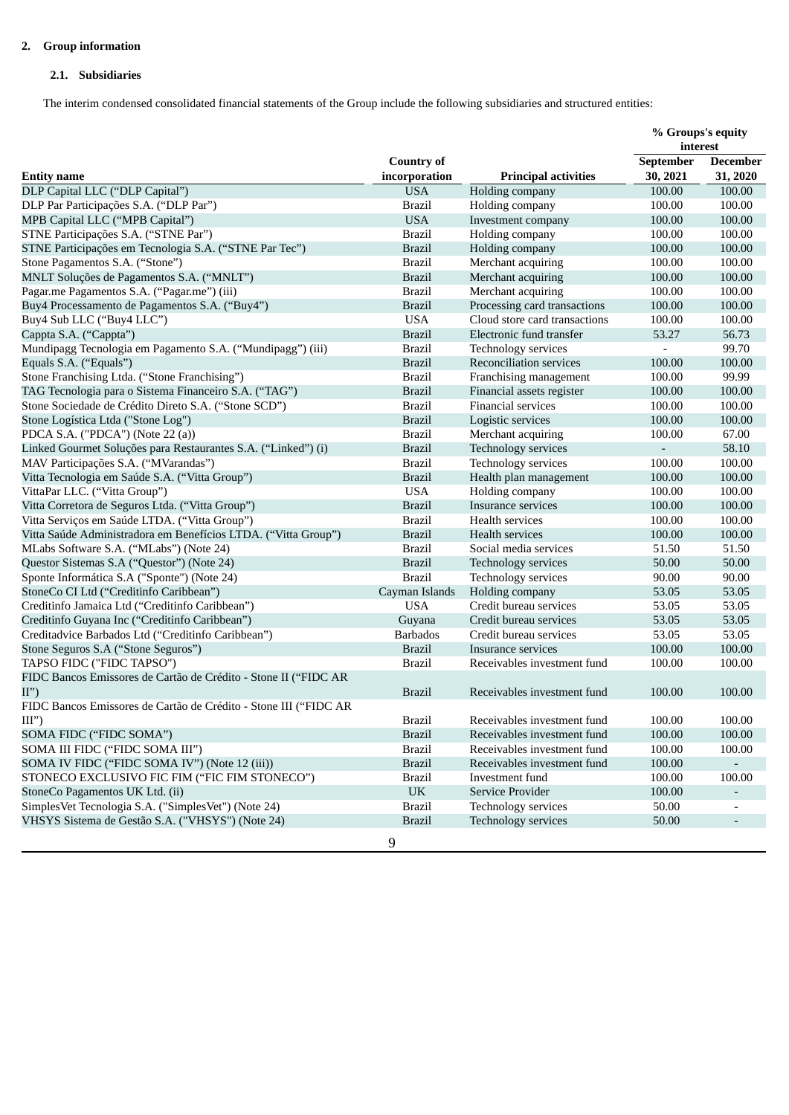# **2. Group information**

# **2.1. Subsidiaries**

The interim condensed consolidated financial statements of the Group include the following subsidiaries and structured entities:

|                                                                  |                                 |                                | % Groups's equity        |                 |  |
|------------------------------------------------------------------|---------------------------------|--------------------------------|--------------------------|-----------------|--|
|                                                                  |                                 |                                | interest                 |                 |  |
|                                                                  | <b>Country of</b>               |                                | September                | <b>December</b> |  |
| <b>Entity name</b>                                               | incorporation                   | <b>Principal activities</b>    | 30, 2021                 | 31, 2020        |  |
| DLP Capital LLC ("DLP Capital")                                  | <b>USA</b>                      | Holding company                | 100.00                   | 100.00          |  |
| DLP Par Participações S.A. ("DLP Par")                           | <b>Brazil</b>                   | Holding company                | 100.00                   | 100.00          |  |
| MPB Capital LLC ("MPB Capital")                                  | <b>USA</b>                      | Investment company             | 100.00                   | 100.00          |  |
| STNE Participações S.A. ("STNE Par")                             | <b>Brazil</b>                   | Holding company                | 100.00                   | 100.00          |  |
| STNE Participações em Tecnologia S.A. ("STNE Par Tec")           | <b>Brazil</b>                   | Holding company                | 100.00                   | 100.00          |  |
| Stone Pagamentos S.A. ("Stone")                                  | <b>Brazil</b>                   | Merchant acquiring             | 100.00                   | 100.00          |  |
| MNLT Soluções de Pagamentos S.A. ("MNLT")                        | <b>Brazil</b>                   | Merchant acquiring             | 100.00                   | 100.00          |  |
| Pagar.me Pagamentos S.A. ("Pagar.me") (iii)                      | <b>Brazil</b>                   | Merchant acquiring             | 100.00                   | 100.00          |  |
| Buy4 Processamento de Pagamentos S.A. ("Buy4")                   | <b>Brazil</b>                   | Processing card transactions   | 100.00                   | 100.00          |  |
| Buy4 Sub LLC ("Buy4 LLC")                                        | <b>USA</b>                      | Cloud store card transactions  | 100.00                   | 100.00          |  |
| Cappta S.A. ("Cappta")                                           | <b>Brazil</b>                   | Electronic fund transfer       | 53.27                    | 56.73           |  |
| Mundipagg Tecnologia em Pagamento S.A. ("Mundipagg") (iii)       | <b>Brazil</b>                   | Technology services            |                          | 99.70           |  |
| Equals S.A. ("Equals")                                           | <b>Brazil</b>                   | <b>Reconciliation services</b> | 100.00                   | 100.00          |  |
| Stone Franchising Ltda. ("Stone Franchising")                    | <b>Brazil</b>                   | Franchising management         | 100.00                   | 99.99           |  |
| TAG Tecnologia para o Sistema Financeiro S.A. ("TAG")            | <b>Brazil</b>                   | Financial assets register      | 100.00                   | 100.00          |  |
| Stone Sociedade de Crédito Direto S.A. ("Stone SCD")             | <b>Brazil</b>                   | Financial services             | 100.00                   | 100.00          |  |
| Stone Logística Ltda ("Stone Log")                               | <b>Brazil</b>                   | Logistic services              | 100.00                   | 100.00          |  |
| PDCA S.A. ("PDCA") (Note 22 (a))                                 | <b>Brazil</b>                   | Merchant acquiring             | 100.00                   | 67.00           |  |
| Linked Gourmet Soluções para Restaurantes S.A. ("Linked") (i)    | <b>Brazil</b>                   | Technology services            | $\overline{\phantom{a}}$ | 58.10           |  |
| MAV Participações S.A. ("MVarandas")                             | <b>Brazil</b>                   | Technology services            | 100.00                   | 100.00          |  |
| Vitta Tecnologia em Saúde S.A. ("Vitta Group")                   | <b>Brazil</b>                   | Health plan management         | 100.00                   | 100.00          |  |
| VittaPar LLC. ("Vitta Group")                                    | <b>USA</b>                      | Holding company                | 100.00                   | 100.00          |  |
| Vitta Corretora de Seguros Ltda. ("Vitta Group")                 | <b>Brazil</b>                   | <b>Insurance services</b>      | 100.00                   | 100.00          |  |
| Vitta Serviços em Saúde LTDA. ("Vitta Group")                    | <b>Brazil</b>                   | Health services                | 100.00                   | 100.00          |  |
| Vitta Saúde Administradora em Benefícios LTDA. ("Vitta Group")   | <b>Brazil</b>                   | <b>Health services</b>         | 100.00                   | 100.00          |  |
| MLabs Software S.A. ("MLabs") (Note 24)                          | <b>Brazil</b>                   | Social media services          | 51.50                    | 51.50           |  |
| Questor Sistemas S.A ("Questor") (Note 24)                       | <b>Brazil</b>                   | Technology services            | 50.00                    | 50.00           |  |
| Sponte Informática S.A ("Sponte") (Note 24)                      | <b>Brazil</b>                   | Technology services            | 90.00                    | 90.00           |  |
| StoneCo CI Ltd ("Creditinfo Caribbean")                          | Cayman Islands                  | Holding company                | 53.05                    | 53.05           |  |
| Creditinfo Jamaica Ltd ("Creditinfo Caribbean")                  | <b>USA</b>                      | Credit bureau services         | 53.05                    | 53.05           |  |
| Creditinfo Guyana Inc ("Creditinfo Caribbean")                   | Guyana                          | Credit bureau services         | 53.05                    | 53.05           |  |
| Creditadvice Barbados Ltd ("Creditinfo Caribbean")               | <b>Barbados</b>                 | Credit bureau services         | 53.05                    | 53.05           |  |
| Stone Seguros S.A ("Stone Seguros")                              | <b>Brazil</b>                   | Insurance services             | 100.00                   | 100.00          |  |
| TAPSO FIDC ("FIDC TAPSO")                                        | <b>Brazil</b>                   | Receivables investment fund    | 100.00                   | 100.00          |  |
| FIDC Bancos Emissores de Cartão de Crédito - Stone II ("FIDC AR  |                                 |                                |                          |                 |  |
| II")                                                             | <b>Brazil</b>                   | Receivables investment fund    | 100.00                   | 100.00          |  |
| FIDC Bancos Emissores de Cartão de Crédito - Stone III ("FIDC AR |                                 |                                |                          |                 |  |
| III")                                                            | <b>Brazil</b>                   | Receivables investment fund    | 100.00                   | 100.00          |  |
| SOMA FIDC ("FIDC SOMA")                                          | <b>Brazil</b>                   | Receivables investment fund    | 100.00                   | 100.00          |  |
| SOMA III FIDC ("FIDC SOMA III")                                  | <b>Brazil</b>                   | Receivables investment fund    | 100.00                   | 100.00          |  |
| SOMA IV FIDC ("FIDC SOMA IV") (Note 12 (iii))                    | <b>Brazil</b>                   | Receivables investment fund    | 100.00                   |                 |  |
| STONECO EXCLUSIVO FIC FIM ("FIC FIM STONECO")                    | <b>Brazil</b>                   | Investment fund                | 100.00                   | 100.00          |  |
| StoneCo Pagamentos UK Ltd. (ii)                                  | $\ensuremath{\text{UK}}\xspace$ | Service Provider               | 100.00                   |                 |  |
| SimplesVet Tecnologia S.A. ("SimplesVet") (Note 24)              | <b>Brazil</b>                   | Technology services            | 50.00                    |                 |  |
| VHSYS Sistema de Gestão S.A. ("VHSYS") (Note 24)                 | <b>Brazil</b>                   | Technology services            | 50.00                    |                 |  |
|                                                                  |                                 |                                |                          |                 |  |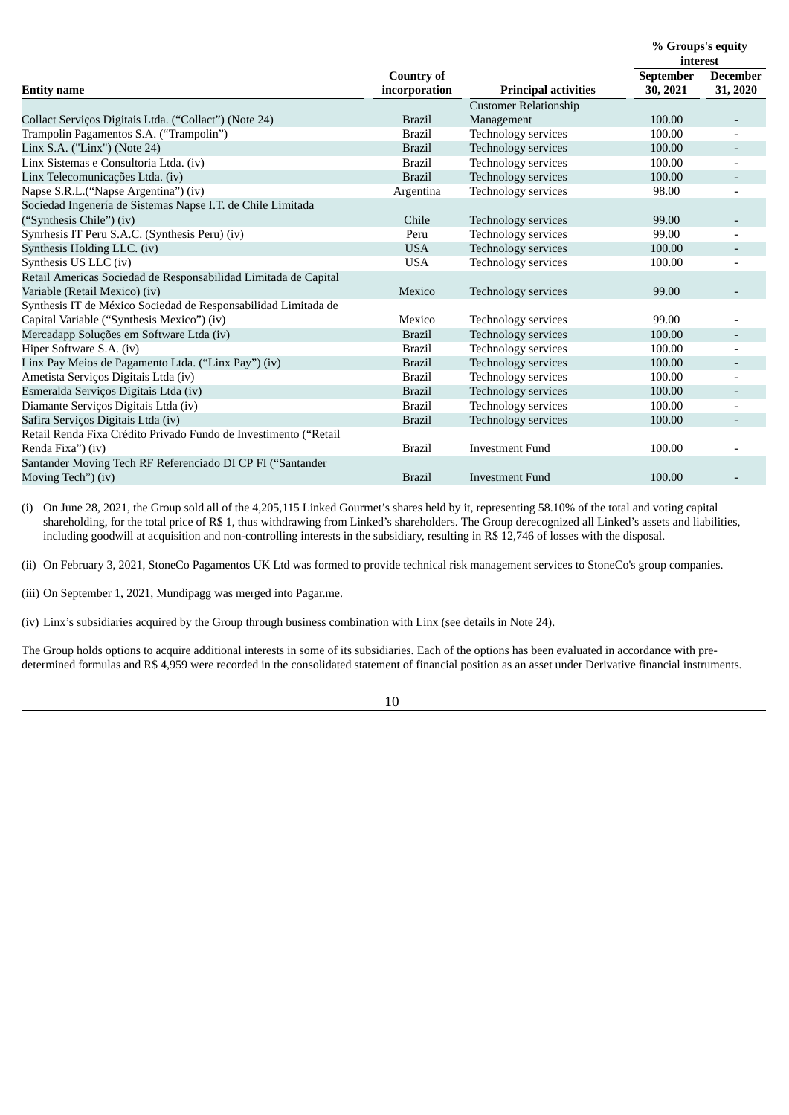|                                                                                  |                                    |                              | % Groups's equity<br>interest |                             |  |
|----------------------------------------------------------------------------------|------------------------------------|------------------------------|-------------------------------|-----------------------------|--|
| <b>Entity name</b>                                                               | <b>Country of</b><br>incorporation | <b>Principal activities</b>  | September<br>30, 2021         | <b>December</b><br>31, 2020 |  |
|                                                                                  |                                    | <b>Customer Relationship</b> |                               |                             |  |
| Collact Serviços Digitais Ltda. ("Collact") (Note 24)                            | <b>Brazil</b>                      | Management                   | 100.00                        |                             |  |
| Trampolin Pagamentos S.A. ("Trampolin")                                          | <b>Brazil</b>                      | Technology services          | 100.00                        |                             |  |
| Linx S.A. ("Linx") (Note 24)                                                     | <b>Brazil</b>                      | Technology services          | 100.00                        |                             |  |
| Linx Sistemas e Consultoria Ltda. (iv)                                           | <b>Brazil</b>                      | Technology services          | 100.00                        |                             |  |
| Linx Telecomunicações Ltda. (iv)                                                 | <b>Brazil</b>                      | Technology services          | 100.00                        |                             |  |
| Napse S.R.L.("Napse Argentina") (iv)                                             | Argentina                          | Technology services          | 98.00                         |                             |  |
| Sociedad Ingenería de Sistemas Napse I.T. de Chile Limitada                      |                                    |                              |                               |                             |  |
| ("Synthesis Chile") (iv)                                                         | Chile                              | Technology services          | 99.00                         |                             |  |
| Synrhesis IT Peru S.A.C. (Synthesis Peru) (iv)                                   | Peru                               | Technology services          | 99.00                         |                             |  |
| Synthesis Holding LLC. (iv)                                                      | <b>USA</b>                         | Technology services          | 100.00                        |                             |  |
| Synthesis US LLC (iv)                                                            | <b>USA</b>                         | Technology services          | 100.00                        |                             |  |
| Retail Americas Sociedad de Responsabilidad Limitada de Capital                  |                                    |                              |                               |                             |  |
| Variable (Retail Mexico) (iv)                                                    | Mexico                             | Technology services          | 99.00                         |                             |  |
| Synthesis IT de México Sociedad de Responsabilidad Limitada de                   |                                    |                              |                               |                             |  |
| Capital Variable ("Synthesis Mexico") (iv)                                       | Mexico                             | Technology services          | 99.00                         |                             |  |
| Mercadapp Soluções em Software Ltda (iv)                                         | <b>Brazil</b>                      | Technology services          | 100.00                        |                             |  |
| Hiper Software S.A. (iv)                                                         | <b>Brazil</b>                      | Technology services          | 100.00                        |                             |  |
| Linx Pay Meios de Pagamento Ltda. ("Linx Pay") (iv)                              | <b>Brazil</b>                      | Technology services          | 100.00                        |                             |  |
| Ametista Serviços Digitais Ltda (iv)                                             | <b>Brazil</b>                      | Technology services          | 100.00                        |                             |  |
| Esmeralda Serviços Digitais Ltda (iv)                                            | <b>Brazil</b>                      | Technology services          | 100.00                        |                             |  |
| Diamante Serviços Digitais Ltda (iv)                                             | <b>Brazil</b>                      | Technology services          | 100.00                        |                             |  |
| Safira Serviços Digitais Ltda (iv)                                               | <b>Brazil</b>                      | Technology services          | 100.00                        |                             |  |
| Retail Renda Fixa Crédito Privado Fundo de Investimento ("Retail                 |                                    |                              |                               |                             |  |
| Renda Fixa") (iv)                                                                | <b>Brazil</b>                      | <b>Investment Fund</b>       | 100.00                        |                             |  |
| Santander Moving Tech RF Referenciado DI CP FI ("Santander<br>Moving Tech") (iv) | <b>Brazil</b>                      | <b>Investment Fund</b>       | 100.00                        |                             |  |
|                                                                                  |                                    |                              |                               |                             |  |

(i) On June 28, 2021, the Group sold all of the 4,205,115 Linked Gourmet's shares held by it, representing 58.10% of the total and voting capital shareholding, for the total price of R\$ 1, thus withdrawing from Linked's shareholders. The Group derecognized all Linked's assets and liabilities, including goodwill at acquisition and non-controlling interests in the subsidiary, resulting in R\$ 12,746 of losses with the disposal.

(ii) On February 3, 2021, StoneCo Pagamentos UK Ltd was formed to provide technical risk management services to StoneCo's group companies.

(iii) On September 1, 2021, Mundipagg was merged into Pagar.me.

(iv) Linx's subsidiaries acquired by the Group through business combination with Linx (see details in Note 24).

The Group holds options to acquire additional interests in some of its subsidiaries. Each of the options has been evaluated in accordance with predetermined formulas and R\$ 4,959 were recorded in the consolidated statement of financial position as an asset under Derivative financial instruments.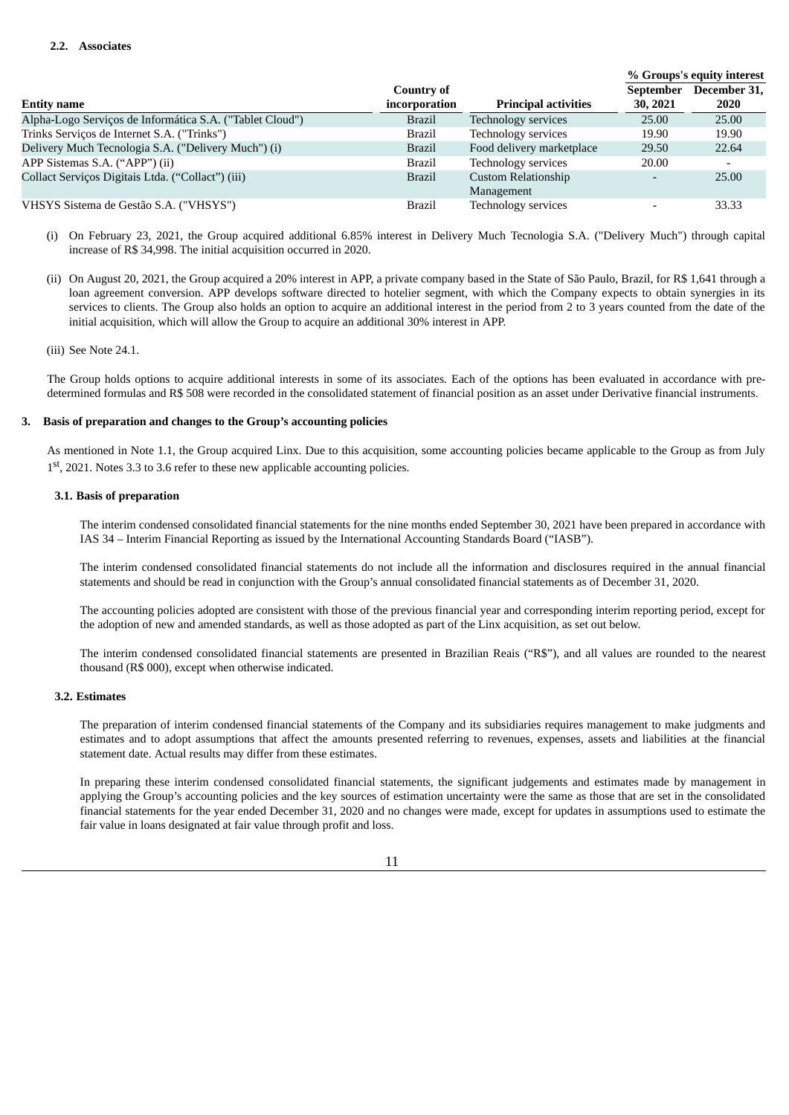|                                                          |               |                             |                  | % Groups's equity interest |
|----------------------------------------------------------|---------------|-----------------------------|------------------|----------------------------|
|                                                          | Country of    |                             | <b>September</b> | December 31,               |
| <b>Entity name</b>                                       | incorporation | <b>Principal activities</b> | 30, 2021         | 2020                       |
| Alpha-Logo Serviços de Informática S.A. ("Tablet Cloud") | Brazil        | Technology services         | 25.00            | 25.00                      |
| Trinks Servicos de Internet S.A. ("Trinks")              | <b>Brazil</b> | Technology services         | 19.90            | 19.90                      |
| Delivery Much Tecnologia S.A. ("Delivery Much") (i)      | <b>Brazil</b> | Food delivery marketplace   | 29.50            | 22.64                      |
| APP Sistemas S.A. ("APP") (ii)                           | <b>Brazil</b> | Technology services         | 20.00            |                            |
| Collact Serviços Digitais Ltda. ("Collact") (iii)        | <b>Brazil</b> | <b>Custom Relationship</b>  |                  | 25.00                      |
|                                                          |               | Management                  |                  |                            |
| VHSYS Sistema de Gestão S.A. ("VHSYS")                   | <b>Brazil</b> | Technology services         |                  | 33.33                      |

- (i) On February 23, 2021, the Group acquired additional 6.85% interest in Delivery Much Tecnologia S.A. ("Delivery Much") through capital increase of R\$ 34,998. The initial acquisition occurred in 2020.
- (ii) On August 20, 2021, the Group acquired a 20% interest in APP, a private company based in the State of São Paulo, Brazil, for R\$ 1,641 through a loan agreement conversion. APP develops software directed to hotelier segment, with which the Company expects to obtain synergies in its services to clients. The Group also holds an option to acquire an additional interest in the period from 2 to 3 years counted from the date of the initial acquisition, which will allow the Group to acquire an additional 30% interest in APP.

# (iii) See Note 24.1.

The Group holds options to acquire additional interests in some of its associates. Each of the options has been evaluated in accordance with predetermined formulas and R\$ 508 were recorded in the consolidated statement of financial position as an asset under Derivative financial instruments.

# **3. Basis of preparation and changes to the Group's accounting policies**

As mentioned in Note 1.1, the Group acquired Linx. Due to this acquisition, some accounting policies became applicable to the Group as from July 1<sup>st</sup>, 2021. Notes 3.3 to 3.6 refer to these new applicable accounting policies.

# **3.1. Basis of preparation**

The interim condensed consolidated financial statements for the nine months ended September 30, 2021 have been prepared in accordance with IAS 34 – Interim Financial Reporting as issued by the International Accounting Standards Board ("IASB").

The interim condensed consolidated financial statements do not include all the information and disclosures required in the annual financial statements and should be read in conjunction with the Group's annual consolidated financial statements as of December 31, 2020.

The accounting policies adopted are consistent with those of the previous financial year and corresponding interim reporting period, except for the adoption of new and amended standards, as well as those adopted as part of the Linx acquisition, as set out below.

The interim condensed consolidated financial statements are presented in Brazilian Reais ("R\$"), and all values are rounded to the nearest thousand (R\$ 000), except when otherwise indicated.

# **3.2. Estimates**

The preparation of interim condensed financial statements of the Company and its subsidiaries requires management to make judgments and estimates and to adopt assumptions that affect the amounts presented referring to revenues, expenses, assets and liabilities at the financial statement date. Actual results may differ from these estimates.

In preparing these interim condensed consolidated financial statements, the significant judgements and estimates made by management in applying the Group's accounting policies and the key sources of estimation uncertainty were the same as those that are set in the consolidated financial statements for the year ended December 31, 2020 and no changes were made, except for updates in assumptions used to estimate the fair value in loans designated at fair value through profit and loss.

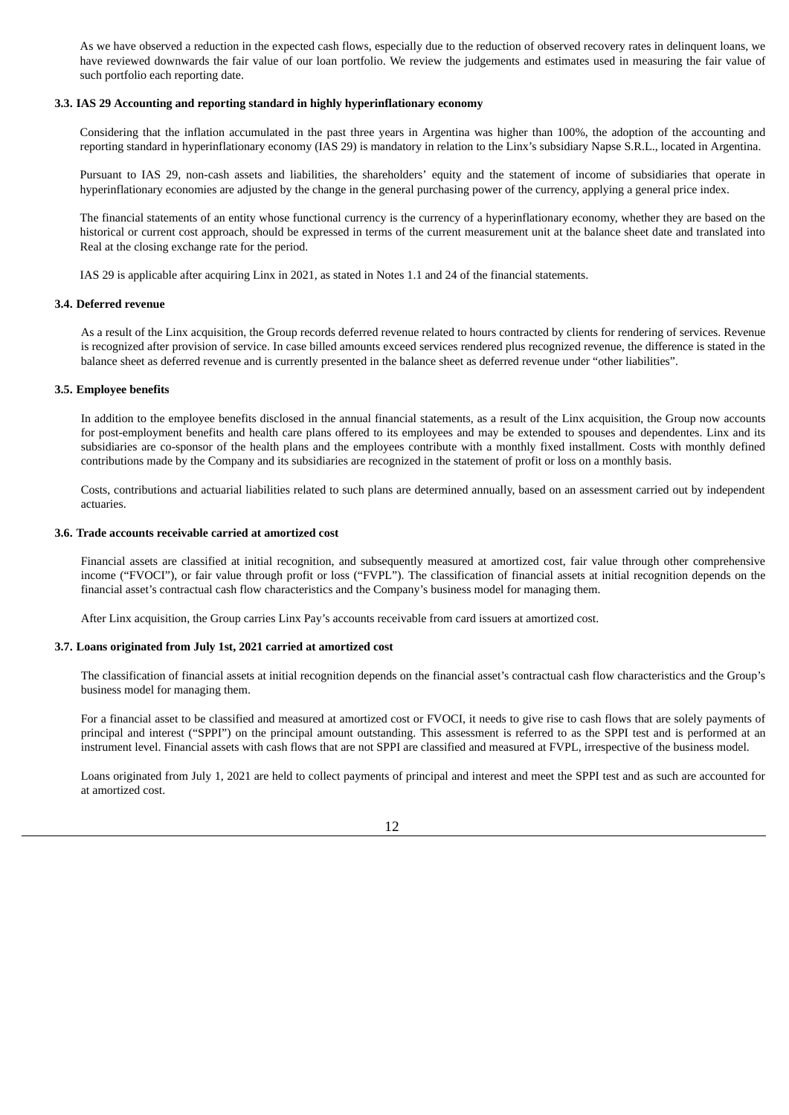As we have observed a reduction in the expected cash flows, especially due to the reduction of observed recovery rates in delinquent loans, we have reviewed downwards the fair value of our loan portfolio. We review the judgements and estimates used in measuring the fair value of such portfolio each reporting date.

### **3.3. IAS 29 Accounting and reporting standard in highly hyperinflationary economy**

Considering that the inflation accumulated in the past three years in Argentina was higher than 100%, the adoption of the accounting and reporting standard in hyperinflationary economy (IAS 29) is mandatory in relation to the Linx's subsidiary Napse S.R.L., located in Argentina.

Pursuant to IAS 29, non-cash assets and liabilities, the shareholders' equity and the statement of income of subsidiaries that operate in hyperinflationary economies are adjusted by the change in the general purchasing power of the currency, applying a general price index.

The financial statements of an entity whose functional currency is the currency of a hyperinflationary economy, whether they are based on the historical or current cost approach, should be expressed in terms of the current measurement unit at the balance sheet date and translated into Real at the closing exchange rate for the period.

IAS 29 is applicable after acquiring Linx in 2021, as stated in Notes 1.1 and 24 of the financial statements.

#### **3.4. Deferred revenue**

As a result of the Linx acquisition, the Group records deferred revenue related to hours contracted by clients for rendering of services. Revenue is recognized after provision of service. In case billed amounts exceed services rendered plus recognized revenue, the difference is stated in the balance sheet as deferred revenue and is currently presented in the balance sheet as deferred revenue under "other liabilities".

#### **3.5. Employee benefits**

In addition to the employee benefits disclosed in the annual financial statements, as a result of the Linx acquisition, the Group now accounts for post-employment benefits and health care plans offered to its employees and may be extended to spouses and dependentes. Linx and its subsidiaries are co-sponsor of the health plans and the employees contribute with a monthly fixed installment. Costs with monthly defined contributions made by the Company and its subsidiaries are recognized in the statement of profit or loss on a monthly basis.

Costs, contributions and actuarial liabilities related to such plans are determined annually, based on an assessment carried out by independent actuaries.

#### **3.6. Trade accounts receivable carried at amortized cost**

Financial assets are classified at initial recognition, and subsequently measured at amortized cost, fair value through other comprehensive income ("FVOCI"), or fair value through profit or loss ("FVPL"). The classification of financial assets at initial recognition depends on the financial asset's contractual cash flow characteristics and the Company's business model for managing them.

After Linx acquisition, the Group carries Linx Pay's accounts receivable from card issuers at amortized cost.

#### **3.7. Loans originated from July 1st, 2021 carried at amortized cost**

The classification of financial assets at initial recognition depends on the financial asset's contractual cash flow characteristics and the Group's business model for managing them.

For a financial asset to be classified and measured at amortized cost or FVOCI, it needs to give rise to cash flows that are solely payments of principal and interest ("SPPI") on the principal amount outstanding. This assessment is referred to as the SPPI test and is performed at an instrument level. Financial assets with cash flows that are not SPPI are classified and measured at FVPL, irrespective of the business model.

Loans originated from July 1, 2021 are held to collect payments of principal and interest and meet the SPPI test and as such are accounted for at amortized cost.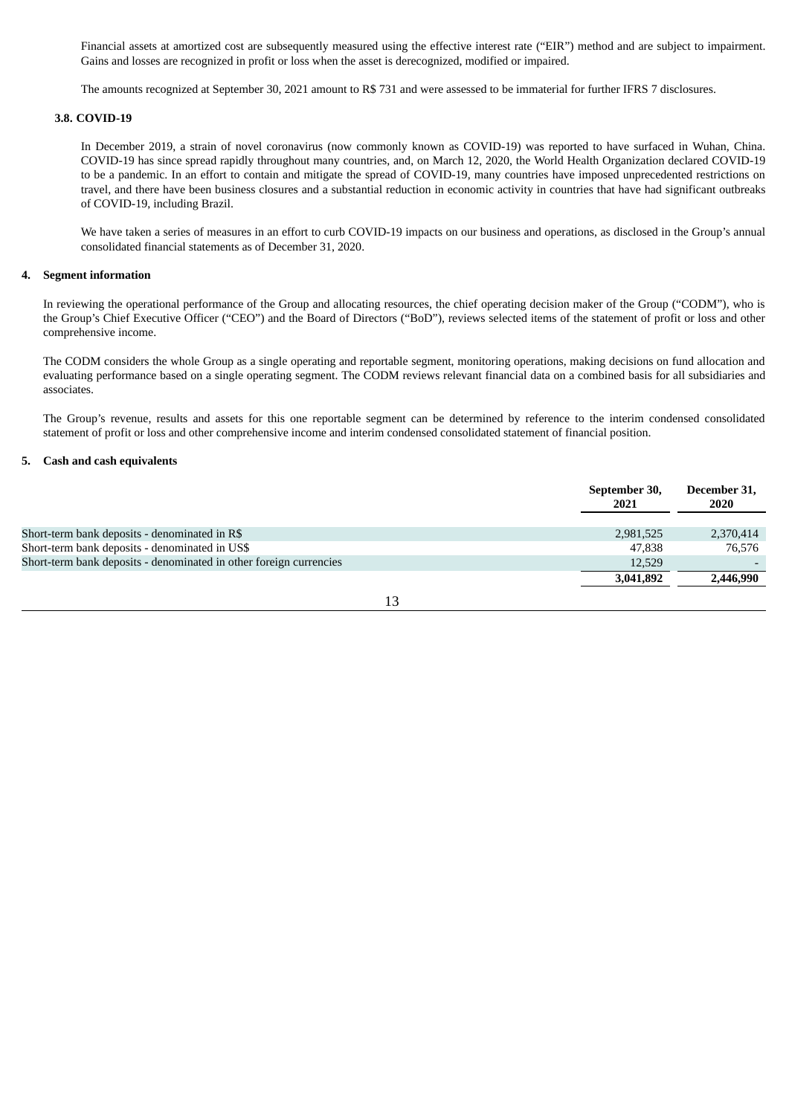Financial assets at amortized cost are subsequently measured using the effective interest rate ("EIR") method and are subject to impairment. Gains and losses are recognized in profit or loss when the asset is derecognized, modified or impaired.

The amounts recognized at September 30, 2021 amount to R\$ 731 and were assessed to be immaterial for further IFRS 7 disclosures.

#### **3.8. COVID-19**

In December 2019, a strain of novel coronavirus (now commonly known as COVID-19) was reported to have surfaced in Wuhan, China. COVID-19 has since spread rapidly throughout many countries, and, on March 12, 2020, the World Health Organization declared COVID-19 to be a pandemic. In an effort to contain and mitigate the spread of COVID-19, many countries have imposed unprecedented restrictions on travel, and there have been business closures and a substantial reduction in economic activity in countries that have had significant outbreaks of COVID-19, including Brazil.

We have taken a series of measures in an effort to curb COVID-19 impacts on our business and operations, as disclosed in the Group's annual consolidated financial statements as of December 31, 2020.

#### **4. Segment information**

In reviewing the operational performance of the Group and allocating resources, the chief operating decision maker of the Group ("CODM"), who is the Group's Chief Executive Officer ("CEO") and the Board of Directors ("BoD"), reviews selected items of the statement of profit or loss and other comprehensive income.

The CODM considers the whole Group as a single operating and reportable segment, monitoring operations, making decisions on fund allocation and evaluating performance based on a single operating segment. The CODM reviews relevant financial data on a combined basis for all subsidiaries and associates.

The Group's revenue, results and assets for this one reportable segment can be determined by reference to the interim condensed consolidated statement of profit or loss and other comprehensive income and interim condensed consolidated statement of financial position.

## **5. Cash and cash equivalents**

|                                                                    | September 30,<br>2021 | December 31,<br>2020 |
|--------------------------------------------------------------------|-----------------------|----------------------|
|                                                                    |                       |                      |
| Short-term bank deposits - denominated in R\$                      | 2,981,525             | 2,370,414            |
| Short-term bank deposits - denominated in US\$                     | 47.838                | 76.576               |
| Short-term bank deposits - denominated in other foreign currencies | 12,529                |                      |
|                                                                    | 3,041,892             | 2,446,990            |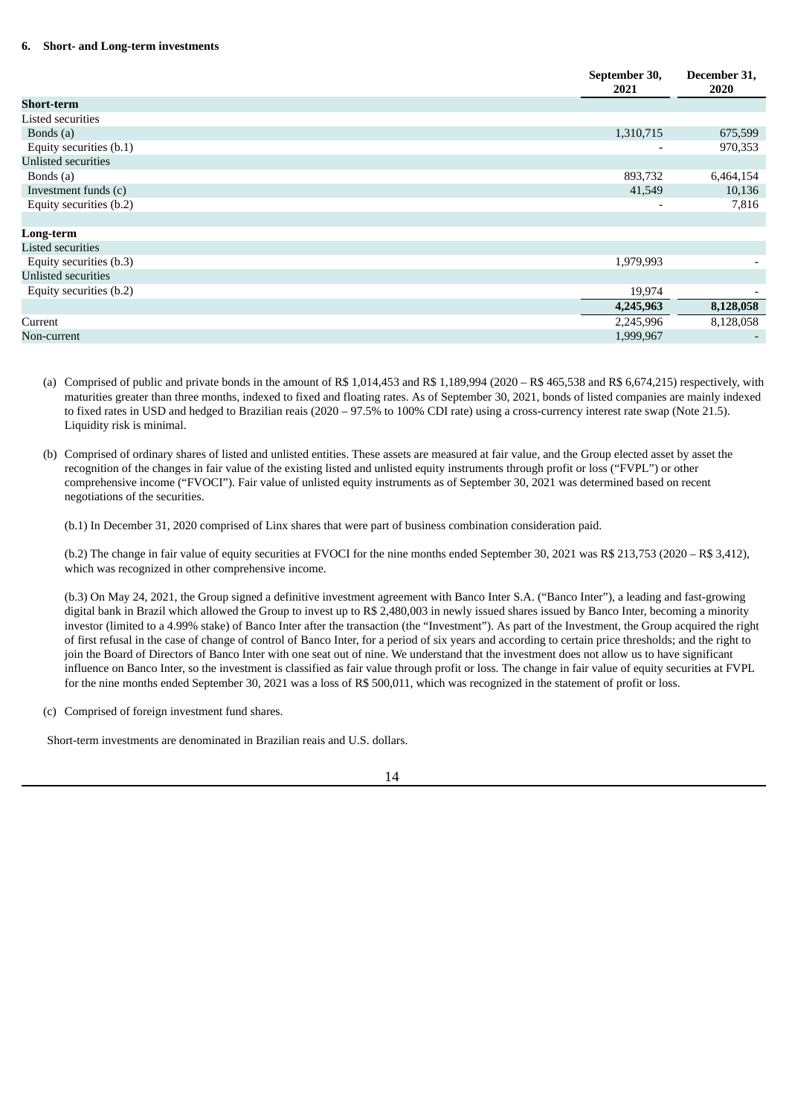### **6. Short- and Long-term investments**

| September 30,<br>2021    | December 31,<br>2020 |
|--------------------------|----------------------|
|                          |                      |
|                          |                      |
| 1,310,715                | 675,599              |
| ٠                        | 970,353              |
|                          |                      |
| 893,732                  | 6,464,154            |
| 41,549                   | 10,136               |
| $\overline{\phantom{0}}$ | 7,816                |
|                          |                      |
|                          |                      |
|                          |                      |
| 1,979,993                |                      |
|                          |                      |
| 19,974                   |                      |
| 4,245,963                | 8,128,058            |
| 2,245,996                | 8,128,058            |
| 1,999,967                |                      |
|                          |                      |

(a) Comprised of public and private bonds in the amount of R\$ 1,014,453 and R\$ 1,189,994 (2020 – R\$ 465,538 and R\$ 6,674,215) respectively, with maturities greater than three months, indexed to fixed and floating rates. As of September 30, 2021, bonds of listed companies are mainly indexed to fixed rates in USD and hedged to Brazilian reais (2020 – 97.5% to 100% CDI rate) using a cross-currency interest rate swap (Note 21.5). Liquidity risk is minimal.

(b) Comprised of ordinary shares of listed and unlisted entities. These assets are measured at fair value, and the Group elected asset by asset the recognition of the changes in fair value of the existing listed and unlisted equity instruments through profit or loss ("FVPL") or other comprehensive income ("FVOCI"). Fair value of unlisted equity instruments as of September 30, 2021 was determined based on recent negotiations of the securities.

(b.1) In December 31, 2020 comprised of Linx shares that were part of business combination consideration paid.

(b.2) The change in fair value of equity securities at FVOCI for the nine months ended September 30, 2021 was R\$ 213,753 (2020 – R\$ 3,412), which was recognized in other comprehensive income.

(b.3) On May 24, 2021, the Group signed a definitive investment agreement with Banco Inter S.A. ("Banco Inter"), a leading and fast-growing digital bank in Brazil which allowed the Group to invest up to R\$ 2,480,003 in newly issued shares issued by Banco Inter, becoming a minority investor (limited to a 4.99% stake) of Banco Inter after the transaction (the "Investment"). As part of the Investment, the Group acquired the right of first refusal in the case of change of control of Banco Inter, for a period of six years and according to certain price thresholds; and the right to join the Board of Directors of Banco Inter with one seat out of nine. We understand that the investment does not allow us to have significant influence on Banco Inter, so the investment is classified as fair value through profit or loss. The change in fair value of equity securities at FVPL for the nine months ended September 30, 2021 was a loss of R\$ 500,011, which was recognized in the statement of profit or loss.

(c) Comprised of foreign investment fund shares.

Short-term investments are denominated in Brazilian reais and U.S. dollars.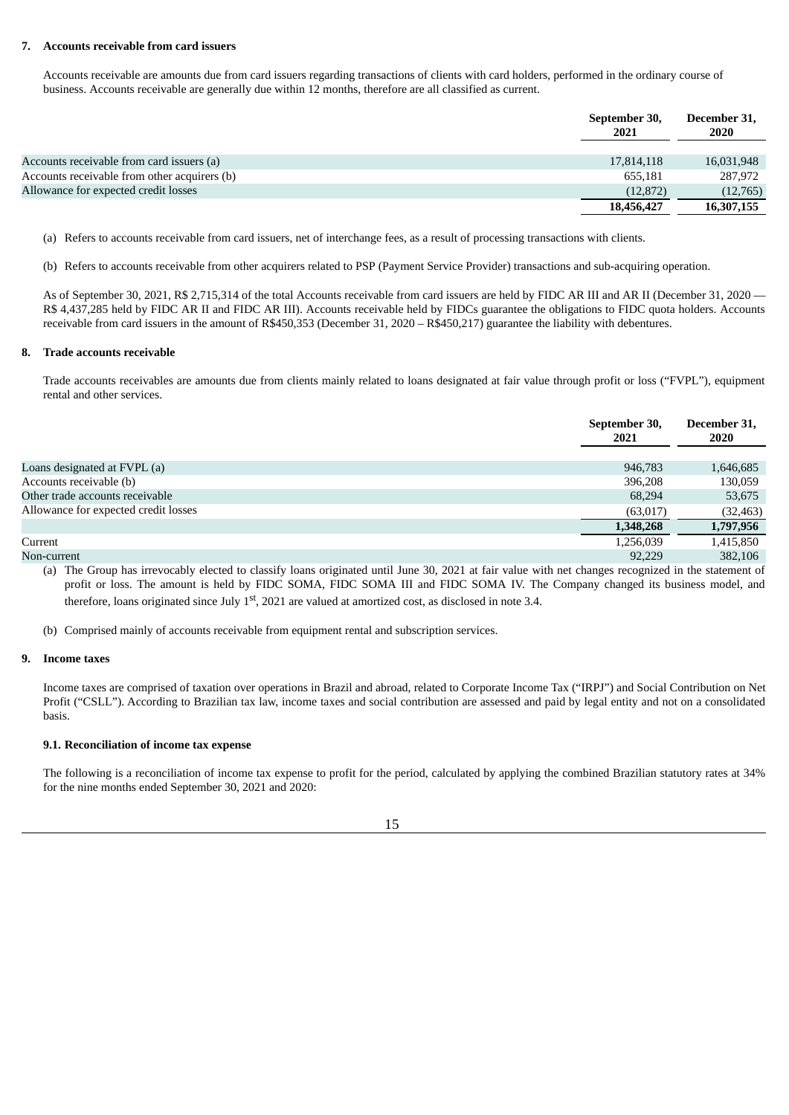#### **7. Accounts receivable from card issuers**

Accounts receivable are amounts due from card issuers regarding transactions of clients with card holders, performed in the ordinary course of business. Accounts receivable are generally due within 12 months, therefore are all classified as current.

|                                              | September 30,<br>2021 | December 31,<br>2020 |
|----------------------------------------------|-----------------------|----------------------|
|                                              |                       |                      |
| Accounts receivable from card issuers (a)    | 17,814,118            | 16,031,948           |
| Accounts receivable from other acquirers (b) | 655,181               | 287,972              |
| Allowance for expected credit losses         | (12, 872)             | (12,765)             |
|                                              | 18,456,427            | 16,307,155           |

(a) Refers to accounts receivable from card issuers, net of interchange fees, as a result of processing transactions with clients.

(b) Refers to accounts receivable from other acquirers related to PSP (Payment Service Provider) transactions and sub-acquiring operation.

As of September 30, 2021, R\$ 2,715,314 of the total Accounts receivable from card issuers are held by FIDC AR III and AR II (December 31, 2020 — R\$ 4,437,285 held by FIDC AR II and FIDC AR III). Accounts receivable held by FIDCs guarantee the obligations to FIDC quota holders. Accounts receivable from card issuers in the amount of R\$450,353 (December 31, 2020 – R\$450,217) guarantee the liability with debentures.

#### **8. Trade accounts receivable**

Trade accounts receivables are amounts due from clients mainly related to loans designated at fair value through profit or loss ("FVPL"), equipment rental and other services.

|                                      | September 30,<br>2021 | December 31,<br><b>2020</b> |
|--------------------------------------|-----------------------|-----------------------------|
|                                      |                       |                             |
| Loans designated at FVPL (a)         | 946,783               | 1,646,685                   |
| Accounts receivable (b)              | 396,208               | 130,059                     |
| Other trade accounts receivable      | 68,294                | 53,675                      |
| Allowance for expected credit losses | (63,017)              | (32, 463)                   |
|                                      | 1,348,268             | 1,797,956                   |
| Current                              | 1,256,039             | 1,415,850                   |
| Non-current                          | 92.229                | 382,106                     |

(a) The Group has irrevocably elected to classify loans originated until June 30, 2021 at fair value with net changes recognized in the statement of profit or loss. The amount is held by FIDC SOMA, FIDC SOMA III and FIDC SOMA IV. The Company changed its business model, and therefore, loans originated since July  $1<sup>st</sup>$ , 2021 are valued at amortized cost, as disclosed in note 3.4.

(b) Comprised mainly of accounts receivable from equipment rental and subscription services.

### **9. Income taxes**

Income taxes are comprised of taxation over operations in Brazil and abroad, related to Corporate Income Tax ("IRPJ") and Social Contribution on Net Profit ("CSLL"). According to Brazilian tax law, income taxes and social contribution are assessed and paid by legal entity and not on a consolidated basis.

# **9.1. Reconciliation of income tax expense**

The following is a reconciliation of income tax expense to profit for the period, calculated by applying the combined Brazilian statutory rates at 34% for the nine months ended September 30, 2021 and 2020:

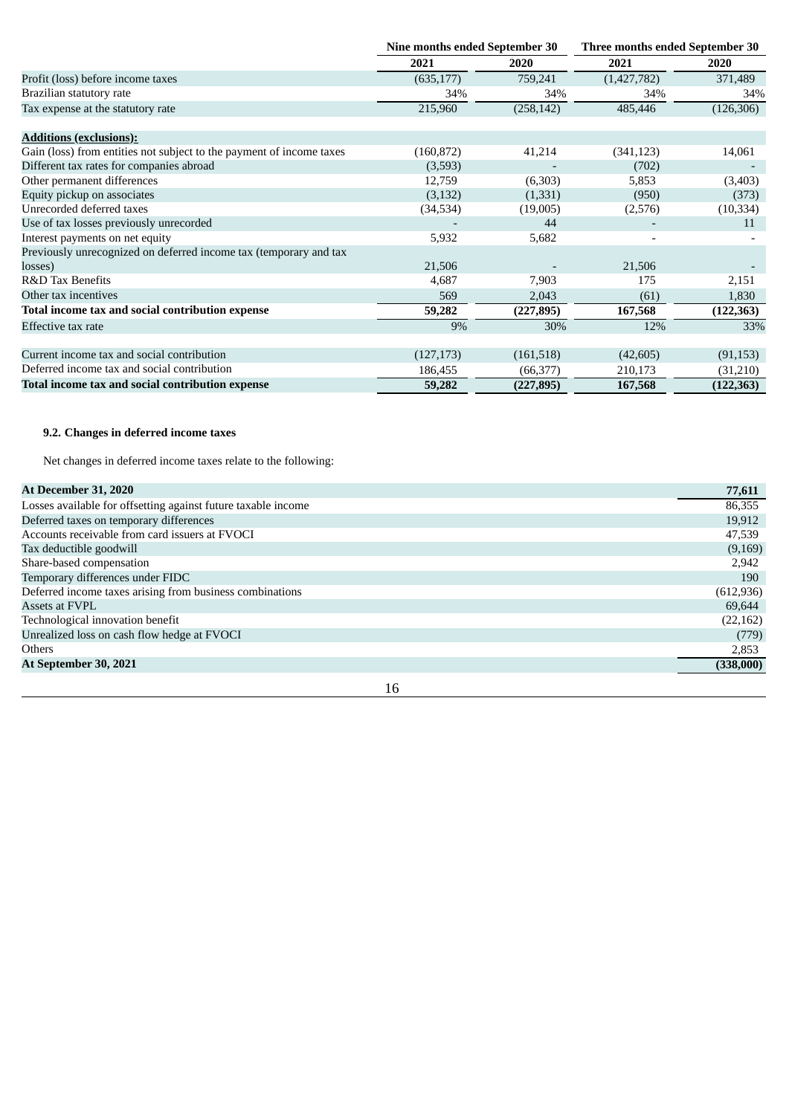|                                                                      | Nine months ended September 30 |            | Three months ended September 30 |            |  |
|----------------------------------------------------------------------|--------------------------------|------------|---------------------------------|------------|--|
|                                                                      | 2021                           | 2020       | 2021                            | 2020       |  |
| Profit (loss) before income taxes                                    | (635, 177)                     | 759,241    | (1,427,782)                     | 371,489    |  |
| Brazilian statutory rate                                             | 34%                            | 34%        | 34%                             | 34%        |  |
| Tax expense at the statutory rate                                    | 215,960                        | (258, 142) | 485,446                         | (126, 306) |  |
| <b>Additions (exclusions):</b>                                       |                                |            |                                 |            |  |
| Gain (loss) from entities not subject to the payment of income taxes | (160, 872)                     | 41,214     | (341, 123)                      | 14,061     |  |
| Different tax rates for companies abroad                             | (3,593)                        |            | (702)                           |            |  |
| Other permanent differences                                          | 12,759                         | (6,303)    | 5,853                           | (3,403)    |  |
| Equity pickup on associates                                          | (3, 132)                       | (1,331)    | (950)                           | (373)      |  |
| Unrecorded deferred taxes                                            | (34, 534)                      | (19,005)   | (2,576)                         | (10, 334)  |  |
| Use of tax losses previously unrecorded                              |                                | 44         |                                 | 11         |  |
| Interest payments on net equity                                      | 5,932                          | 5,682      | $\overline{\phantom{0}}$        |            |  |
| Previously unrecognized on deferred income tax (temporary and tax    |                                |            |                                 |            |  |
| losses)                                                              | 21,506                         |            | 21,506                          |            |  |
| <b>R&amp;D Tax Benefits</b>                                          | 4,687                          | 7,903      | 175                             | 2,151      |  |
| Other tax incentives                                                 | 569                            | 2,043      | (61)                            | 1,830      |  |
| Total income tax and social contribution expense                     | 59,282                         | (227, 895) | 167,568                         | (122, 363) |  |
| Effective tax rate                                                   | 9%                             | 30%        | 12%                             | 33%        |  |
| Current income tax and social contribution                           | (127, 173)                     | (161, 518) | (42, 605)                       | (91, 153)  |  |
| Deferred income tax and social contribution                          | 186,455                        | (66, 377)  | 210,173                         | (31,210)   |  |
| Total income tax and social contribution expense                     | 59,282                         | (227, 895) | 167,568                         | (122, 363) |  |

# **9.2. Changes in deferred income taxes**

Net changes in deferred income taxes relate to the following:

| <b>At December 31, 2020</b>                                   | 77,611     |
|---------------------------------------------------------------|------------|
| Losses available for offsetting against future taxable income | 86,355     |
| Deferred taxes on temporary differences                       | 19,912     |
| Accounts receivable from card issuers at FVOCI                | 47,539     |
| Tax deductible goodwill                                       | (9,169)    |
| Share-based compensation                                      | 2,942      |
| Temporary differences under FIDC                              | 190        |
| Deferred income taxes arising from business combinations      | (612, 936) |
| Assets at FVPL                                                | 69,644     |
| Technological innovation benefit                              | (22, 162)  |
| Unrealized loss on cash flow hedge at FVOCI                   | (779)      |
| <b>Others</b>                                                 | 2,853      |
| At September 30, 2021                                         | (338,000)  |
| 16                                                            |            |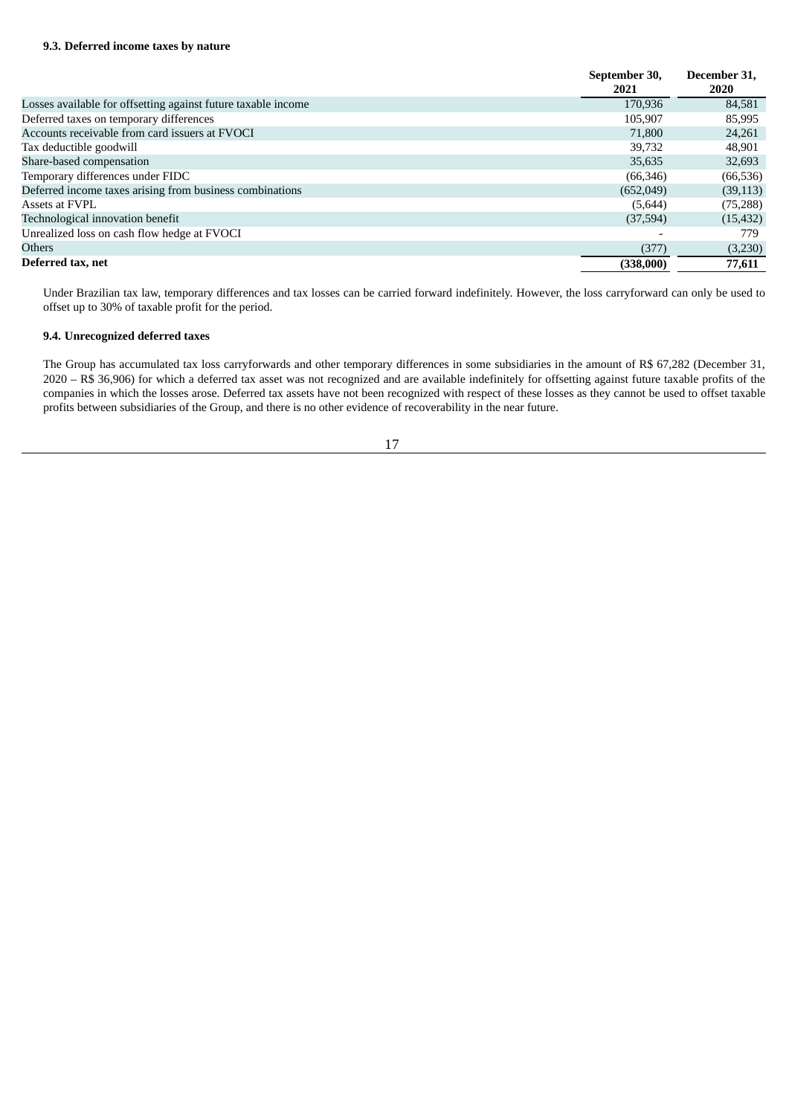|                                                               | September 30, | December 31. |
|---------------------------------------------------------------|---------------|--------------|
|                                                               | 2021          | <b>2020</b>  |
| Losses available for offsetting against future taxable income | 170.936       | 84.581       |
| Deferred taxes on temporary differences                       | 105,907       | 85,995       |
| Accounts receivable from card issuers at FVOCI                | 71,800        | 24,261       |
| Tax deductible goodwill                                       | 39.732        | 48,901       |
| Share-based compensation                                      | 35,635        | 32,693       |
| Temporary differences under FIDC                              | (66, 346)     | (66, 536)    |
| Deferred income taxes arising from business combinations      | (652,049)     | (39, 113)    |
| Assets at FVPL                                                | (5,644)       | (75, 288)    |
| Technological innovation benefit                              | (37,594)      | (15, 432)    |
| Unrealized loss on cash flow hedge at FVOCI                   |               | 779.         |
| <b>Others</b>                                                 | (377)         | (3,230)      |
| Deferred tax, net                                             | (338,000)     | 77,611       |

Under Brazilian tax law, temporary differences and tax losses can be carried forward indefinitely. However, the loss carryforward can only be used to offset up to 30% of taxable profit for the period.

# **9.4. Unrecognized deferred taxes**

The Group has accumulated tax loss carryforwards and other temporary differences in some subsidiaries in the amount of R\$ 67,282 (December 31, 2020 – R\$ 36,906) for which a deferred tax asset was not recognized and are available indefinitely for offsetting against future taxable profits of the companies in which the losses arose. Deferred tax assets have not been recognized with respect of these losses as they cannot be used to offset taxable profits between subsidiaries of the Group, and there is no other evidence of recoverability in the near future.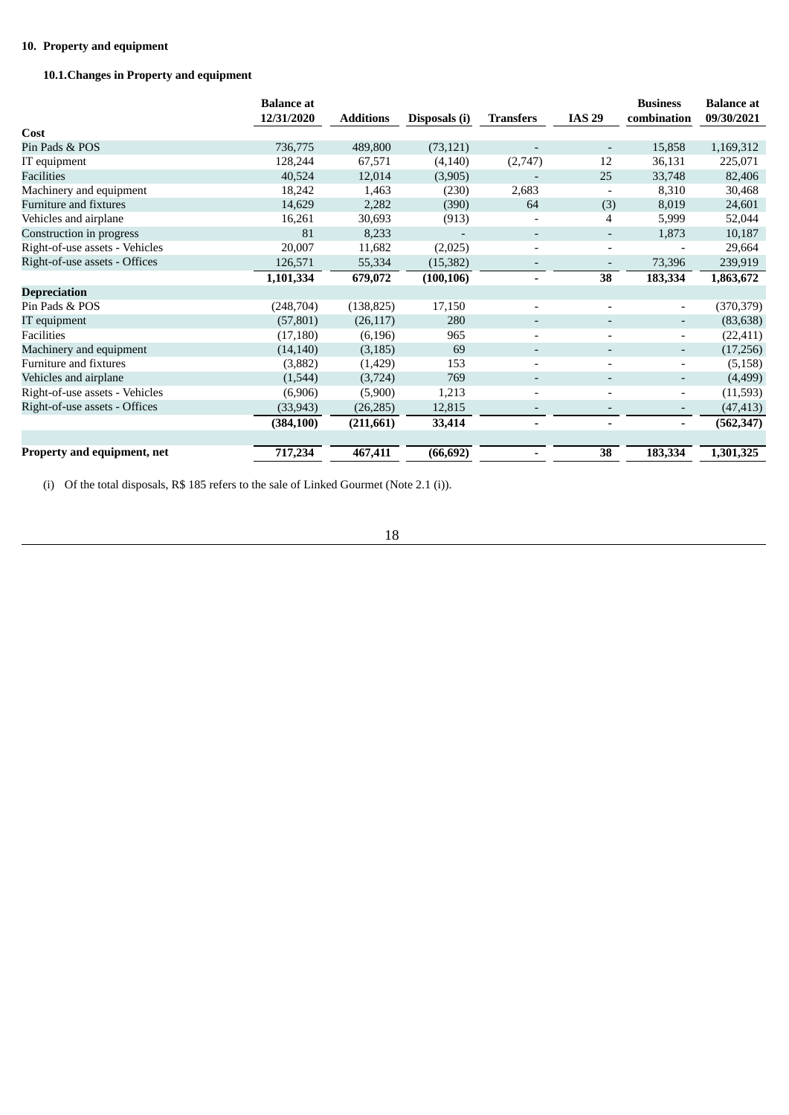# **10. Property and equipment**

# **10.1.Changes in Property and equipment**

|                                | <b>Balance</b> at<br>12/31/2020 | <b>Additions</b> | Disposals (i) | <b>Transfers</b>         | <b>IAS 29</b>            | <b>Business</b><br>combination | <b>Balance</b> at<br>09/30/2021 |
|--------------------------------|---------------------------------|------------------|---------------|--------------------------|--------------------------|--------------------------------|---------------------------------|
| Cost                           |                                 |                  |               |                          |                          |                                |                                 |
| Pin Pads & POS                 | 736,775                         | 489,800          | (73, 121)     |                          | $\overline{\phantom{a}}$ | 15,858                         | 1,169,312                       |
| IT equipment                   | 128,244                         | 67,571           | (4, 140)      | (2,747)                  | 12                       | 36,131                         | 225,071                         |
| Facilities                     | 40,524                          | 12,014           | (3,905)       |                          | 25                       | 33,748                         | 82,406                          |
| Machinery and equipment        | 18,242                          | 1,463            | (230)         | 2,683                    | $\overline{\phantom{a}}$ | 8,310                          | 30,468                          |
| Furniture and fixtures         | 14,629                          | 2,282            | (390)         | 64                       | (3)                      | 8,019                          | 24,601                          |
| Vehicles and airplane          | 16,261                          | 30,693           | (913)         |                          | 4                        | 5,999                          | 52,044                          |
| Construction in progress       | 81                              | 8,233            |               | $\overline{\phantom{a}}$ | ٠                        | 1,873                          | 10,187                          |
| Right-of-use assets - Vehicles | 20,007                          | 11,682           | (2,025)       | $\overline{\phantom{a}}$ | $\overline{\phantom{a}}$ | $\qquad \qquad -$              | 29,664                          |
| Right-of-use assets - Offices  | 126,571                         | 55,334           | (15, 382)     | $\overline{\phantom{a}}$ | $\overline{\phantom{a}}$ | 73,396                         | 239,919                         |
|                                | 1,101,334                       | 679,072          | (100, 106)    | $\overline{\phantom{0}}$ | 38                       | 183,334                        | 1,863,672                       |
| <b>Depreciation</b>            |                                 |                  |               |                          |                          |                                |                                 |
| Pin Pads & POS                 | (248, 704)                      | (138, 825)       | 17,150        |                          | $\overline{\phantom{a}}$ | $\overline{\phantom{a}}$       | (370, 379)                      |
| IT equipment                   | (57, 801)                       | (26, 117)        | 280           |                          | $\overline{\phantom{a}}$ | $\overline{\phantom{a}}$       | (83, 638)                       |
| Facilities                     | (17, 180)                       | (6, 196)         | 965           |                          |                          | $\overline{\phantom{0}}$       | (22, 411)                       |
| Machinery and equipment        | (14, 140)                       | (3, 185)         | 69            |                          | $\overline{\phantom{0}}$ | $\overline{\phantom{a}}$       | (17,256)                        |
| Furniture and fixtures         | (3,882)                         | (1,429)          | 153           |                          | $\blacksquare$           | $\overline{\phantom{a}}$       | (5, 158)                        |
| Vehicles and airplane          | (1,544)                         | (3,724)          | 769           | $\overline{\phantom{0}}$ | $\overline{\phantom{a}}$ | $\overline{\phantom{m}}$       | (4, 499)                        |
| Right-of-use assets - Vehicles | (6,906)                         | (5,900)          | 1,213         | -                        | $\overline{\phantom{a}}$ | $\overline{\phantom{a}}$       | (11,593)                        |
| Right-of-use assets - Offices  | (33, 943)                       | (26, 285)        | 12,815        |                          |                          | $\overline{\phantom{a}}$       | (47, 413)                       |
|                                | (384, 100)                      | (211,661)        | 33,414        |                          |                          | $\overline{\phantom{a}}$       | (562, 347)                      |
| Property and equipment, net    | 717,234                         | 467,411          | (66, 692)     |                          | 38                       | 183,334                        | 1,301,325                       |

(i) Of the total disposals, R\$ 185 refers to the sale of Linked Gourmet (Note 2.1 (i)).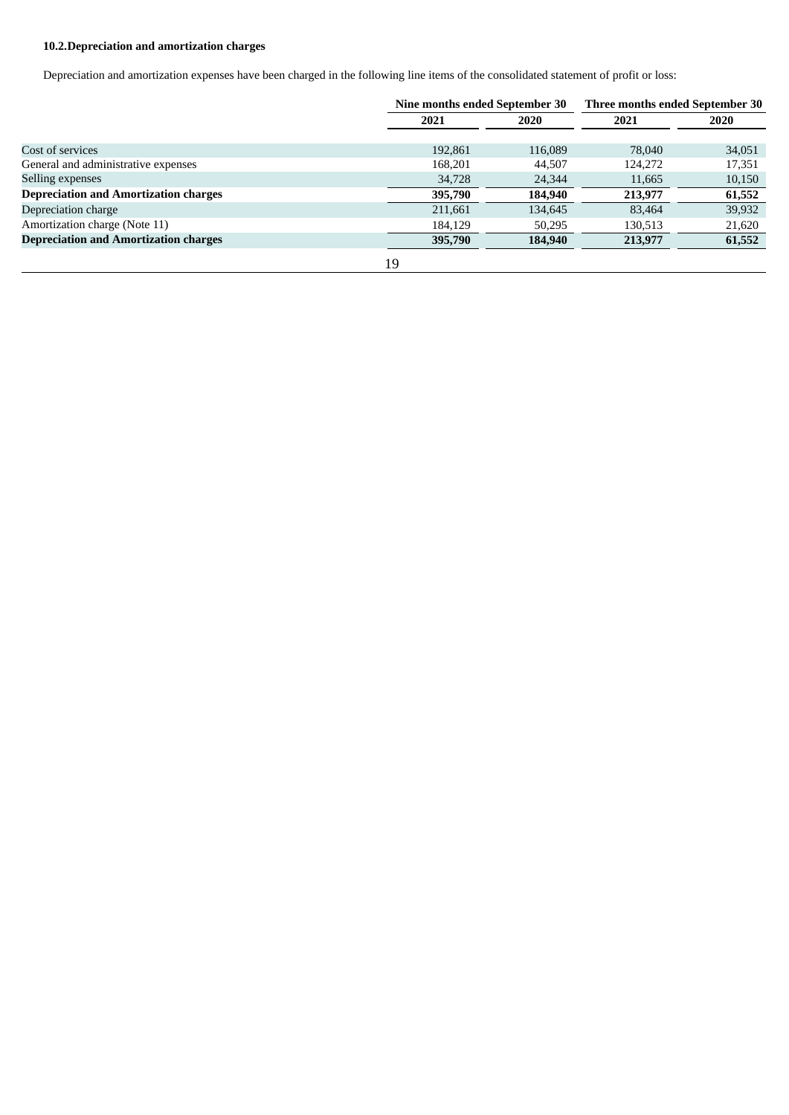# **10.2.Depreciation and amortization charges**

Depreciation and amortization expenses have been charged in the following line items of the consolidated statement of profit or loss:

|                                              | Nine months ended September 30 |         | Three months ended September 30 |        |  |
|----------------------------------------------|--------------------------------|---------|---------------------------------|--------|--|
|                                              | 2021                           | 2020    | 2021                            | 2020   |  |
|                                              |                                |         |                                 |        |  |
| Cost of services                             | 192,861                        | 116,089 | 78,040                          | 34,051 |  |
| General and administrative expenses          | 168,201                        | 44,507  | 124,272                         | 17,351 |  |
| Selling expenses                             | 34,728                         | 24,344  | 11,665                          | 10,150 |  |
| <b>Depreciation and Amortization charges</b> | 395,790                        | 184,940 | 213,977                         | 61,552 |  |
| Depreciation charge                          | 211,661                        | 134,645 | 83.464                          | 39,932 |  |
| Amortization charge (Note 11)                | 184.129                        | 50,295  | 130,513                         | 21,620 |  |
| <b>Depreciation and Amortization charges</b> | 395,790                        | 184,940 | 213,977                         | 61,552 |  |
|                                              | 19                             |         |                                 |        |  |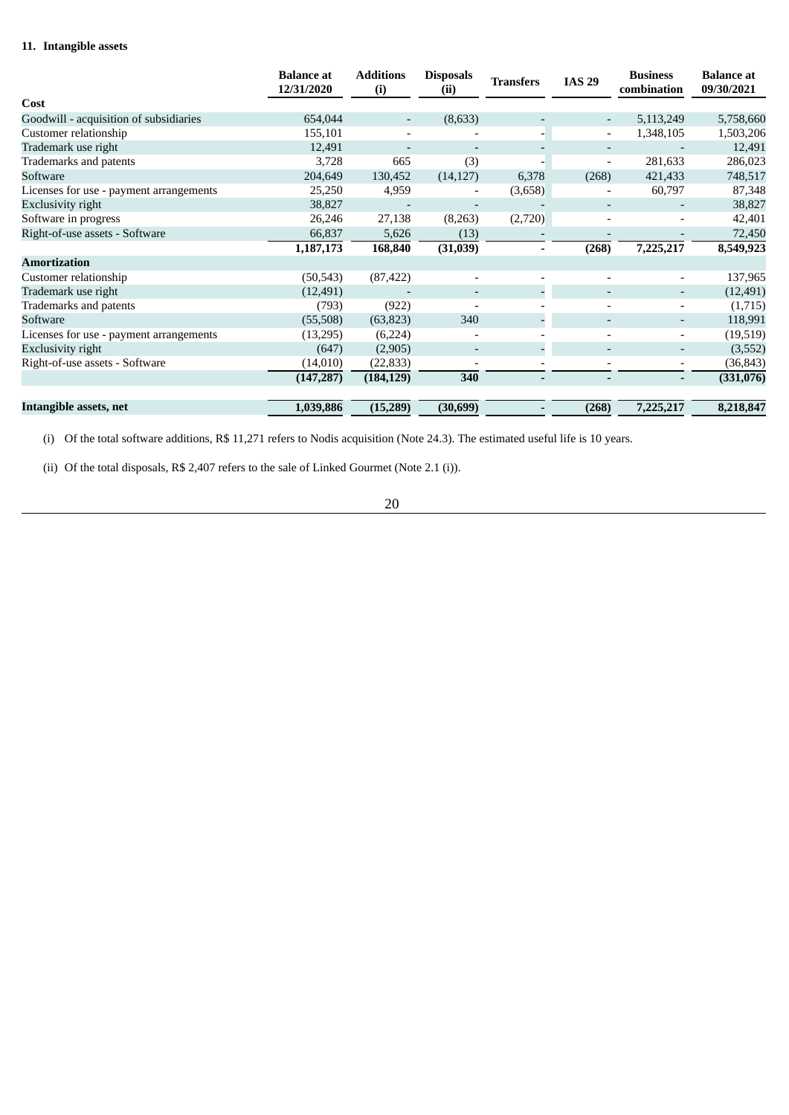# **11. Intangible assets**

|                                         | <b>Balance at</b><br>12/31/2020 | <b>Additions</b><br>(i) | <b>Disposals</b><br>(ii) | <b>Transfers</b> | <b>IAS 29</b>            | <b>Business</b><br>combination | <b>Balance</b> at<br>09/30/2021 |
|-----------------------------------------|---------------------------------|-------------------------|--------------------------|------------------|--------------------------|--------------------------------|---------------------------------|
| Cost                                    |                                 |                         |                          |                  |                          |                                |                                 |
| Goodwill - acquisition of subsidiaries  | 654,044                         |                         | (8,633)                  |                  | $\overline{\phantom{a}}$ | 5,113,249                      | 5,758,660                       |
| Customer relationship                   | 155,101                         |                         |                          | ۰.               | $\overline{\phantom{a}}$ | 1,348,105                      | 1,503,206                       |
| Trademark use right                     | 12,491                          |                         |                          |                  |                          |                                | 12,491                          |
| Trademarks and patents                  | 3,728                           | 665                     | (3)                      |                  | $\overline{\phantom{a}}$ | 281,633                        | 286,023                         |
| Software                                | 204,649                         | 130,452                 | (14, 127)                | 6,378            | (268)                    | 421,433                        | 748,517                         |
| Licenses for use - payment arrangements | 25,250                          | 4,959                   |                          | (3,658)          |                          | 60,797                         | 87,348                          |
| Exclusivity right                       | 38,827                          |                         |                          |                  |                          |                                | 38,827                          |
| Software in progress                    | 26,246                          | 27,138                  | (8,263)                  | (2,720)          |                          |                                | 42,401                          |
| Right-of-use assets - Software          | 66,837                          | 5,626                   | (13)                     |                  |                          |                                | 72,450                          |
|                                         | 1,187,173                       | 168,840                 | (31,039)                 |                  | (268)                    | 7,225,217                      | 8,549,923                       |
| <b>Amortization</b>                     |                                 |                         |                          |                  |                          |                                |                                 |
| Customer relationship                   | (50, 543)                       | (87, 422)               |                          |                  |                          | $\overline{\phantom{a}}$       | 137,965                         |
| Trademark use right                     | (12, 491)                       |                         | $\overline{\phantom{a}}$ |                  | $\overline{\phantom{a}}$ | ٠                              | (12, 491)                       |
| Trademarks and patents                  | (793)                           | (922)                   |                          |                  |                          | ۰.                             | (1,715)                         |
| Software                                | (55,508)                        | (63, 823)               | 340                      |                  | $\overline{\phantom{a}}$ | -                              | 118,991                         |
| Licenses for use - payment arrangements | (13,295)                        | (6,224)                 |                          |                  |                          | ۰                              | (19, 519)                       |
| Exclusivity right                       | (647)                           | (2,905)                 | $\overline{\phantom{a}}$ |                  | $\overline{\phantom{a}}$ | ۰.                             | (3,552)                         |
| Right-of-use assets - Software          | (14, 010)                       | (22, 833)               |                          |                  |                          | $\overline{\phantom{a}}$       | (36,843)                        |
|                                         | (147, 287)                      | (184, 129)              | 340                      |                  |                          |                                | (331,076)                       |
| Intangible assets, net                  | 1,039,886                       | (15,289)                | (30, 699)                |                  | (268)                    | 7,225,217                      | 8,218,847                       |

(i) Of the total software additions, R\$ 11,271 refers to Nodis acquisition (Note 24.3). The estimated useful life is 10 years.

(ii) Of the total disposals, R\$ 2,407 refers to the sale of Linked Gourmet (Note 2.1 (i)).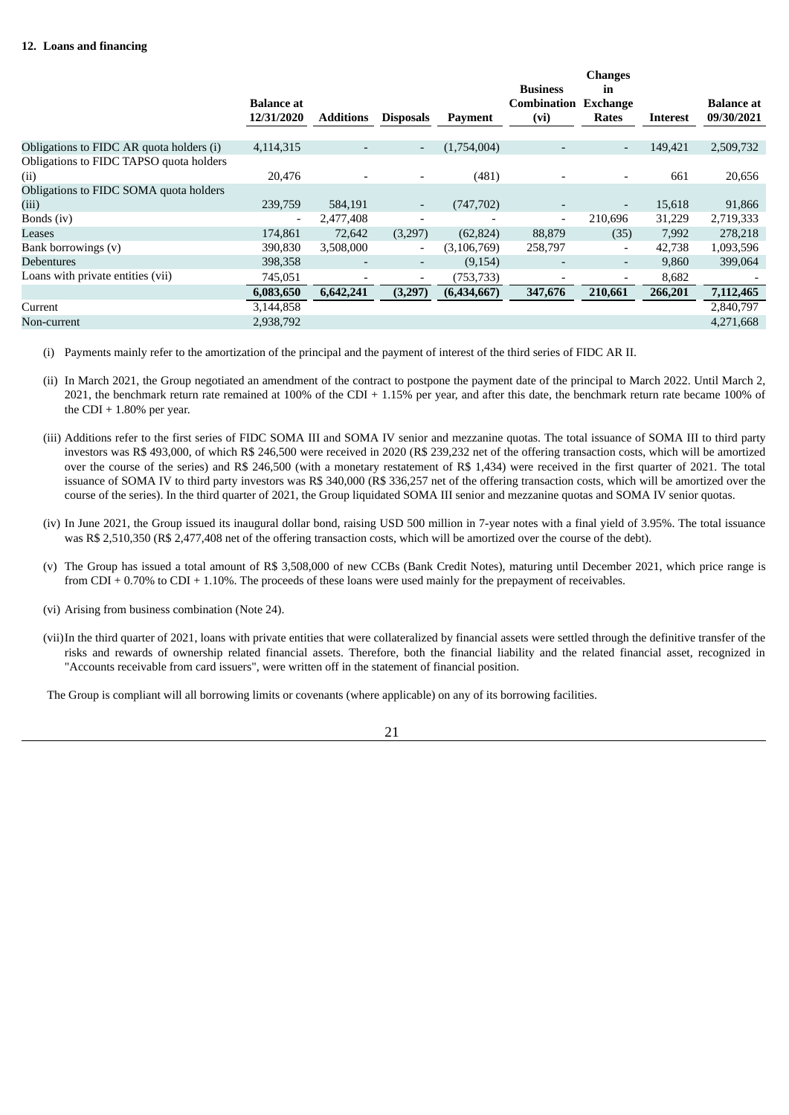|                                                 | <b>Balance</b> at |                          |                          |               | <b>Business</b><br><b>Combination</b> | <b>Changes</b><br>in<br>Exchange |                 | <b>Balance</b> at |
|-------------------------------------------------|-------------------|--------------------------|--------------------------|---------------|---------------------------------------|----------------------------------|-----------------|-------------------|
|                                                 | 12/31/2020        | <b>Additions</b>         | <b>Disposals</b>         | Payment       | (vi)                                  | Rates                            | <b>Interest</b> | 09/30/2021        |
| Obligations to FIDC AR quota holders (i)        | 4,114,315         | $\overline{\phantom{a}}$ | $\overline{\phantom{a}}$ | (1,754,004)   | $\overline{\phantom{0}}$              | $\overline{\phantom{a}}$         | 149,421         | 2,509,732         |
| Obligations to FIDC TAPSO quota holders<br>(ii) | 20,476            |                          |                          | (481)         |                                       |                                  | 661             | 20,656            |
| Obligations to FIDC SOMA quota holders          |                   |                          |                          |               |                                       |                                  |                 |                   |
| (iii)                                           | 239,759           | 584,191                  | ۰                        | (747, 702)    | $\overline{\phantom{a}}$              | $\overline{\phantom{a}}$         | 15,618          | 91,866            |
| Bonds (iv)                                      |                   | 2,477,408                | $\overline{\phantom{0}}$ |               | $\overline{\phantom{a}}$              | 210,696                          | 31,229          | 2,719,333         |
| Leases                                          | 174,861           | 72,642                   | (3,297)                  | (62, 824)     | 88,879                                | (35)                             | 7,992           | 278,218           |
| Bank borrowings (v)                             | 390,830           | 3,508,000                | $\overline{\phantom{a}}$ | (3, 106, 769) | 258,797                               | $\overline{\phantom{a}}$         | 42,738          | 1,093,596         |
| <b>Debentures</b>                               | 398,358           | $\overline{\phantom{a}}$ | $\overline{\phantom{a}}$ | (9,154)       | $\overline{\phantom{a}}$              | $\overline{\phantom{a}}$         | 9,860           | 399,064           |
| Loans with private entities (vii)               | 745,051           | $\overline{\phantom{a}}$ | $\overline{\phantom{a}}$ | (753, 733)    | $\overline{\phantom{a}}$              | $\overline{\phantom{a}}$         | 8,682           |                   |
|                                                 | 6,083,650         | 6,642,241                | (3,297)                  | (6,434,667)   | 347,676                               | 210,661                          | 266,201         | 7,112,465         |
| Current                                         | 3,144,858         |                          |                          |               |                                       |                                  |                 | 2,840,797         |
| Non-current                                     | 2,938,792         |                          |                          |               |                                       |                                  |                 | 4,271,668         |
|                                                 |                   |                          |                          |               |                                       |                                  |                 |                   |

- (i) Payments mainly refer to the amortization of the principal and the payment of interest of the third series of FIDC AR II.
- (ii) In March 2021, the Group negotiated an amendment of the contract to postpone the payment date of the principal to March 2022. Until March 2, 2021, the benchmark return rate remained at 100% of the CDI + 1.15% per year, and after this date, the benchmark return rate became 100% of the CDI  $+$  1.80% per year.
- (iii) Additions refer to the first series of FIDC SOMA III and SOMA IV senior and mezzanine quotas. The total issuance of SOMA III to third party investors was R\$ 493,000, of which R\$ 246,500 were received in 2020 (R\$ 239,232 net of the offering transaction costs, which will be amortized over the course of the series) and R\$ 246,500 (with a monetary restatement of R\$ 1,434) were received in the first quarter of 2021. The total issuance of SOMA IV to third party investors was R\$ 340,000 (R\$ 336,257 net of the offering transaction costs, which will be amortized over the course of the series). In the third quarter of 2021, the Group liquidated SOMA III senior and mezzanine quotas and SOMA IV senior quotas.
- (iv) In June 2021, the Group issued its inaugural dollar bond, raising USD 500 million in 7-year notes with a final yield of 3.95%. The total issuance was R\$ 2,510,350 (R\$ 2,477,408 net of the offering transaction costs, which will be amortized over the course of the debt).
- (v) The Group has issued a total amount of R\$ 3,508,000 of new CCBs (Bank Credit Notes), maturing until December 2021, which price range is from CDI + 0.70% to CDI + 1.10%. The proceeds of these loans were used mainly for the prepayment of receivables.
- (vi) Arising from business combination (Note 24).
- (vii)In the third quarter of 2021, loans with private entities that were collateralized by financial assets were settled through the definitive transfer of the risks and rewards of ownership related financial assets. Therefore, both the financial liability and the related financial asset, recognized in "Accounts receivable from card issuers", were written off in the statement of financial position.

The Group is compliant will all borrowing limits or covenants (where applicable) on any of its borrowing facilities.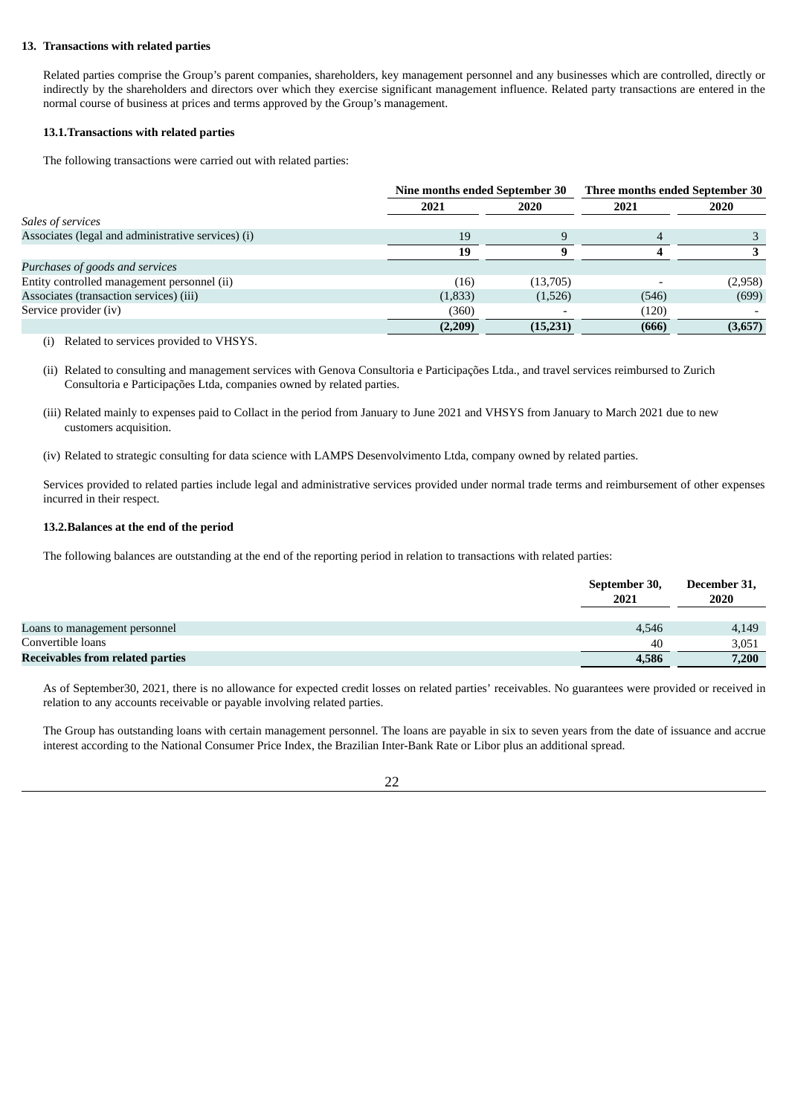# **13. Transactions with related parties**

Related parties comprise the Group's parent companies, shareholders, key management personnel and any businesses which are controlled, directly or indirectly by the shareholders and directors over which they exercise significant management influence. Related party transactions are entered in the normal course of business at prices and terms approved by the Group's management.

# **13.1.Transactions with related parties**

The following transactions were carried out with related parties:

|                                                    | Nine months ended September 30 |             | Three months ended September 30 |         |  |
|----------------------------------------------------|--------------------------------|-------------|---------------------------------|---------|--|
|                                                    | 2021                           | <b>2020</b> | 2021                            | 2020    |  |
| Sales of services                                  |                                |             |                                 |         |  |
| Associates (legal and administrative services) (i) | 19                             |             |                                 |         |  |
|                                                    | 19                             |             |                                 |         |  |
| Purchases of goods and services                    |                                |             |                                 |         |  |
| Entity controlled management personnel (ii)        | (16)                           | (13,705)    |                                 | (2,958) |  |
| Associates (transaction services) (iii)            | (1,833)                        | (1,526)     | (546)                           | (699)   |  |
| Service provider (iv)                              | (360)                          |             | (120)                           |         |  |
|                                                    | (2,209)                        | (15,231)    | (666)                           | (3,657) |  |
|                                                    |                                |             |                                 |         |  |

(i) Related to services provided to VHSYS.

(ii) Related to consulting and management services with Genova Consultoria e Participações Ltda., and travel services reimbursed to Zurich Consultoria e Participações Ltda, companies owned by related parties.

- (iii) Related mainly to expenses paid to Collact in the period from January to June 2021 and VHSYS from January to March 2021 due to new customers acquisition.
- (iv) Related to strategic consulting for data science with LAMPS Desenvolvimento Ltda, company owned by related parties.

Services provided to related parties include legal and administrative services provided under normal trade terms and reimbursement of other expenses incurred in their respect.

# **13.2.Balances at the end of the period**

The following balances are outstanding at the end of the reporting period in relation to transactions with related parties:

|                                         | September 30,<br>2021 | December 31,<br>2020 |
|-----------------------------------------|-----------------------|----------------------|
| Loans to management personnel           | 4,546                 | 4,149                |
| Convertible loans                       | 40                    | 3,051                |
| <b>Receivables from related parties</b> | 4,586                 | 7,200                |

As of September30, 2021, there is no allowance for expected credit losses on related parties' receivables. No guarantees were provided or received in relation to any accounts receivable or payable involving related parties.

The Group has outstanding loans with certain management personnel. The loans are payable in six to seven years from the date of issuance and accrue interest according to the National Consumer Price Index, the Brazilian Inter-Bank Rate or Libor plus an additional spread.

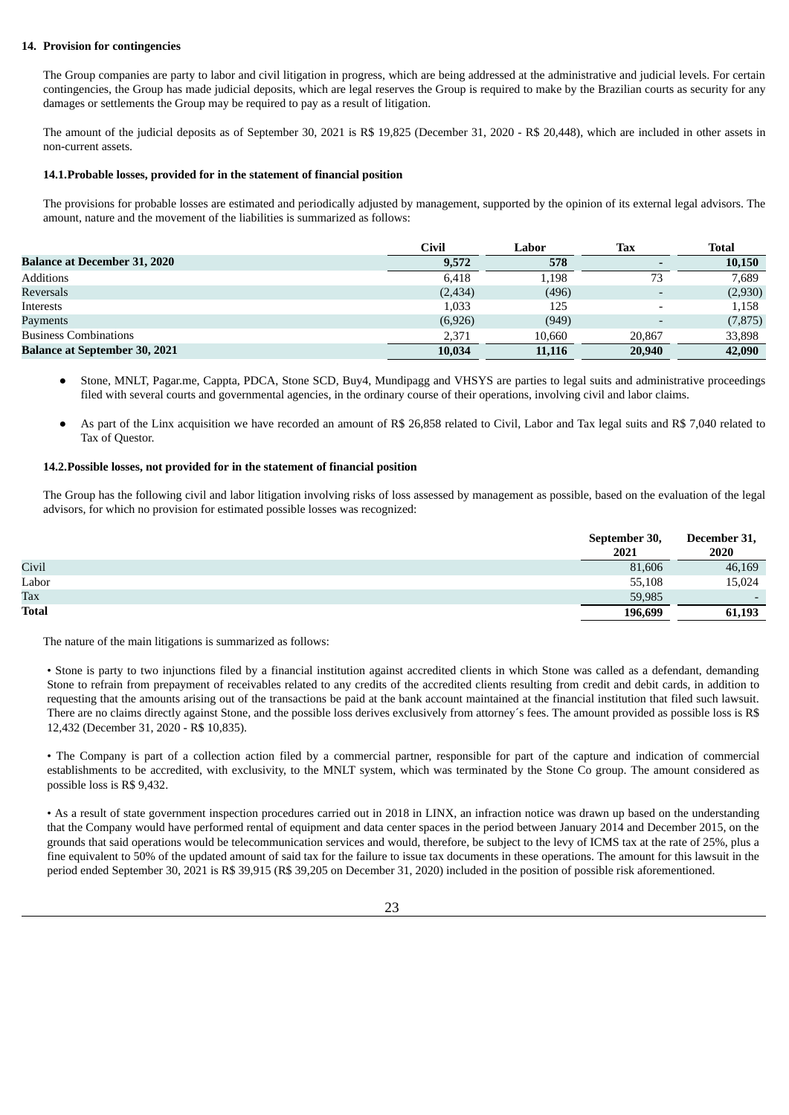### **14. Provision for contingencies**

The Group companies are party to labor and civil litigation in progress, which are being addressed at the administrative and judicial levels. For certain contingencies, the Group has made judicial deposits, which are legal reserves the Group is required to make by the Brazilian courts as security for any damages or settlements the Group may be required to pay as a result of litigation.

The amount of the judicial deposits as of September 30, 2021 is R\$ 19,825 (December 31, 2020 - R\$ 20,448), which are included in other assets in non-current assets.

#### **14.1.Probable losses, provided for in the statement of financial position**

The provisions for probable losses are estimated and periodically adjusted by management, supported by the opinion of its external legal advisors. The amount, nature and the movement of the liabilities is summarized as follows:

|                                      | Civil    | Labor  | Tax    | <b>Total</b> |
|--------------------------------------|----------|--------|--------|--------------|
| <b>Balance at December 31, 2020</b>  | 9,572    | 578    |        | 10,150       |
| Additions                            | 6.418    | 1,198  | 73     | 7.689        |
| Reversals                            | (2, 434) | (496)  |        | (2,930)      |
| Interests                            | 1,033    | 125    |        | 1,158        |
| Payments                             | (6,926)  | (949)  |        | (7, 875)     |
| <b>Business Combinations</b>         | 2.371    | 10,660 | 20.867 | 33,898       |
| <b>Balance at September 30, 2021</b> | 10,034   | 11,116 | 20,940 | 42,090       |

- Stone, MNLT, Pagar.me, Cappta, PDCA, Stone SCD, Buy4, Mundipagg and VHSYS are parties to legal suits and administrative proceedings filed with several courts and governmental agencies, in the ordinary course of their operations, involving civil and labor claims.
- As part of the Linx acquisition we have recorded an amount of R\$ 26,858 related to Civil, Labor and Tax legal suits and R\$ 7,040 related to Tax of Questor.

#### **14.2.Possible losses, not provided for in the statement of financial position**

The Group has the following civil and labor litigation involving risks of loss assessed by management as possible, based on the evaluation of the legal advisors, for which no provision for estimated possible losses was recognized:

|              | September 30,<br>2021 | December 31,<br>2020     |
|--------------|-----------------------|--------------------------|
| Civil        | 81,606                | 46,169                   |
| Labor        | 55,108                | 15,024                   |
| Tax          | 59,985                | $\overline{\phantom{0}}$ |
| <b>Total</b> | 196,699               | 61,193                   |

The nature of the main litigations is summarized as follows:

• Stone is party to two injunctions filed by a financial institution against accredited clients in which Stone was called as a defendant, demanding Stone to refrain from prepayment of receivables related to any credits of the accredited clients resulting from credit and debit cards, in addition to requesting that the amounts arising out of the transactions be paid at the bank account maintained at the financial institution that filed such lawsuit. There are no claims directly against Stone, and the possible loss derives exclusively from attorney's fees. The amount provided as possible loss is R\$ 12,432 (December 31, 2020 - R\$ 10,835).

• The Company is part of a collection action filed by a commercial partner, responsible for part of the capture and indication of commercial establishments to be accredited, with exclusivity, to the MNLT system, which was terminated by the Stone Co group. The amount considered as possible loss is R\$ 9,432.

• As a result of state government inspection procedures carried out in 2018 in LINX, an infraction notice was drawn up based on the understanding that the Company would have performed rental of equipment and data center spaces in the period between January 2014 and December 2015, on the grounds that said operations would be telecommunication services and would, therefore, be subject to the levy of ICMS tax at the rate of 25%, plus a fine equivalent to 50% of the updated amount of said tax for the failure to issue tax documents in these operations. The amount for this lawsuit in the period ended September 30, 2021 is R\$ 39,915 (R\$ 39,205 on December 31, 2020) included in the position of possible risk aforementioned.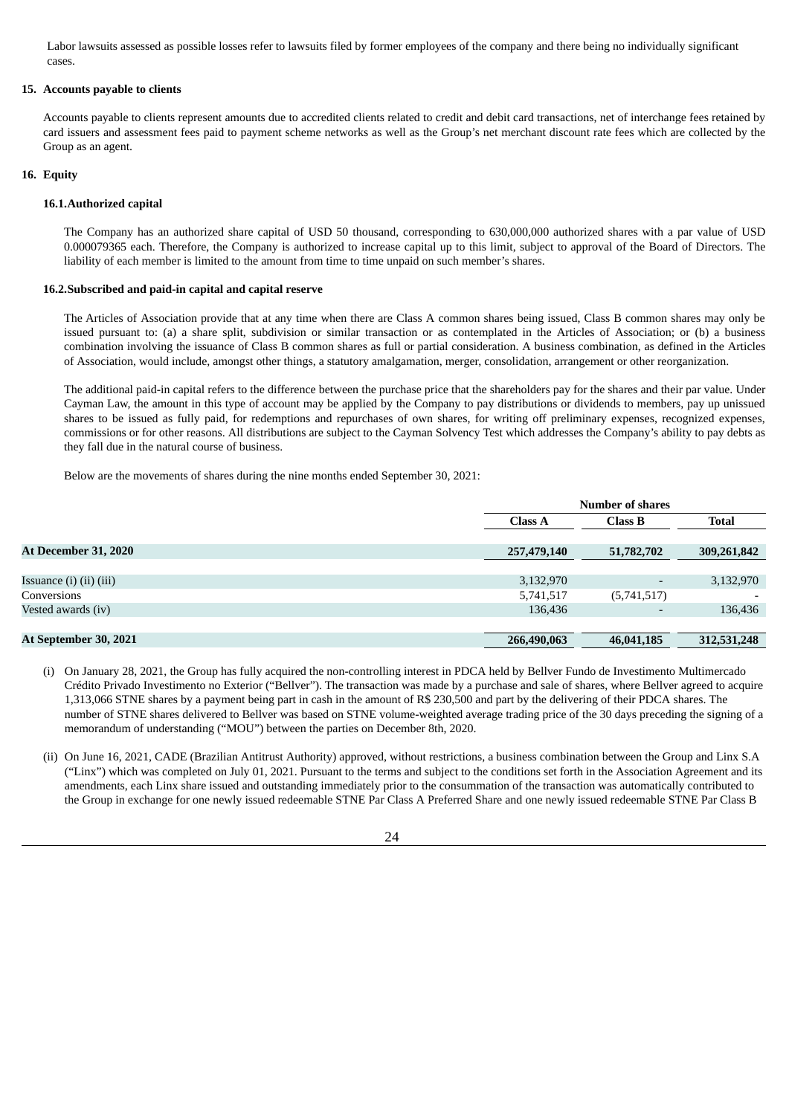Labor lawsuits assessed as possible losses refer to lawsuits filed by former employees of the company and there being no individually significant cases.

#### **15. Accounts payable to clients**

Accounts payable to clients represent amounts due to accredited clients related to credit and debit card transactions, net of interchange fees retained by card issuers and assessment fees paid to payment scheme networks as well as the Group's net merchant discount rate fees which are collected by the Group as an agent.

#### **16. Equity**

#### **16.1.Authorized capital**

The Company has an authorized share capital of USD 50 thousand, corresponding to 630,000,000 authorized shares with a par value of USD 0.000079365 each. Therefore, the Company is authorized to increase capital up to this limit, subject to approval of the Board of Directors. The liability of each member is limited to the amount from time to time unpaid on such member's shares.

#### **16.2.Subscribed and paid-in capital and capital reserve**

The Articles of Association provide that at any time when there are Class A common shares being issued, Class B common shares may only be issued pursuant to: (a) a share split, subdivision or similar transaction or as contemplated in the Articles of Association; or (b) a business combination involving the issuance of Class B common shares as full or partial consideration. A business combination, as defined in the Articles of Association, would include, amongst other things, a statutory amalgamation, merger, consolidation, arrangement or other reorganization.

The additional paid-in capital refers to the difference between the purchase price that the shareholders pay for the shares and their par value. Under Cayman Law, the amount in this type of account may be applied by the Company to pay distributions or dividends to members, pay up unissued shares to be issued as fully paid, for redemptions and repurchases of own shares, for writing off preliminary expenses, recognized expenses, commissions or for other reasons. All distributions are subject to the Cayman Solvency Test which addresses the Company's ability to pay debts as they fall due in the natural course of business.

Below are the movements of shares during the nine months ended September 30, 2021:

|                             | <b>Number of shares</b> |             |              |
|-----------------------------|-------------------------|-------------|--------------|
|                             | <b>Class A</b>          | Class B     | <b>Total</b> |
| At December 31, 2020        | 257,479,140             | 51,782,702  | 309,261,842  |
|                             |                         |             |              |
| Issuance (i) $(ii)$ $(iii)$ | 3,132,970               |             | 3,132,970    |
| Conversions                 | 5,741,517               | (5,741,517) |              |
| Vested awards (iv)          | 136,436                 |             | 136,436      |
|                             |                         |             |              |
| At September 30, 2021       | 266,490,063             | 46,041,185  | 312,531,248  |

- (i) On January 28, 2021, the Group has fully acquired the non-controlling interest in PDCA held by Bellver Fundo de Investimento Multimercado Crédito Privado Investimento no Exterior ("Bellver"). The transaction was made by a purchase and sale of shares, where Bellver agreed to acquire 1,313,066 STNE shares by a payment being part in cash in the amount of R\$ 230,500 and part by the delivering of their PDCA shares. The number of STNE shares delivered to Bellver was based on STNE volume-weighted average trading price of the 30 days preceding the signing of a memorandum of understanding ("MOU") between the parties on December 8th, 2020.
- (ii) On June 16, 2021, CADE (Brazilian Antitrust Authority) approved, without restrictions, a business combination between the Group and Linx S.A ("Linx") which was completed on July 01, 2021. Pursuant to the terms and subject to the conditions set forth in the Association Agreement and its amendments, each Linx share issued and outstanding immediately prior to the consummation of the transaction was automatically contributed to the Group in exchange for one newly issued redeemable STNE Par Class A Preferred Share and one newly issued redeemable STNE Par Class B

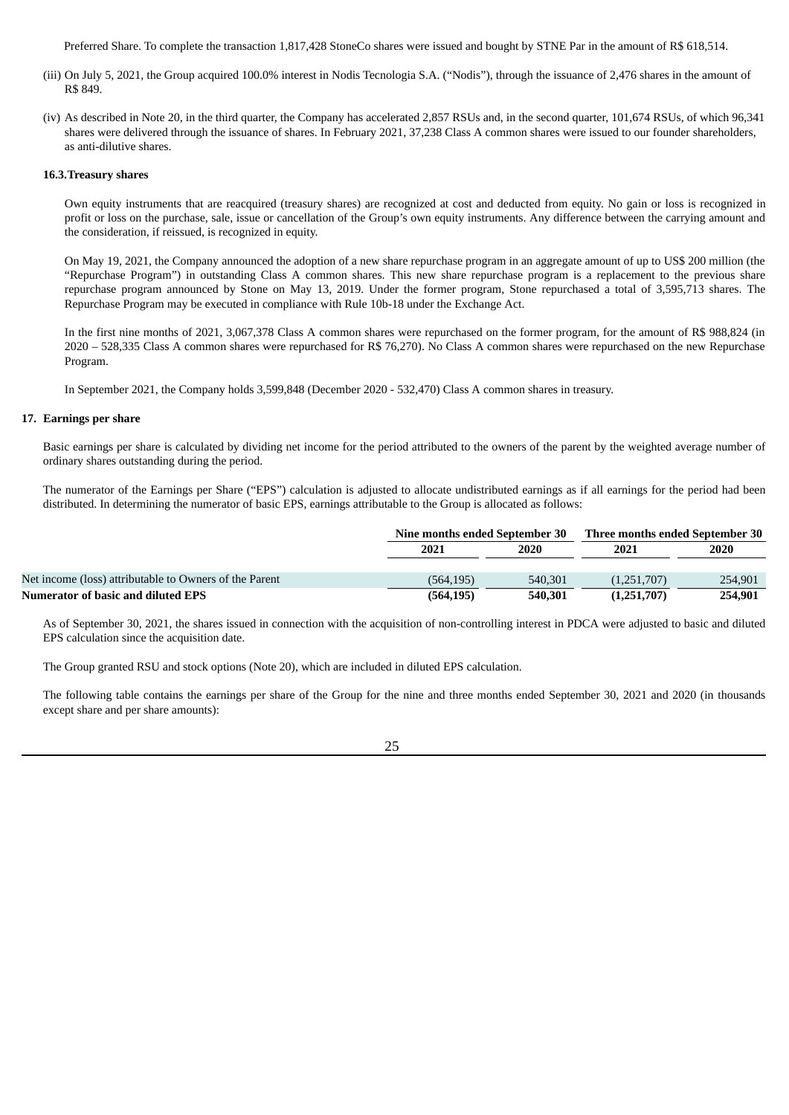Preferred Share. To complete the transaction 1,817,428 StoneCo shares were issued and bought by STNE Par in the amount of R\$ 618,514.

- (iii) On July 5, 2021, the Group acquired 100.0% interest in Nodis Tecnologia S.A. ("Nodis"), through the issuance of 2,476 shares in the amount of R\$ 849.
- (iv) As described in Note 20, in the third quarter, the Company has accelerated 2,857 RSUs and, in the second quarter, 101,674 RSUs, of which 96,341 shares were delivered through the issuance of shares. In February 2021, 37,238 Class A common shares were issued to our founder shareholders, as anti-dilutive shares.

#### **16.3.Treasury shares**

Own equity instruments that are reacquired (treasury shares) are recognized at cost and deducted from equity. No gain or loss is recognized in profit or loss on the purchase, sale, issue or cancellation of the Group's own equity instruments. Any difference between the carrying amount and the consideration, if reissued, is recognized in equity.

On May 19, 2021, the Company announced the adoption of a new share repurchase program in an aggregate amount of up to US\$ 200 million (the "Repurchase Program") in outstanding Class A common shares. This new share repurchase program is a replacement to the previous share repurchase program announced by Stone on May 13, 2019. Under the former program, Stone repurchased a total of 3,595,713 shares. The Repurchase Program may be executed in compliance with Rule 10b-18 under the Exchange Act.

In the first nine months of 2021, 3,067,378 Class A common shares were repurchased on the former program, for the amount of R\$ 988,824 (in 2020 – 528,335 Class A common shares were repurchased for R\$ 76,270). No Class A common shares were repurchased on the new Repurchase Program.

In September 2021, the Company holds 3,599,848 (December 2020 - 532,470) Class A common shares in treasury.

#### **17. Earnings per share**

Basic earnings per share is calculated by dividing net income for the period attributed to the owners of the parent by the weighted average number of ordinary shares outstanding during the period.

The numerator of the Earnings per Share ("EPS") calculation is adjusted to allocate undistributed earnings as if all earnings for the period had been distributed. In determining the numerator of basic EPS, earnings attributable to the Group is allocated as follows:

|                                                        | Nine months ended September 30 |         | Three months ended September 30 |         |  |
|--------------------------------------------------------|--------------------------------|---------|---------------------------------|---------|--|
|                                                        | 2021                           | 2020    |                                 | 2020    |  |
|                                                        |                                |         |                                 |         |  |
| Net income (loss) attributable to Owners of the Parent | (564.195)                      | 540,301 | (1,251,707)                     | 254,901 |  |
| <b>Numerator of basic and diluted EPS</b>              | (564, 195)                     | 540,301 | (1,251,707)                     | 254,901 |  |

As of September 30, 2021, the shares issued in connection with the acquisition of non-controlling interest in PDCA were adjusted to basic and diluted EPS calculation since the acquisition date.

The Group granted RSU and stock options (Note 20), which are included in diluted EPS calculation.

The following table contains the earnings per share of the Group for the nine and three months ended September 30, 2021 and 2020 (in thousands except share and per share amounts):

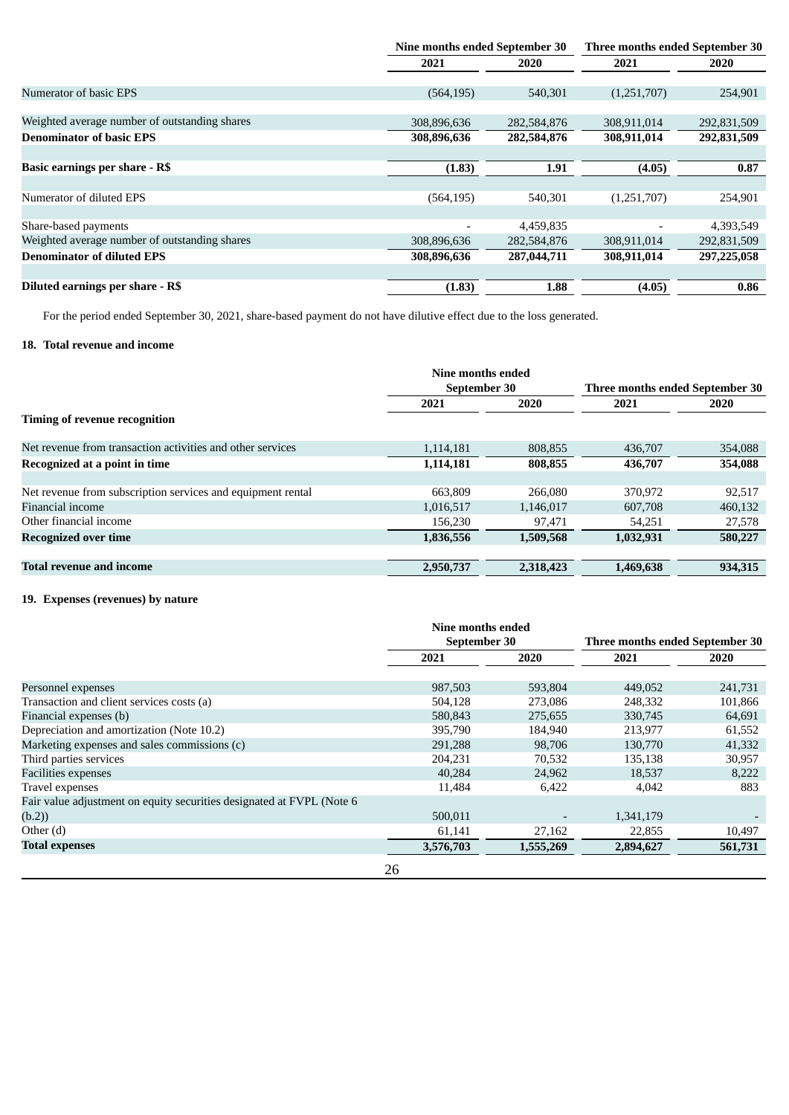|                                               | Nine months ended September 30 |             | Three months ended September 30 |             |
|-----------------------------------------------|--------------------------------|-------------|---------------------------------|-------------|
|                                               | 2021                           | 2020        | 2021                            | <b>2020</b> |
| Numerator of basic EPS                        | (564, 195)                     | 540,301     | (1,251,707)                     | 254,901     |
|                                               |                                |             |                                 |             |
| Weighted average number of outstanding shares | 308,896,636                    | 282,584,876 | 308,911,014                     | 292,831,509 |
| <b>Denominator of basic EPS</b>               | 308,896,636                    | 282,584,876 | 308,911,014                     | 292,831,509 |
|                                               |                                |             |                                 |             |
| Basic earnings per share - R\$                | (1.83)                         | 1.91        | (4.05)                          | 0.87        |
|                                               |                                |             |                                 |             |
| Numerator of diluted EPS                      | (564, 195)                     | 540,301     | (1,251,707)                     | 254,901     |
|                                               |                                |             |                                 |             |
| Share-based payments                          |                                | 4,459,835   | $\overline{\phantom{a}}$        | 4,393,549   |
| Weighted average number of outstanding shares | 308,896,636                    | 282,584,876 | 308,911,014                     | 292,831,509 |
| <b>Denominator of diluted EPS</b>             | 308,896,636                    | 287,044,711 | 308,911,014                     | 297,225,058 |
|                                               |                                |             |                                 |             |
| Diluted earnings per share - R\$              | (1.83)                         | 1.88        | (4.05)                          | 0.86        |

For the period ended September 30, 2021, share-based payment do not have dilutive effect due to the loss generated.

# **18. Total revenue and income**

|                                                             | Nine months ended |           |                                 |          |  |
|-------------------------------------------------------------|-------------------|-----------|---------------------------------|----------|--|
|                                                             | September 30      |           | Three months ended September 30 |          |  |
|                                                             | 2021              | 2020      | 2021                            | 2020     |  |
| Timing of revenue recognition                               |                   |           |                                 |          |  |
| Net revenue from transaction activities and other services  | 1.114.181         | 808.855   | 436,707                         | 354,088  |  |
| Recognized at a point in time                               | 1,114,181         | 808,855   | 436,707                         | 354,088  |  |
|                                                             |                   |           |                                 |          |  |
| Net revenue from subscription services and equipment rental | 663,809           | 266,080   | 370.972                         | 92,517   |  |
| Financial income                                            | 1,016,517         | 1,146,017 | 607,708                         | 460,132  |  |
| Other financial income                                      | 156.230           | 97,471    | 54.251                          | 27,578   |  |
| <b>Recognized over time</b>                                 | 1,836,556         | 1,509,568 | 1,032,931                       | 580,227  |  |
| Total revenue and income                                    |                   | 2,318,423 | 1,469,638                       | 934, 315 |  |
|                                                             | 2,950,737         |           |                                 |          |  |

# **19. Expenses (revenues) by nature**

|                                                                       | Nine months ended |           |                                 |             |
|-----------------------------------------------------------------------|-------------------|-----------|---------------------------------|-------------|
|                                                                       | September 30      |           | Three months ended September 30 |             |
|                                                                       | 2021              | 2020      | 2021                            | <b>2020</b> |
|                                                                       |                   |           |                                 |             |
| Personnel expenses                                                    | 987,503           | 593,804   | 449,052                         | 241,731     |
| Transaction and client services costs (a)                             | 504,128           | 273,086   | 248,332                         | 101,866     |
| Financial expenses (b)                                                | 580,843           | 275,655   | 330,745                         | 64,691      |
| Depreciation and amortization (Note 10.2)                             | 395,790           | 184,940   | 213,977                         | 61,552      |
| Marketing expenses and sales commissions (c)                          | 291,288           | 98,706    | 130,770                         | 41,332      |
| Third parties services                                                | 204,231           | 70,532    | 135,138                         | 30,957      |
| <b>Facilities expenses</b>                                            | 40,284            | 24,962    | 18,537                          | 8,222       |
| Travel expenses                                                       | 11,484            | 6,422     | 4,042                           | 883         |
| Fair value adjustment on equity securities designated at FVPL (Note 6 |                   |           |                                 |             |
| (b.2)                                                                 | 500,011           |           | 1,341,179                       |             |
| Other $(d)$                                                           | 61,141            | 27,162    | 22,855                          | 10,497      |
| <b>Total expenses</b>                                                 | 3,576,703         | 1,555,269 | 2,894,627                       | 561,731     |
|                                                                       | 26                |           |                                 |             |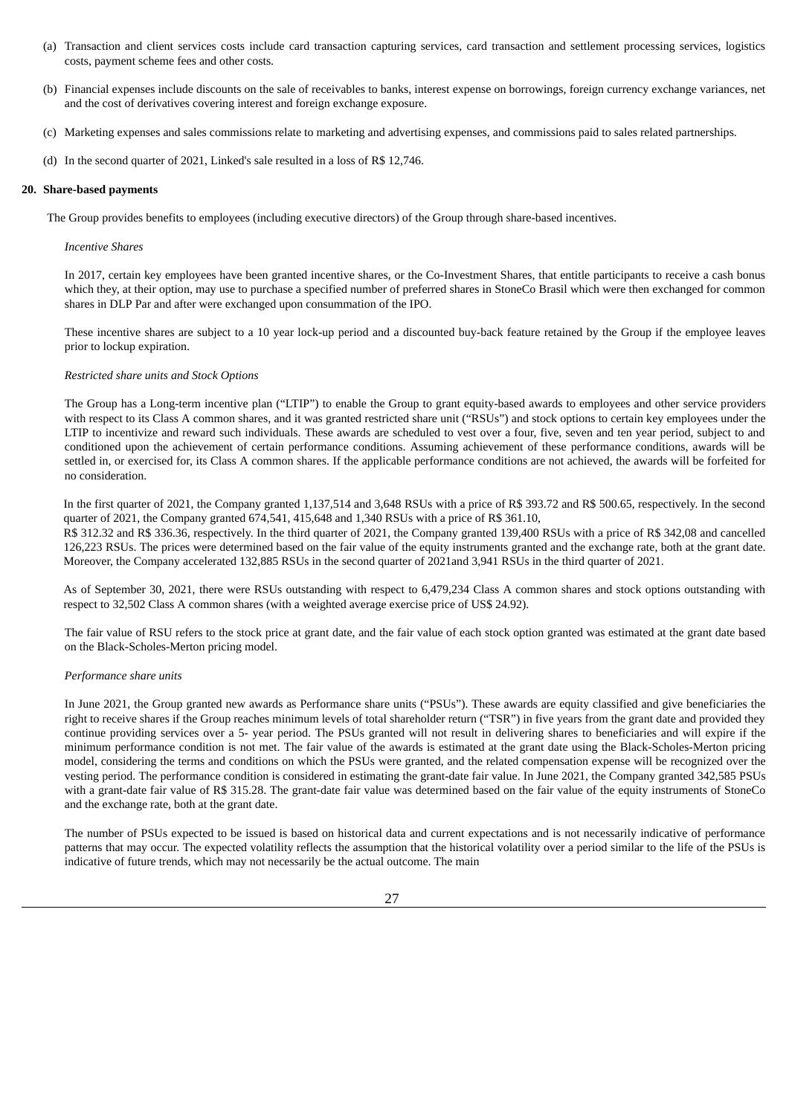- (a) Transaction and client services costs include card transaction capturing services, card transaction and settlement processing services, logistics costs, payment scheme fees and other costs.
- (b) Financial expenses include discounts on the sale of receivables to banks, interest expense on borrowings, foreign currency exchange variances, net and the cost of derivatives covering interest and foreign exchange exposure.
- (c) Marketing expenses and sales commissions relate to marketing and advertising expenses, and commissions paid to sales related partnerships.
- (d) In the second quarter of 2021, Linked's sale resulted in a loss of R\$ 12,746.

#### **20. Share-based payments**

The Group provides benefits to employees (including executive directors) of the Group through share-based incentives.

#### *Incentive Shares*

In 2017, certain key employees have been granted incentive shares, or the Co-Investment Shares, that entitle participants to receive a cash bonus which they, at their option, may use to purchase a specified number of preferred shares in StoneCo Brasil which were then exchanged for common shares in DLP Par and after were exchanged upon consummation of the IPO.

These incentive shares are subject to a 10 year lock-up period and a discounted buy-back feature retained by the Group if the employee leaves prior to lockup expiration.

#### *Restricted share units and Stock Options*

The Group has a Long-term incentive plan ("LTIP") to enable the Group to grant equity-based awards to employees and other service providers with respect to its Class A common shares, and it was granted restricted share unit ("RSUs") and stock options to certain key employees under the LTIP to incentivize and reward such individuals. These awards are scheduled to vest over a four, five, seven and ten year period, subject to and conditioned upon the achievement of certain performance conditions. Assuming achievement of these performance conditions, awards will be settled in, or exercised for, its Class A common shares. If the applicable performance conditions are not achieved, the awards will be forfeited for no consideration.

In the first quarter of 2021, the Company granted 1,137,514 and 3,648 RSUs with a price of R\$ 393.72 and R\$ 500.65, respectively. In the second quarter of 2021, the Company granted 674,541, 415,648 and 1,340 RSUs with a price of R\$ 361.10,

R\$ 312.32 and R\$ 336.36, respectively. In the third quarter of 2021, the Company granted 139,400 RSUs with a price of R\$ 342,08 and cancelled 126,223 RSUs. The prices were determined based on the fair value of the equity instruments granted and the exchange rate, both at the grant date. Moreover, the Company accelerated 132,885 RSUs in the second quarter of 2021and 3,941 RSUs in the third quarter of 2021.

As of September 30, 2021, there were RSUs outstanding with respect to 6,479,234 Class A common shares and stock options outstanding with respect to 32,502 Class A common shares (with a weighted average exercise price of US\$ 24.92).

The fair value of RSU refers to the stock price at grant date, and the fair value of each stock option granted was estimated at the grant date based on the Black-Scholes-Merton pricing model.

#### *Performance share units*

In June 2021, the Group granted new awards as Performance share units ("PSUs"). These awards are equity classified and give beneficiaries the right to receive shares if the Group reaches minimum levels of total shareholder return ("TSR") in five years from the grant date and provided they continue providing services over a 5- year period. The PSUs granted will not result in delivering shares to beneficiaries and will expire if the minimum performance condition is not met. The fair value of the awards is estimated at the grant date using the Black-Scholes-Merton pricing model, considering the terms and conditions on which the PSUs were granted, and the related compensation expense will be recognized over the vesting period. The performance condition is considered in estimating the grant-date fair value. In June 2021, the Company granted 342,585 PSUs with a grant-date fair value of R\$ 315.28. The grant-date fair value was determined based on the fair value of the equity instruments of StoneCo and the exchange rate, both at the grant date.

The number of PSUs expected to be issued is based on historical data and current expectations and is not necessarily indicative of performance patterns that may occur. The expected volatility reflects the assumption that the historical volatility over a period similar to the life of the PSUs is indicative of future trends, which may not necessarily be the actual outcome. The main

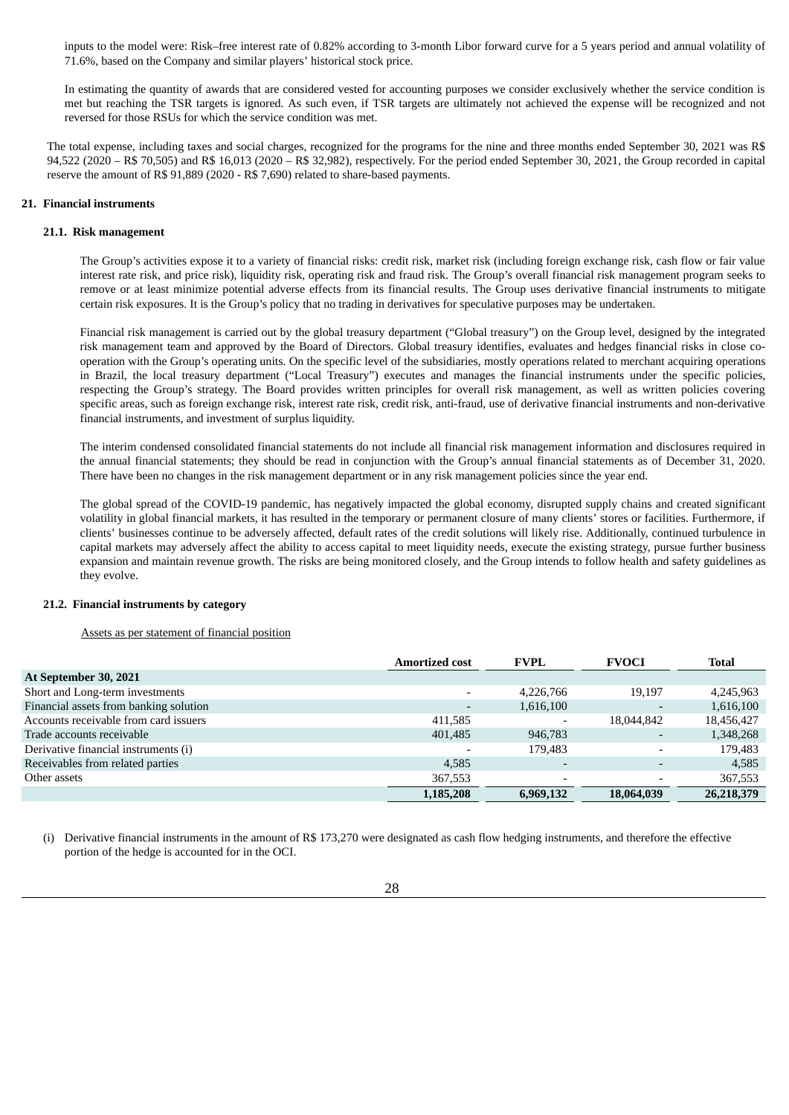inputs to the model were: Risk–free interest rate of 0.82% according to 3-month Libor forward curve for a 5 years period and annual volatility of 71.6%, based on the Company and similar players' historical stock price.

In estimating the quantity of awards that are considered vested for accounting purposes we consider exclusively whether the service condition is met but reaching the TSR targets is ignored. As such even, if TSR targets are ultimately not achieved the expense will be recognized and not reversed for those RSUs for which the service condition was met.

The total expense, including taxes and social charges, recognized for the programs for the nine and three months ended September 30, 2021 was R\$ 94,522 (2020 – R\$ 70,505) and R\$ 16,013 (2020 – R\$ 32,982), respectively. For the period ended September 30, 2021, the Group recorded in capital reserve the amount of R\$ 91,889 (2020 - R\$ 7,690) related to share-based payments.

#### **21. Financial instruments**

#### **21.1. Risk management**

The Group's activities expose it to a variety of financial risks: credit risk, market risk (including foreign exchange risk, cash flow or fair value interest rate risk, and price risk), liquidity risk, operating risk and fraud risk. The Group's overall financial risk management program seeks to remove or at least minimize potential adverse effects from its financial results. The Group uses derivative financial instruments to mitigate certain risk exposures. It is the Group's policy that no trading in derivatives for speculative purposes may be undertaken.

Financial risk management is carried out by the global treasury department ("Global treasury") on the Group level, designed by the integrated risk management team and approved by the Board of Directors. Global treasury identifies, evaluates and hedges financial risks in close cooperation with the Group's operating units. On the specific level of the subsidiaries, mostly operations related to merchant acquiring operations in Brazil, the local treasury department ("Local Treasury") executes and manages the financial instruments under the specific policies, respecting the Group's strategy. The Board provides written principles for overall risk management, as well as written policies covering specific areas, such as foreign exchange risk, interest rate risk, credit risk, anti-fraud, use of derivative financial instruments and non-derivative financial instruments, and investment of surplus liquidity.

The interim condensed consolidated financial statements do not include all financial risk management information and disclosures required in the annual financial statements; they should be read in conjunction with the Group's annual financial statements as of December 31, 2020. There have been no changes in the risk management department or in any risk management policies since the year end.

The global spread of the COVID-19 pandemic, has negatively impacted the global economy, disrupted supply chains and created significant volatility in global financial markets, it has resulted in the temporary or permanent closure of many clients' stores or facilities. Furthermore, if clients' businesses continue to be adversely affected, default rates of the credit solutions will likely rise. Additionally, continued turbulence in capital markets may adversely affect the ability to access capital to meet liquidity needs, execute the existing strategy, pursue further business expansion and maintain revenue growth. The risks are being monitored closely, and the Group intends to follow health and safety guidelines as they evolve.

#### **21.2. Financial instruments by category**

#### Assets as per statement of financial position

|                                        | <b>Amortized cost</b> | <b>FVPL</b>              | <b>FVOCI</b>                 | Total      |
|----------------------------------------|-----------------------|--------------------------|------------------------------|------------|
| At September 30, 2021                  |                       |                          |                              |            |
| Short and Long-term investments        |                       | 4,226,766                | 19,197                       | 4,245,963  |
| Financial assets from banking solution |                       | 1,616,100                | $\qquad \qquad \blacksquare$ | 1,616,100  |
| Accounts receivable from card issuers  | 411,585               | $\overline{\phantom{0}}$ | 18,044,842                   | 18,456,427 |
| Trade accounts receivable              | 401,485               | 946,783                  | $\overline{\phantom{a}}$     | 1,348,268  |
| Derivative financial instruments (i)   |                       | 179,483                  | ٠                            | 179,483    |
| Receivables from related parties       | 4,585                 |                          | $\overline{\phantom{0}}$     | 4,585      |
| Other assets                           | 367,553               |                          | $\overline{\phantom{0}}$     | 367,553    |
|                                        | 1,185,208             | 6,969,132                | 18,064,039                   | 26,218,379 |

(i) Derivative financial instruments in the amount of R\$ 173,270 were designated as cash flow hedging instruments, and therefore the effective portion of the hedge is accounted for in the OCI.

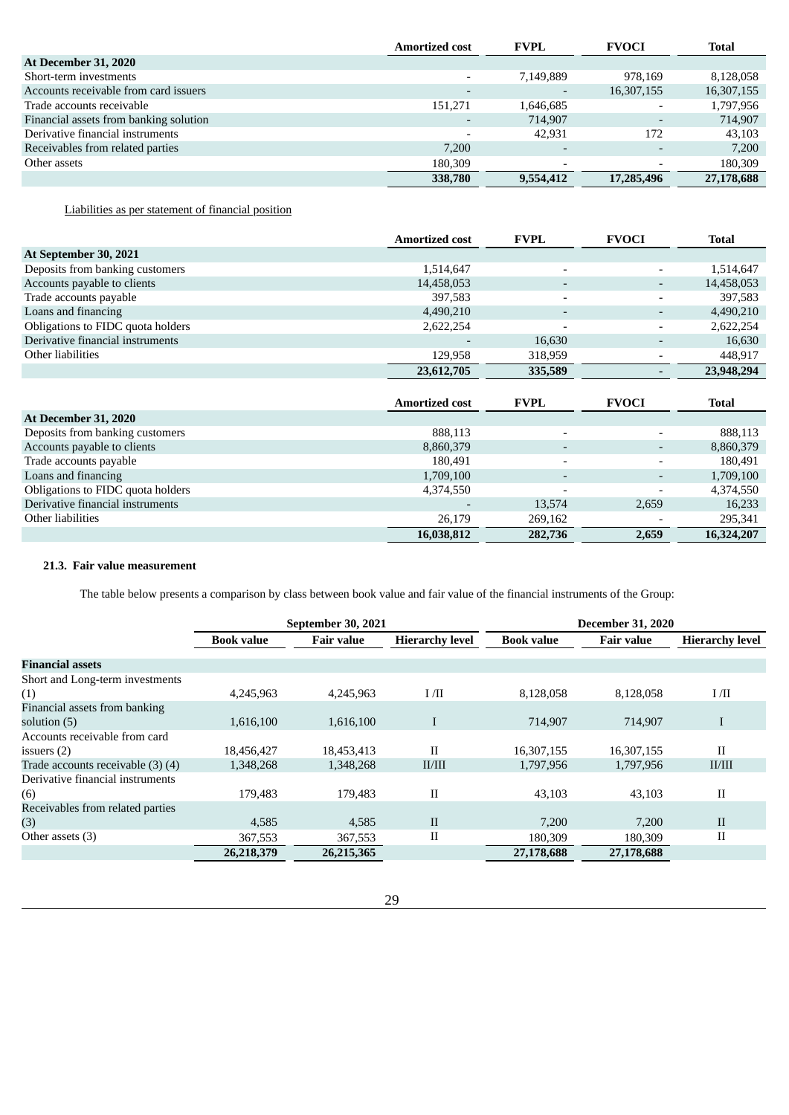|                                        | <b>Amortized cost</b>    | <b>FVPL</b>              | <b>FVOCI</b>             | <b>Total</b> |
|----------------------------------------|--------------------------|--------------------------|--------------------------|--------------|
| <b>At December 31, 2020</b>            |                          |                          |                          |              |
| Short-term investments                 |                          | 7,149,889                | 978.169                  | 8,128,058    |
| Accounts receivable from card issuers  | $\overline{\phantom{0}}$ | $\overline{\phantom{a}}$ | 16,307,155               | 16,307,155   |
| Trade accounts receivable              | 151.271                  | 1,646,685                | $\overline{\phantom{a}}$ | 1,797,956    |
| Financial assets from banking solution |                          | 714.907                  | $\overline{\phantom{0}}$ | 714,907      |
| Derivative financial instruments       |                          | 42.931                   | 172                      | 43.103       |
| Receivables from related parties       | 7,200                    | $\overline{\phantom{a}}$ |                          | 7,200        |
| Other assets                           | 180,309                  | $\overline{\phantom{a}}$ | $\overline{\phantom{0}}$ | 180,309      |
|                                        | 338,780                  | 9,554,412                | 17,285,496               | 27,178,688   |

Liabilities as per statement of financial position

|                                   | <b>Amortized cost</b> | <b>FVPL</b>              | <b>FVOCI</b>                 | <b>Total</b> |
|-----------------------------------|-----------------------|--------------------------|------------------------------|--------------|
| At September 30, 2021             |                       |                          |                              |              |
| Deposits from banking customers   | 1,514,647             | $\overline{\phantom{a}}$ | $\overline{\phantom{a}}$     | 1,514,647    |
| Accounts payable to clients       | 14,458,053            |                          | $\qquad \qquad \blacksquare$ | 14,458,053   |
| Trade accounts payable            | 397,583               | $\overline{\phantom{a}}$ | $\overline{\phantom{a}}$     | 397,583      |
| Loans and financing               | 4,490,210             |                          |                              | 4,490,210    |
| Obligations to FIDC quota holders | 2,622,254             |                          | $\overline{\phantom{0}}$     | 2,622,254    |
| Derivative financial instruments  |                       | 16,630                   | ٠                            | 16,630       |
| Other liabilities                 | 129,958               | 318,959                  | $\overline{\phantom{a}}$     | 448,917      |
|                                   | 23,612,705            | 335,589                  | $\overline{\phantom{a}}$     | 23,948,294   |
|                                   |                       |                          |                              |              |
|                                   | <b>Amortized cost</b> | <b>FVPL</b>              | <b>FVOCI</b>                 | <b>Total</b> |
| At December 31, 2020              |                       |                          |                              |              |
| Deposits from banking customers   | 888,113               | $\overline{\phantom{0}}$ |                              | 888,113      |
| Accounts payable to clients       | 8,860,379             | $\overline{\phantom{0}}$ | $\overline{\phantom{a}}$     | 8,860,379    |
| Trade accounts payable            | 180,491               | $\overline{\phantom{a}}$ | $\qquad \qquad \blacksquare$ | 180,491      |
| Loans and financing               | 1,709,100             |                          |                              | 1,709,100    |
| Obligations to FIDC quota holders | 4,374,550             |                          |                              | 4,374,550    |
| Derivative financial instruments  |                       | 13,574                   | 2,659                        | 16,233       |
| Other liabilities                 | 26,179                | 269,162                  |                              | 295,341      |
|                                   | 16,038,812            | 282,736                  | 2,659                        | 16,324,207   |

# **21.3. Fair value measurement**

The table below presents a comparison by class between book value and fair value of the financial instruments of the Group:

|                                   | September 30, 2021 |                   | <b>December 31, 2020</b> |                   |                   |                        |
|-----------------------------------|--------------------|-------------------|--------------------------|-------------------|-------------------|------------------------|
|                                   | <b>Book value</b>  | <b>Fair value</b> | <b>Hierarchy level</b>   | <b>Book value</b> | <b>Fair value</b> | <b>Hierarchy level</b> |
| <b>Financial assets</b>           |                    |                   |                          |                   |                   |                        |
| Short and Long-term investments   |                    |                   |                          |                   |                   |                        |
| (1)                               | 4,245,963          | 4,245,963         | I/II                     | 8,128,058         | 8,128,058         | I/II                   |
| Financial assets from banking     |                    |                   |                          |                   |                   |                        |
| solution (5)                      | 1,616,100          | 1,616,100         | T                        | 714.907           | 714,907           | $\mathbf I$            |
| Accounts receivable from card     |                    |                   |                          |                   |                   |                        |
| issuers $(2)$                     | 18,456,427         | 18,453,413        | $_{\rm II}$              | 16,307,155        | 16,307,155        | $_{\rm II}$            |
| Trade accounts receivable (3) (4) | 1,348,268          | 1,348,268         | II/III                   | 1,797,956         | 1,797,956         | II/III                 |
| Derivative financial instruments  |                    |                   |                          |                   |                   |                        |
| (6)                               | 179,483            | 179,483           | $_{\rm II}$              | 43,103            | 43,103            | $_{\rm II}$            |
| Receivables from related parties  |                    |                   |                          |                   |                   |                        |
| (3)                               | 4,585              | 4,585             | $\mathbf{I}$             | 7,200             | 7,200             | $\mathbf{I}$           |
| Other assets (3)                  | 367,553            | 367,553           | $_{\rm II}$              | 180,309           | 180,309           | $_{\rm II}$            |
|                                   | 26,218,379         | 26,215,365        |                          | 27,178,688        | 27,178,688        |                        |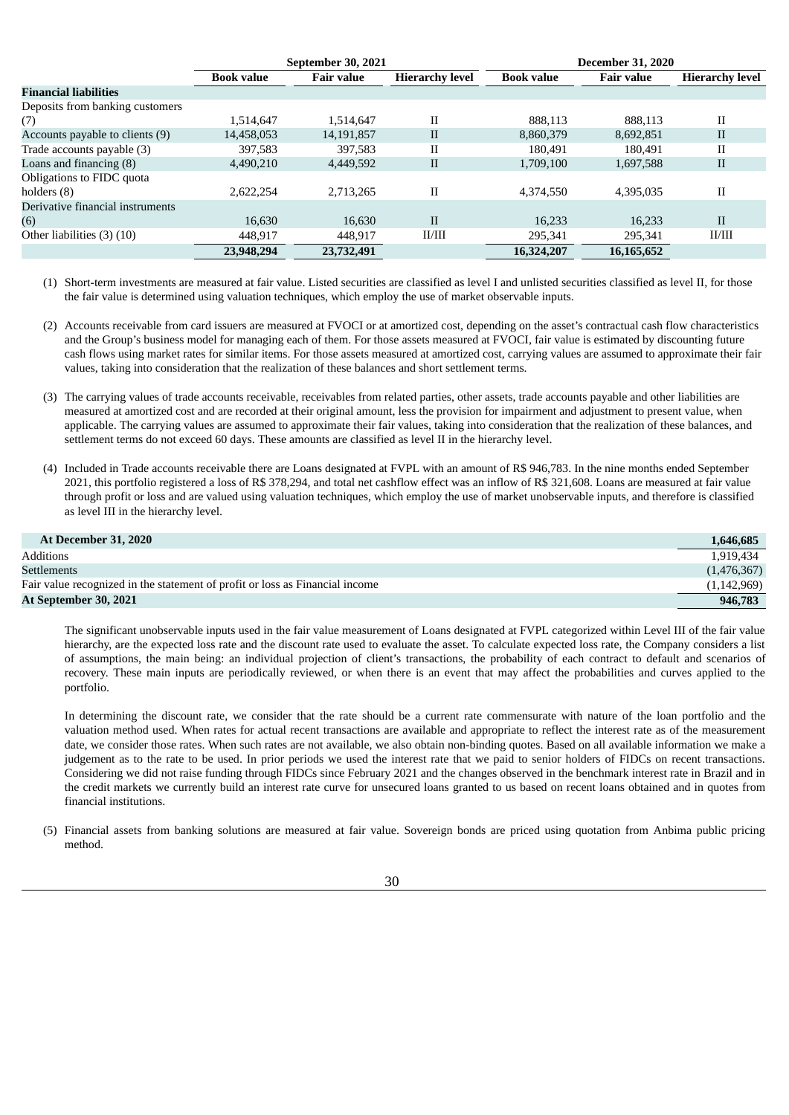|                                  | <b>September 30, 2021</b> |                   | <b>December 31, 2020</b> |                   |                   |                        |
|----------------------------------|---------------------------|-------------------|--------------------------|-------------------|-------------------|------------------------|
|                                  | <b>Book value</b>         | <b>Fair value</b> | <b>Hierarchy level</b>   | <b>Book value</b> | <b>Fair value</b> | <b>Hierarchy level</b> |
| <b>Financial liabilities</b>     |                           |                   |                          |                   |                   |                        |
| Deposits from banking customers  |                           |                   |                          |                   |                   |                        |
| (7)                              | 1,514,647                 | 1,514,647         | П                        | 888,113           | 888.113           | $_{\rm II}$            |
| Accounts payable to clients (9)  | 14,458,053                | 14,191,857        | $\mathbf{I}$             | 8,860,379         | 8,692,851         | $\mathbf{I}$           |
| Trade accounts payable (3)       | 397.583                   | 397,583           | П                        | 180.491           | 180.491           | $_{\rm II}$            |
| Loans and financing $(8)$        | 4,490,210                 | 4,449,592         | $\mathbf{I}$             | 1,709,100         | 1,697,588         | $\mathbf{I}$           |
| Obligations to FIDC quota        |                           |                   |                          |                   |                   |                        |
| holders (8)                      | 2.622.254                 | 2.713.265         | II                       | 4,374,550         | 4,395,035         | $_{\rm II}$            |
| Derivative financial instruments |                           |                   |                          |                   |                   |                        |
| (6)                              | 16,630                    | 16,630            | $\mathbf{I}$             | 16,233            | 16.233            | $\mathbf{I}$           |
| Other liabilities (3) (10)       | 448,917                   | 448,917           | II/III                   | 295,341           | 295,341           | II/III                 |
|                                  | 23,948,294                | 23,732,491        |                          | 16,324,207        | 16,165,652        |                        |

(1) Short-term investments are measured at fair value. Listed securities are classified as level I and unlisted securities classified as level II, for those the fair value is determined using valuation techniques, which employ the use of market observable inputs.

- (2) Accounts receivable from card issuers are measured at FVOCI or at amortized cost, depending on the asset's contractual cash flow characteristics and the Group's business model for managing each of them. For those assets measured at FVOCI, fair value is estimated by discounting future cash flows using market rates for similar items. For those assets measured at amortized cost, carrying values are assumed to approximate their fair values, taking into consideration that the realization of these balances and short settlement terms.
- (3) The carrying values of trade accounts receivable, receivables from related parties, other assets, trade accounts payable and other liabilities are measured at amortized cost and are recorded at their original amount, less the provision for impairment and adjustment to present value, when applicable. The carrying values are assumed to approximate their fair values, taking into consideration that the realization of these balances, and settlement terms do not exceed 60 days. These amounts are classified as level II in the hierarchy level.
- (4) Included in Trade accounts receivable there are Loans designated at FVPL with an amount of R\$ 946,783. In the nine months ended September 2021, this portfolio registered a loss of R\$ 378,294, and total net cashflow effect was an inflow of R\$ 321,608. Loans are measured at fair value through profit or loss and are valued using valuation techniques, which employ the use of market unobservable inputs, and therefore is classified as level III in the hierarchy level.

| <b>At December 31, 2020</b>                                                  | 1,646,685     |
|------------------------------------------------------------------------------|---------------|
| Additions                                                                    | 1.919.434     |
| <b>Settlements</b>                                                           | (1,476,367)   |
| Fair value recognized in the statement of profit or loss as Financial income | (1, 142, 969) |
| At September 30, 2021                                                        | 946,783       |

The significant unobservable inputs used in the fair value measurement of Loans designated at FVPL categorized within Level III of the fair value hierarchy, are the expected loss rate and the discount rate used to evaluate the asset. To calculate expected loss rate, the Company considers a list of assumptions, the main being: an individual projection of client's transactions, the probability of each contract to default and scenarios of recovery. These main inputs are periodically reviewed, or when there is an event that may affect the probabilities and curves applied to the portfolio.

In determining the discount rate, we consider that the rate should be a current rate commensurate with nature of the loan portfolio and the valuation method used. When rates for actual recent transactions are available and appropriate to reflect the interest rate as of the measurement date, we consider those rates. When such rates are not available, we also obtain non-binding quotes. Based on all available information we make a judgement as to the rate to be used. In prior periods we used the interest rate that we paid to senior holders of FIDCs on recent transactions. Considering we did not raise funding through FIDCs since February 2021 and the changes observed in the benchmark interest rate in Brazil and in the credit markets we currently build an interest rate curve for unsecured loans granted to us based on recent loans obtained and in quotes from financial institutions.

(5) Financial assets from banking solutions are measured at fair value. Sovereign bonds are priced using quotation from Anbima public pricing method.

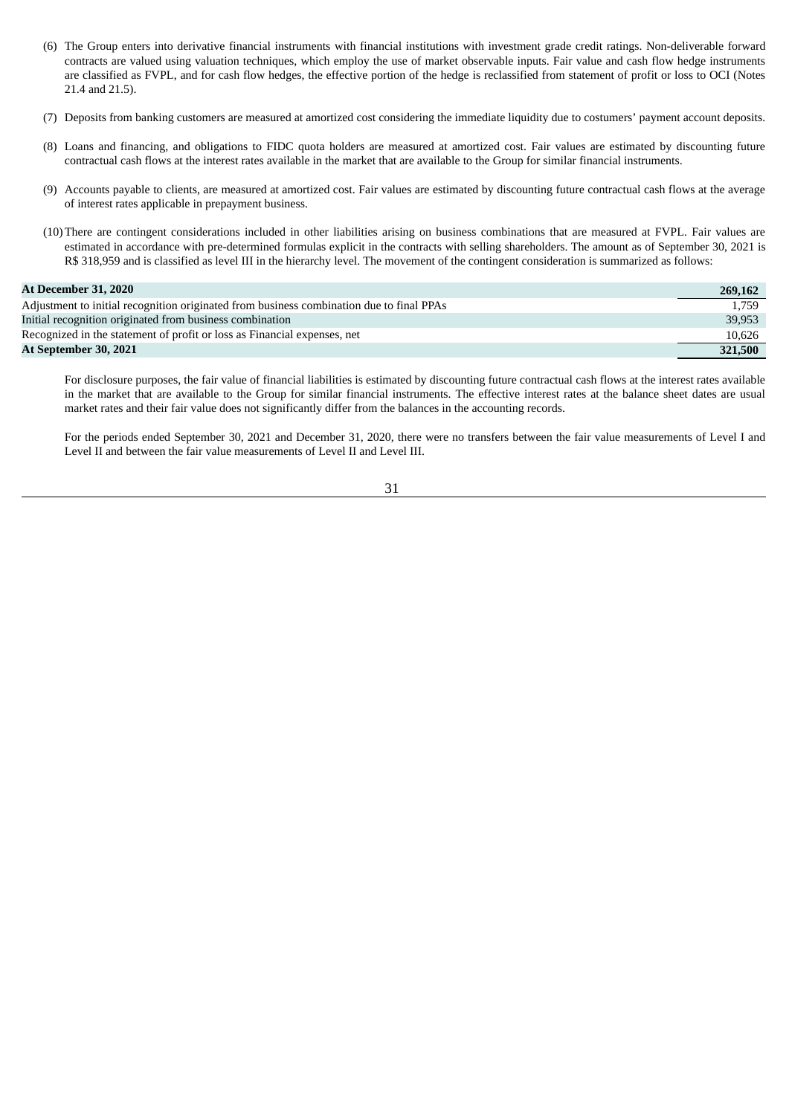- (6) The Group enters into derivative financial instruments with financial institutions with investment grade credit ratings. Non-deliverable forward contracts are valued using valuation techniques, which employ the use of market observable inputs. Fair value and cash flow hedge instruments are classified as FVPL, and for cash flow hedges, the effective portion of the hedge is reclassified from statement of profit or loss to OCI (Notes 21.4 and 21.5).
- (7) Deposits from banking customers are measured at amortized cost considering the immediate liquidity due to costumers' payment account deposits.
- (8) Loans and financing, and obligations to FIDC quota holders are measured at amortized cost. Fair values are estimated by discounting future contractual cash flows at the interest rates available in the market that are available to the Group for similar financial instruments.
- (9) Accounts payable to clients, are measured at amortized cost. Fair values are estimated by discounting future contractual cash flows at the average of interest rates applicable in prepayment business.
- (10)There are contingent considerations included in other liabilities arising on business combinations that are measured at FVPL. Fair values are estimated in accordance with pre-determined formulas explicit in the contracts with selling shareholders. The amount as of September 30, 2021 is R\$ 318,959 and is classified as level III in the hierarchy level. The movement of the contingent consideration is summarized as follows:

# **At December 31, 2020 269,162**

|                                                                                          | $-00, 10$ |
|------------------------------------------------------------------------------------------|-----------|
| Adjustment to initial recognition originated from business combination due to final PPAs | 1.759     |
| Initial recognition originated from business combination                                 | 39,953    |
| Recognized in the statement of profit or loss as Financial expenses, net                 | 10.626    |
| At September 30, 2021                                                                    | 321,500   |

For disclosure purposes, the fair value of financial liabilities is estimated by discounting future contractual cash flows at the interest rates available in the market that are available to the Group for similar financial instruments. The effective interest rates at the balance sheet dates are usual market rates and their fair value does not significantly differ from the balances in the accounting records.

For the periods ended September 30, 2021 and December 31, 2020, there were no transfers between the fair value measurements of Level I and Level II and between the fair value measurements of Level II and Level III.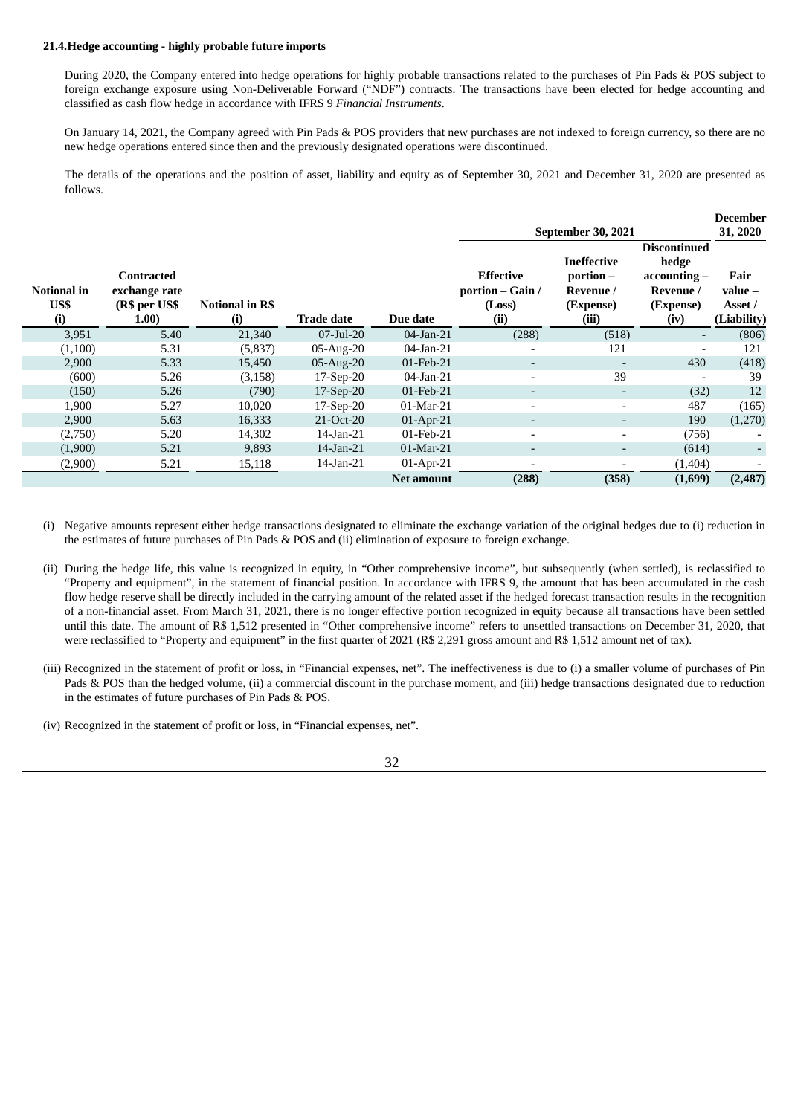#### **21.4.Hedge accounting - highly probable future imports**

During 2020, the Company entered into hedge operations for highly probable transactions related to the purchases of Pin Pads & POS subject to foreign exchange exposure using Non-Deliverable Forward ("NDF") contracts. The transactions have been elected for hedge accounting and classified as cash flow hedge in accordance with IFRS 9 *Financial Instruments*.

On January 14, 2021, the Company agreed with Pin Pads & POS providers that new purchases are not indexed to foreign currency, so there are no new hedge operations entered since then and the previously designated operations were discontinued.

The details of the operations and the position of asset, liability and equity as of September 30, 2021 and December 31, 2020 are presented as follows.

|                            |                                                        |                               |                   |                   |                                                        |                                                                      |                                                                                | <b>December</b>                             |
|----------------------------|--------------------------------------------------------|-------------------------------|-------------------|-------------------|--------------------------------------------------------|----------------------------------------------------------------------|--------------------------------------------------------------------------------|---------------------------------------------|
|                            |                                                        |                               |                   |                   |                                                        | September 30, 2021                                                   |                                                                                | 31, 2020                                    |
| Notional in<br>US\$<br>(i) | Contracted<br>exchange rate<br>(R\$ per US\$<br>(1.00) | <b>Notional in R\$</b><br>(i) | <b>Trade date</b> | Due date          | <b>Effective</b><br>portion - Gain /<br>(Loss)<br>(ii) | <b>Ineffective</b><br>$portion -$<br>Revenue /<br>(Expense)<br>(iii) | <b>Discontinued</b><br>hedge<br>accounting –<br>Revenue /<br>(Expense)<br>(iv) | Fair<br>$value -$<br>Asset /<br>(Liability) |
| 3,951                      | 5.40                                                   | 21,340                        | $07$ -Jul-20      | 04-Jan-21         | (288)                                                  | (518)                                                                | -                                                                              | (806)                                       |
| (1,100)                    | 5.31                                                   | (5,837)                       | $05$ -Aug-20      | $04$ -Jan-21      |                                                        | 121                                                                  | $\overline{\phantom{a}}$                                                       | 121                                         |
| 2,900                      | 5.33                                                   | 15,450                        | $05$ -Aug-20      | 01-Feb-21         | $\overline{\phantom{a}}$                               | $\overline{\phantom{a}}$                                             | 430                                                                            | (418)                                       |
| (600)                      | 5.26                                                   | (3, 158)                      | $17-Sep-20$       | $04$ -Jan-21      |                                                        | 39                                                                   | $\overline{\phantom{a}}$                                                       | 39                                          |
| (150)                      | 5.26                                                   | (790)                         | $17-Sep-20$       | 01-Feb-21         |                                                        | ٠                                                                    | (32)                                                                           | 12                                          |
| 1,900                      | 5.27                                                   | 10,020                        | 17-Sep-20         | $01-Mar-21$       |                                                        | $\overline{\phantom{a}}$                                             | 487                                                                            | (165)                                       |
| 2,900                      | 5.63                                                   | 16,333                        | 21-Oct-20         | 01-Apr-21         | $\overline{\phantom{0}}$                               | ٠                                                                    | 190                                                                            | (1,270)                                     |
| (2,750)                    | 5.20                                                   | 14,302                        | $14$ -Jan- $21$   | 01-Feb-21         |                                                        | $\overline{\phantom{a}}$                                             | (756)                                                                          |                                             |
| (1,900)                    | 5.21                                                   | 9,893                         | $14$ -Jan- $21$   | $01-Mar-21$       | $\overline{\phantom{a}}$                               | ٠                                                                    | (614)                                                                          |                                             |
| (2,900)                    | 5.21                                                   | 15,118                        | $14$ -Jan- $21$   | $01-Apr-21$       |                                                        | $\overline{\phantom{a}}$                                             | (1,404)                                                                        |                                             |
|                            |                                                        |                               |                   | <b>Net amount</b> | (288)                                                  | (358)                                                                | (1,699)                                                                        | (2,487)                                     |

(i) Negative amounts represent either hedge transactions designated to eliminate the exchange variation of the original hedges due to (i) reduction in the estimates of future purchases of Pin Pads & POS and (ii) elimination of exposure to foreign exchange.

- (ii) During the hedge life, this value is recognized in equity, in "Other comprehensive income", but subsequently (when settled), is reclassified to "Property and equipment", in the statement of financial position. In accordance with IFRS 9, the amount that has been accumulated in the cash flow hedge reserve shall be directly included in the carrying amount of the related asset if the hedged forecast transaction results in the recognition of a non-financial asset. From March 31, 2021, there is no longer effective portion recognized in equity because all transactions have been settled until this date. The amount of R\$ 1,512 presented in "Other comprehensive income" refers to unsettled transactions on December 31, 2020, that were reclassified to "Property and equipment" in the first quarter of 2021 (R\$ 2,291 gross amount and R\$ 1,512 amount net of tax).
- (iii) Recognized in the statement of profit or loss, in "Financial expenses, net". The ineffectiveness is due to (i) a smaller volume of purchases of Pin Pads & POS than the hedged volume, (ii) a commercial discount in the purchase moment, and (iii) hedge transactions designated due to reduction in the estimates of future purchases of Pin Pads & POS.
- (iv) Recognized in the statement of profit or loss, in "Financial expenses, net".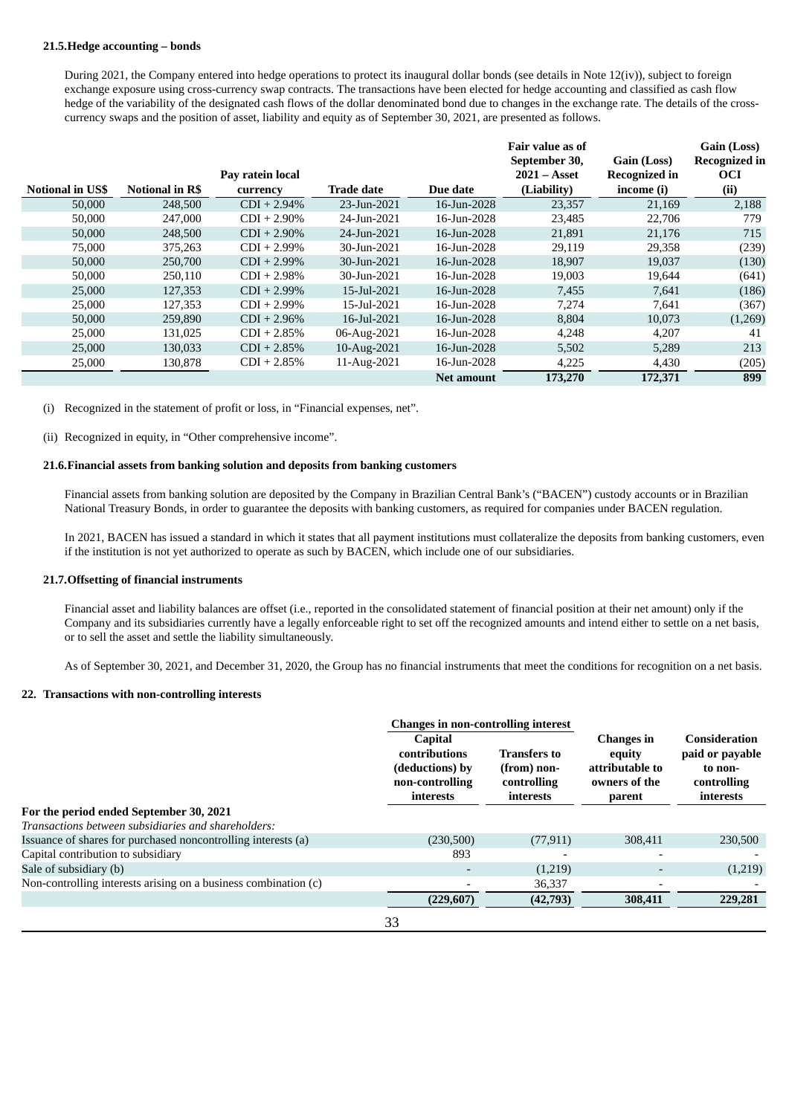#### **21.5.Hedge accounting – bonds**

During 2021, the Company entered into hedge operations to protect its inaugural dollar bonds (see details in Note 12(iv)), subject to foreign exchange exposure using cross-currency swap contracts. The transactions have been elected for hedge accounting and classified as cash flow hedge of the variability of the designated cash flows of the dollar denominated bond due to changes in the exchange rate. The details of the crosscurrency swaps and the position of asset, liability and equity as of September 30, 2021, are presented as follows.

|                         |                        |                  |                   |             | Fair value as of |                      | Gain (Loss)          |
|-------------------------|------------------------|------------------|-------------------|-------------|------------------|----------------------|----------------------|
|                         |                        |                  |                   |             | September 30,    | Gain (Loss)          | <b>Recognized in</b> |
|                         |                        | Pay ratein local |                   |             | $2021 - Asset$   | <b>Recognized in</b> | <b>OCI</b>           |
| <b>Notional in US\$</b> | <b>Notional in R\$</b> | currency         | <b>Trade date</b> | Due date    | (Liability)      | income (i)           | (ii)                 |
| 50,000                  | 248,500                | $CDI + 2.94\%$   | 23-Jun-2021       | 16-Jun-2028 | 23,357           | 21,169               | 2,188                |
| 50,000                  | 247,000                | $CDI + 2.90\%$   | 24-Jun-2021       | 16-Jun-2028 | 23,485           | 22,706               | 779                  |
| 50,000                  | 248,500                | $CDI + 2.90\%$   | 24-Jun-2021       | 16-Jun-2028 | 21,891           | 21,176               | 715                  |
| 75,000                  | 375,263                | $CDI + 2.99\%$   | 30-Jun-2021       | 16-Jun-2028 | 29,119           | 29,358               | (239)                |
| 50,000                  | 250,700                | $CDI + 2.99\%$   | 30-Jun-2021       | 16-Jun-2028 | 18,907           | 19,037               | (130)                |
| 50,000                  | 250,110                | $CDI + 2.98\%$   | 30-Jun-2021       | 16-Jun-2028 | 19,003           | 19,644               | (641)                |
| 25,000                  | 127,353                | $CDI + 2.99\%$   | 15-Jul-2021       | 16-Jun-2028 | 7,455            | 7,641                | (186)                |
| 25,000                  | 127,353                | $CDI + 2.99\%$   | 15-Jul-2021       | 16-Jun-2028 | 7,274            | 7,641                | (367)                |
| 50,000                  | 259,890                | $CDI + 2.96\%$   | 16-Jul-2021       | 16-Jun-2028 | 8,804            | 10,073               | (1,269)              |
| 25,000                  | 131,025                | $CDI + 2.85%$    | 06-Aug-2021       | 16-Jun-2028 | 4,248            | 4,207                | 41                   |
| 25,000                  | 130,033                | $CDI + 2.85%$    | 10-Aug-2021       | 16-Jun-2028 | 5,502            | 5,289                | 213                  |
| 25,000                  | 130,878                | $CDI + 2.85%$    | 11-Aug-2021       | 16-Jun-2028 | 4,225            | 4,430                | (205)                |
|                         |                        |                  |                   | Net amount  | 173,270          | 172,371              | 899                  |

(i) Recognized in the statement of profit or loss, in "Financial expenses, net".

(ii) Recognized in equity, in "Other comprehensive income".

### **21.6.Financial assets from banking solution and deposits from banking customers**

Financial assets from banking solution are deposited by the Company in Brazilian Central Bank's ("BACEN") custody accounts or in Brazilian National Treasury Bonds, in order to guarantee the deposits with banking customers, as required for companies under BACEN regulation.

In 2021, BACEN has issued a standard in which it states that all payment institutions must collateralize the deposits from banking customers, even if the institution is not yet authorized to operate as such by BACEN, which include one of our subsidiaries.

#### **21.7.Offsetting of financial instruments**

Financial asset and liability balances are offset (i.e., reported in the consolidated statement of financial position at their net amount) only if the Company and its subsidiaries currently have a legally enforceable right to set off the recognized amounts and intend either to settle on a net basis, or to sell the asset and settle the liability simultaneously.

As of September 30, 2021, and December 31, 2020, the Group has no financial instruments that meet the conditions for recognition on a net basis.

#### **22. Transactions with non-controlling interests**

|                                                                 | <b>Changes in non-controlling interest</b>                                                |                                                                |                                                                           |                                                                                |
|-----------------------------------------------------------------|-------------------------------------------------------------------------------------------|----------------------------------------------------------------|---------------------------------------------------------------------------|--------------------------------------------------------------------------------|
|                                                                 | <b>Capital</b><br><b>contributions</b><br>(deductions) by<br>non-controlling<br>interests | <b>Transfers to</b><br>(from) non-<br>controlling<br>interests | <b>Changes in</b><br>equity<br>attributable to<br>owners of the<br>parent | <b>Consideration</b><br>paid or payable<br>to non-<br>controlling<br>interests |
| For the period ended September 30, 2021                         |                                                                                           |                                                                |                                                                           |                                                                                |
| Transactions between subsidiaries and shareholders:             |                                                                                           |                                                                |                                                                           |                                                                                |
| Issuance of shares for purchased noncontrolling interests (a)   | (230,500)                                                                                 | (77, 911)                                                      | 308.411                                                                   | 230,500                                                                        |
| Capital contribution to subsidiary                              | 893                                                                                       |                                                                |                                                                           |                                                                                |
| Sale of subsidiary (b)                                          |                                                                                           | (1,219)                                                        |                                                                           | (1,219)                                                                        |
| Non-controlling interests arising on a business combination (c) |                                                                                           | 36,337                                                         |                                                                           |                                                                                |
|                                                                 | (229,607)                                                                                 | (42,793)                                                       | 308,411                                                                   | 229,281                                                                        |
|                                                                 | כפ                                                                                        |                                                                |                                                                           |                                                                                |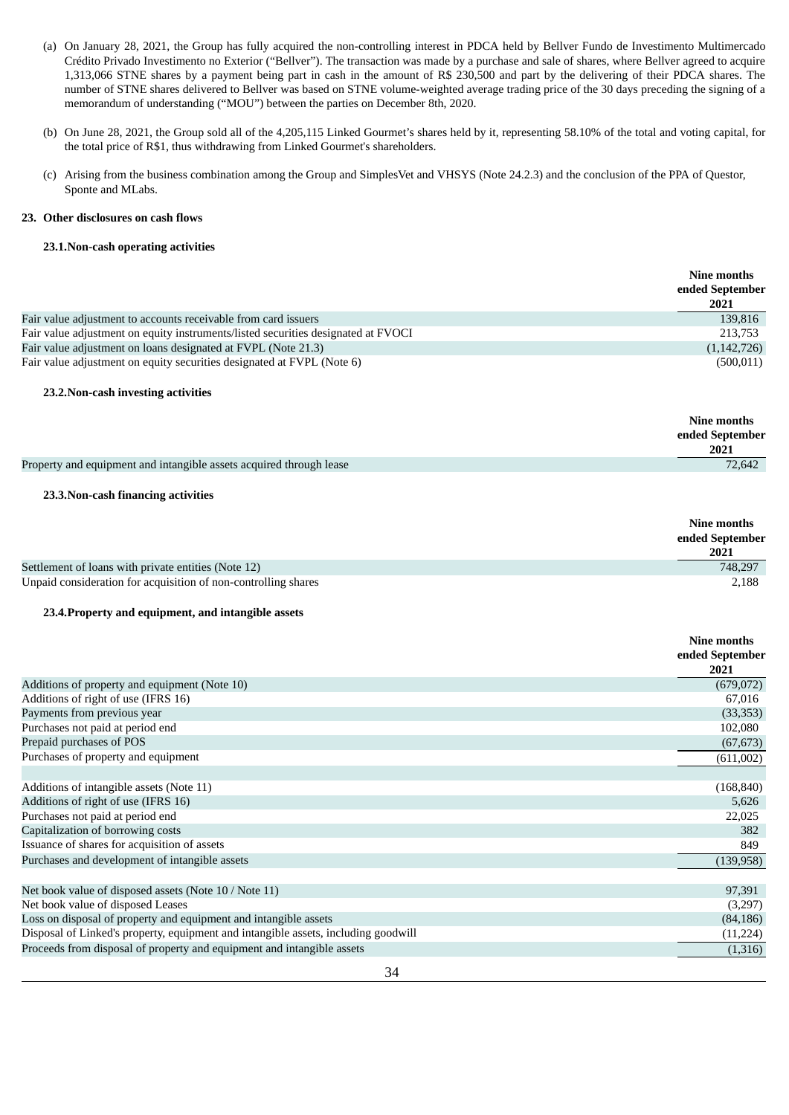- (a) On January 28, 2021, the Group has fully acquired the non-controlling interest in PDCA held by Bellver Fundo de Investimento Multimercado Crédito Privado Investimento no Exterior ("Bellver"). The transaction was made by a purchase and sale of shares, where Bellver agreed to acquire 1,313,066 STNE shares by a payment being part in cash in the amount of R\$ 230,500 and part by the delivering of their PDCA shares. The number of STNE shares delivered to Bellver was based on STNE volume-weighted average trading price of the 30 days preceding the signing of a memorandum of understanding ("MOU") between the parties on December 8th, 2020.
- (b) On June 28, 2021, the Group sold all of the 4,205,115 Linked Gourmet's shares held by it, representing 58.10% of the total and voting capital, for the total price of R\$1, thus withdrawing from Linked Gourmet's shareholders.

**Nine months**

(c) Arising from the business combination among the Group and SimplesVet and VHSYS (Note 24.2.3) and the conclusion of the PPA of Questor, Sponte and MLabs.

## **23. Other disclosures on cash flows**

### **23.1.Non-cash operating activities**

|                                                                                    | I VIIIL IIIVIILIID<br>ended September<br>2021 |
|------------------------------------------------------------------------------------|-----------------------------------------------|
| Fair value adjustment to accounts receivable from card issuers                     | 139,816                                       |
| Fair value adjustment on equity instruments/listed securities designated at FVOCI  | 213,753                                       |
| Fair value adjustment on loans designated at FVPL (Note 21.3)                      | (1, 142, 726)                                 |
| Fair value adjustment on equity securities designated at FVPL (Note 6)             | (500, 011)                                    |
| 23.2. Non-cash investing activities                                                |                                               |
|                                                                                    | Nine months<br>ended September<br>2021        |
| Property and equipment and intangible assets acquired through lease                | 72,642                                        |
| 23.3. Non-cash financing activities                                                |                                               |
|                                                                                    | Nine months<br>ended September<br>2021        |
| Settlement of loans with private entities (Note 12)                                | 748,297                                       |
| Unpaid consideration for acquisition of non-controlling shares                     | 2,188                                         |
| 23.4. Property and equipment, and intangible assets                                |                                               |
|                                                                                    | Nine months                                   |
|                                                                                    | ended September                               |
|                                                                                    | 2021                                          |
| Additions of property and equipment (Note 10)                                      | (679, 072)                                    |
| Additions of right of use (IFRS 16)                                                | 67,016                                        |
| Payments from previous year                                                        | (33,353)                                      |
| Purchases not paid at period end                                                   | 102,080                                       |
| Prepaid purchases of POS                                                           | (67, 673)                                     |
| Purchases of property and equipment                                                | (611,002)                                     |
| Additions of intangible assets (Note 11)                                           | (168, 840)                                    |
| Additions of right of use (IFRS 16)                                                | 5,626                                         |
| Purchases not paid at period end                                                   | 22,025                                        |
| Capitalization of borrowing costs                                                  | 382                                           |
| Issuance of shares for acquisition of assets                                       | 849                                           |
| Purchases and development of intangible assets                                     | (139, 958)                                    |
| Net book value of disposed assets (Note 10 / Note 11)                              | 97,391                                        |
| Net book value of disposed Leases                                                  | (3,297)                                       |
| Loss on disposal of property and equipment and intangible assets                   | (84, 186)                                     |
| Disposal of Linked's property, equipment and intangible assets, including goodwill | (11, 224)                                     |
| Proceeds from disposal of property and equipment and intangible assets             | (1,316)                                       |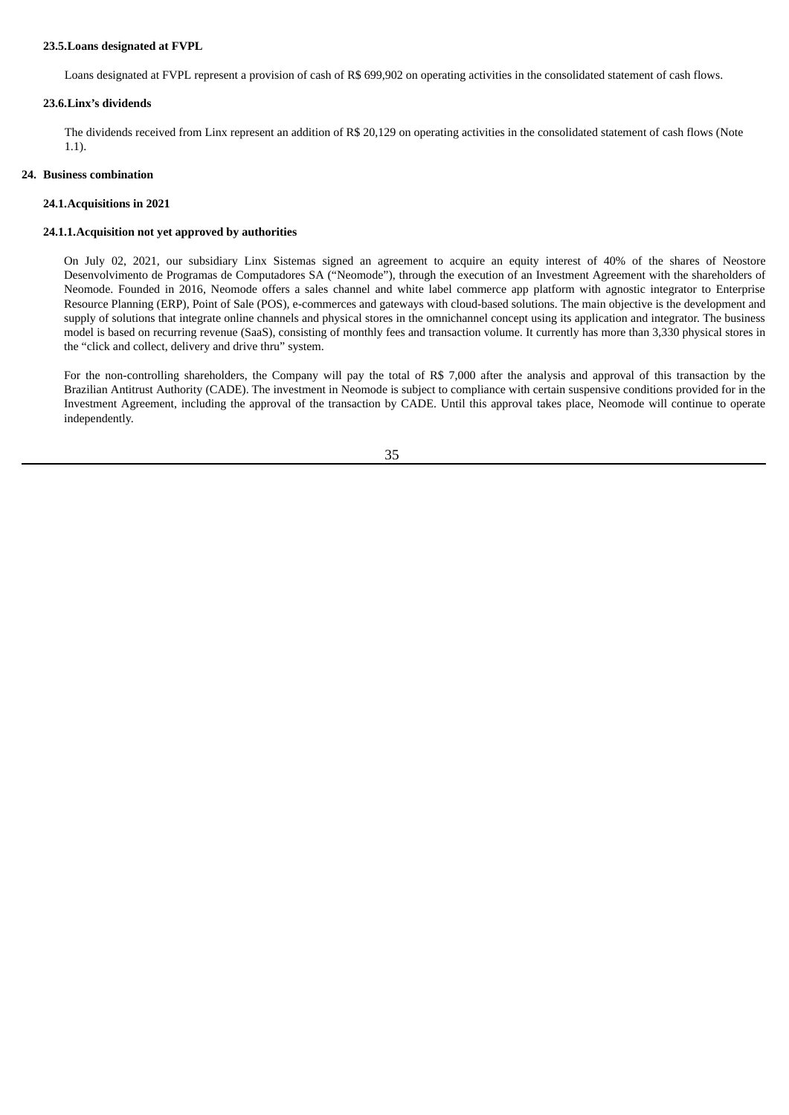### **23.5.Loans designated at FVPL**

Loans designated at FVPL represent a provision of cash of R\$ 699,902 on operating activities in the consolidated statement of cash flows.

#### **23.6.Linx's dividends**

The dividends received from Linx represent an addition of R\$ 20,129 on operating activities in the consolidated statement of cash flows (Note 1.1).

#### **24. Business combination**

#### **24.1.Acquisitions in 2021**

#### **24.1.1.Acquisition not yet approved by authorities**

On July 02, 2021, our subsidiary Linx Sistemas signed an agreement to acquire an equity interest of 40% of the shares of Neostore Desenvolvimento de Programas de Computadores SA ("Neomode"), through the execution of an Investment Agreement with the shareholders of Neomode. Founded in 2016, Neomode offers a sales channel and white label commerce app platform with agnostic integrator to Enterprise Resource Planning (ERP), Point of Sale (POS), e-commerces and gateways with cloud-based solutions. The main objective is the development and supply of solutions that integrate online channels and physical stores in the omnichannel concept using its application and integrator. The business model is based on recurring revenue (SaaS), consisting of monthly fees and transaction volume. It currently has more than 3,330 physical stores in the "click and collect, delivery and drive thru" system.

For the non-controlling shareholders, the Company will pay the total of R\$ 7,000 after the analysis and approval of this transaction by the Brazilian Antitrust Authority (CADE). The investment in Neomode is subject to compliance with certain suspensive conditions provided for in the Investment Agreement, including the approval of the transaction by CADE. Until this approval takes place, Neomode will continue to operate independently.

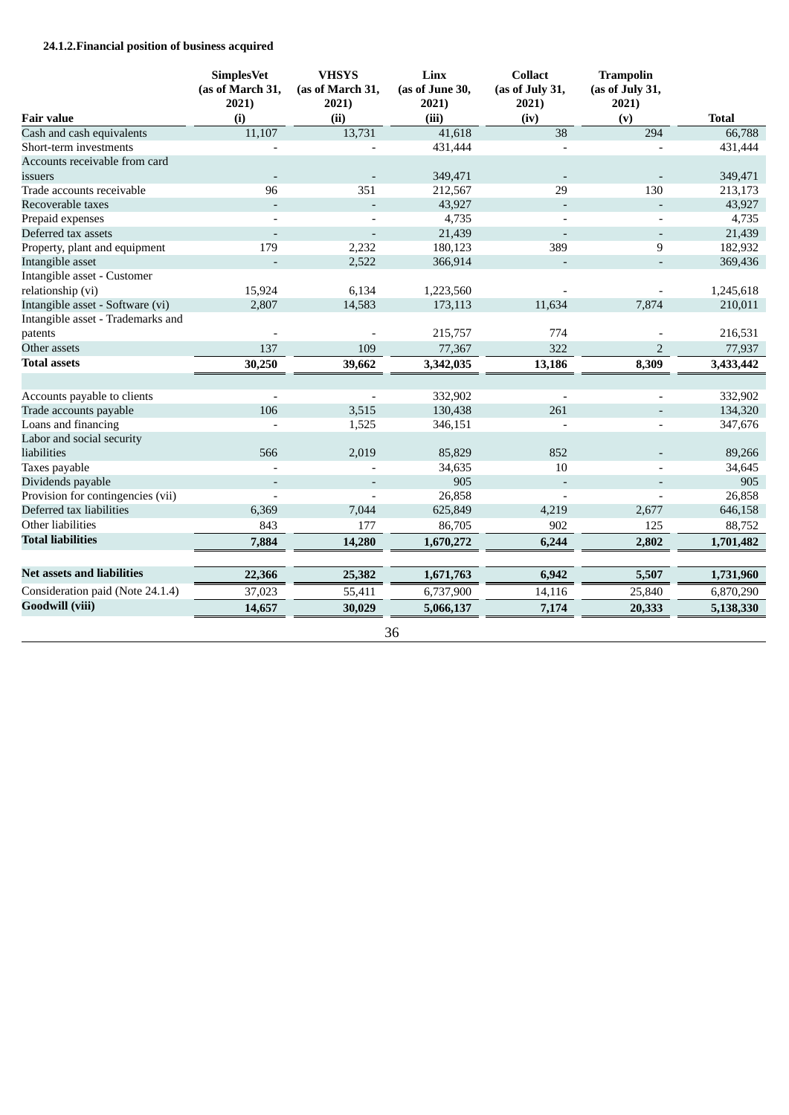# **24.1.2.Financial position of business acquired**

|                                   | <b>SimplesVet</b><br>(as of March 31,<br>2021) | <b>VHSYS</b><br>(as of March 31,<br>2021) | Linx<br>(as of June 30,<br>2021) | <b>Collact</b><br>(as of July 31,<br>2021) | <b>Trampolin</b><br>(as of July 31,<br>2021) |              |
|-----------------------------------|------------------------------------------------|-------------------------------------------|----------------------------------|--------------------------------------------|----------------------------------------------|--------------|
| <b>Fair value</b>                 | (i)                                            | (ii)                                      | (iii)                            | (iv)                                       | (v)                                          | <b>Total</b> |
| Cash and cash equivalents         | 11,107                                         | 13,731                                    | 41,618                           | 38                                         | 294                                          | 66,788       |
| Short-term investments            |                                                |                                           | 431,444                          |                                            |                                              | 431,444      |
| Accounts receivable from card     |                                                |                                           |                                  |                                            |                                              |              |
| issuers                           |                                                |                                           | 349,471                          |                                            |                                              | 349,471      |
| Trade accounts receivable         | 96                                             | 351                                       | 212,567                          | 29                                         | 130                                          | 213,173      |
| Recoverable taxes                 | $\overline{a}$                                 | $\blacksquare$                            | 43,927                           | $\overline{a}$                             | $\blacksquare$                               | 43,927       |
| Prepaid expenses                  |                                                |                                           | 4,735                            |                                            | $\overline{\phantom{a}}$                     | 4,735        |
| Deferred tax assets               |                                                |                                           | 21,439                           |                                            |                                              | 21,439       |
| Property, plant and equipment     | 179                                            | 2,232                                     | 180,123                          | 389                                        | 9                                            | 182,932      |
| Intangible asset                  |                                                | 2,522                                     | 366,914                          |                                            | $\overline{\phantom{a}}$                     | 369,436      |
| Intangible asset - Customer       |                                                |                                           |                                  |                                            |                                              |              |
| relationship (vi)                 | 15,924                                         | 6,134                                     | 1,223,560                        |                                            |                                              | 1,245,618    |
| Intangible asset - Software (vi)  | 2,807                                          | 14,583                                    | 173,113                          | 11,634                                     | 7,874                                        | 210,011      |
| Intangible asset - Trademarks and |                                                |                                           |                                  |                                            |                                              |              |
| patents                           |                                                |                                           | 215,757                          | 774                                        |                                              | 216,531      |
| Other assets                      | 137                                            | 109                                       | 77,367                           | 322                                        | $\overline{2}$                               | 77,937       |
| <b>Total assets</b>               | 30,250                                         | 39,662                                    | 3,342,035                        | 13,186                                     | 8,309                                        | 3,433,442    |
|                                   |                                                |                                           |                                  |                                            |                                              |              |
| Accounts payable to clients       |                                                |                                           | 332,902                          |                                            |                                              | 332,902      |
| Trade accounts payable            | 106                                            | 3,515                                     | 130,438                          | 261                                        |                                              | 134,320      |
| Loans and financing               |                                                | 1,525                                     | 346,151                          |                                            |                                              | 347,676      |
| Labor and social security         |                                                |                                           |                                  |                                            |                                              |              |
| liabilities                       | 566                                            | 2,019                                     | 85,829                           | 852                                        |                                              | 89,266       |
| Taxes payable                     |                                                |                                           | 34,635                           | 10                                         |                                              | 34,645       |
| Dividends payable                 |                                                |                                           | 905                              |                                            |                                              | 905          |
| Provision for contingencies (vii) |                                                | $\overline{\phantom{a}}$                  | 26,858                           | $\overline{\phantom{a}}$                   | $\overline{\phantom{a}}$                     | 26,858       |
| Deferred tax liabilities          | 6,369                                          | 7,044                                     | 625,849                          | 4,219                                      | 2,677                                        | 646,158      |
| Other liabilities                 | 843                                            | 177                                       | 86,705                           | 902                                        | 125                                          | 88,752       |
| <b>Total liabilities</b>          | 7,884                                          | 14,280                                    | 1,670,272                        | 6,244                                      | 2,802                                        | 1,701,482    |
|                                   |                                                |                                           |                                  |                                            |                                              |              |
| <b>Net assets and liabilities</b> | 22,366                                         | 25,382                                    | 1,671,763                        | 6,942                                      | 5,507                                        | 1,731,960    |
| Consideration paid (Note 24.1.4)  | 37,023                                         | 55,411                                    | 6,737,900                        | 14,116                                     | 25,840                                       | 6,870,290    |
| <b>Goodwill (viii)</b>            | 14,657                                         | 30,029                                    | 5,066,137                        | 7,174                                      | 20,333                                       | 5,138,330    |
|                                   |                                                |                                           | 36                               |                                            |                                              |              |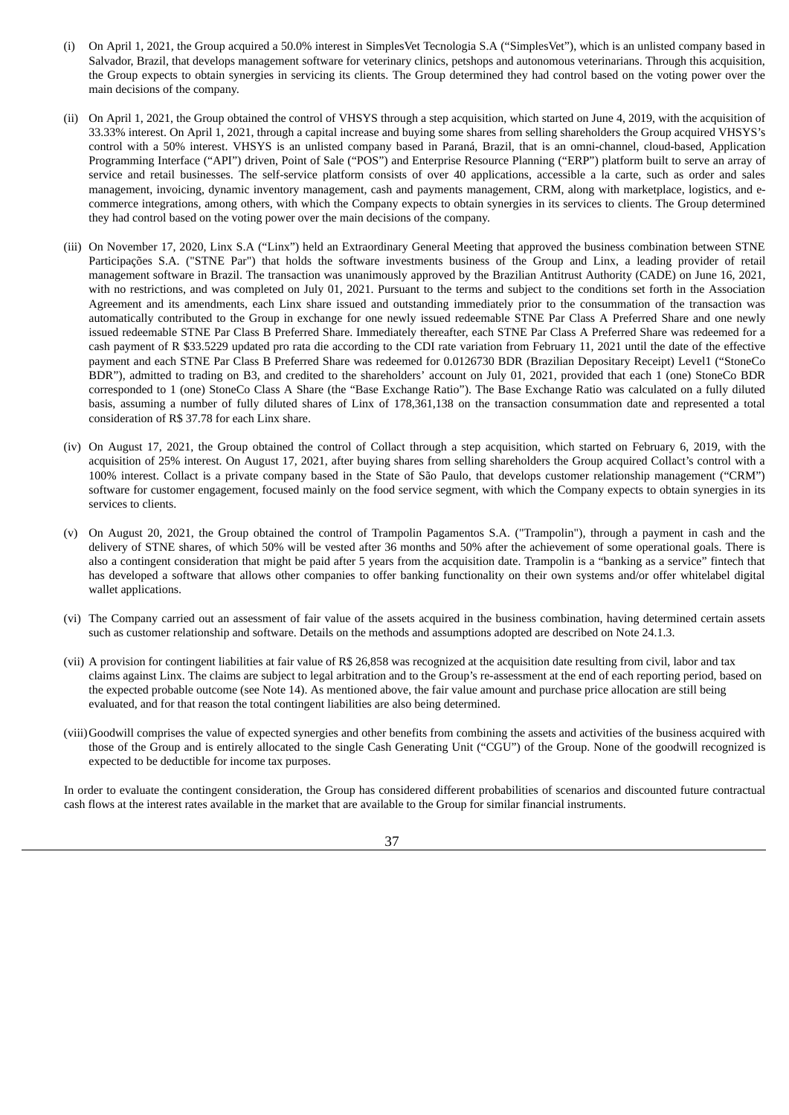- (i) On April 1, 2021, the Group acquired a 50.0% interest in SimplesVet Tecnologia S.A ("SimplesVet"), which is an unlisted company based in Salvador, Brazil, that develops management software for veterinary clinics, petshops and autonomous veterinarians. Through this acquisition, the Group expects to obtain synergies in servicing its clients. The Group determined they had control based on the voting power over the main decisions of the company.
- (ii) On April 1, 2021, the Group obtained the control of VHSYS through a step acquisition, which started on June 4, 2019, with the acquisition of 33.33% interest. On April 1, 2021, through a capital increase and buying some shares from selling shareholders the Group acquired VHSYS's control with a 50% interest. VHSYS is an unlisted company based in Paraná, Brazil, that is an omni-channel, cloud-based, Application Programming Interface ("API") driven, Point of Sale ("POS") and Enterprise Resource Planning ("ERP") platform built to serve an array of service and retail businesses. The self-service platform consists of over 40 applications, accessible a la carte, such as order and sales management, invoicing, dynamic inventory management, cash and payments management, CRM, along with marketplace, logistics, and ecommerce integrations, among others, with which the Company expects to obtain synergies in its services to clients. The Group determined they had control based on the voting power over the main decisions of the company.
- (iii) On November 17, 2020, Linx S.A ("Linx") held an Extraordinary General Meeting that approved the business combination between STNE Participações S.A. ("STNE Par") that holds the software investments business of the Group and Linx, a leading provider of retail management software in Brazil. The transaction was unanimously approved by the Brazilian Antitrust Authority (CADE) on June 16, 2021, with no restrictions, and was completed on July 01, 2021. Pursuant to the terms and subject to the conditions set forth in the Association Agreement and its amendments, each Linx share issued and outstanding immediately prior to the consummation of the transaction was automatically contributed to the Group in exchange for one newly issued redeemable STNE Par Class A Preferred Share and one newly issued redeemable STNE Par Class B Preferred Share. Immediately thereafter, each STNE Par Class A Preferred Share was redeemed for a cash payment of R \$33.5229 updated pro rata die according to the CDI rate variation from February 11, 2021 until the date of the effective payment and each STNE Par Class B Preferred Share was redeemed for 0.0126730 BDR (Brazilian Depositary Receipt) Level1 ("StoneCo BDR"), admitted to trading on B3, and credited to the shareholders' account on July 01, 2021, provided that each 1 (one) StoneCo BDR corresponded to 1 (one) StoneCo Class A Share (the "Base Exchange Ratio"). The Base Exchange Ratio was calculated on a fully diluted basis, assuming a number of fully diluted shares of Linx of 178,361,138 on the transaction consummation date and represented a total consideration of R\$ 37.78 for each Linx share.
- (iv) On August 17, 2021, the Group obtained the control of Collact through a step acquisition, which started on February 6, 2019, with the acquisition of 25% interest. On August 17, 2021, after buying shares from selling shareholders the Group acquired Collact's control with a 100% interest. Collact is a private company based in the State of São Paulo, that develops customer relationship management ("CRM") software for customer engagement, focused mainly on the food service segment, with which the Company expects to obtain synergies in its services to clients.
- (v) On August 20, 2021, the Group obtained the control of Trampolin Pagamentos S.A. ("Trampolin"), through a payment in cash and the delivery of STNE shares, of which 50% will be vested after 36 months and 50% after the achievement of some operational goals. There is also a contingent consideration that might be paid after 5 years from the acquisition date. Trampolin is a "banking as a service" fintech that has developed a software that allows other companies to offer banking functionality on their own systems and/or offer whitelabel digital wallet applications.
- (vi) The Company carried out an assessment of fair value of the assets acquired in the business combination, having determined certain assets such as customer relationship and software. Details on the methods and assumptions adopted are described on Note 24.1.3.
- (vii) A provision for contingent liabilities at fair value of R\$ 26,858 was recognized at the acquisition date resulting from civil, labor and tax claims against Linx. The claims are subject to legal arbitration and to the Group's re-assessment at the end of each reporting period, based on the expected probable outcome (see Note 14). As mentioned above, the fair value amount and purchase price allocation are still being evaluated, and for that reason the total contingent liabilities are also being determined.
- (viii)Goodwill comprises the value of expected synergies and other benefits from combining the assets and activities of the business acquired with those of the Group and is entirely allocated to the single Cash Generating Unit ("CGU") of the Group. None of the goodwill recognized is expected to be deductible for income tax purposes.

In order to evaluate the contingent consideration, the Group has considered different probabilities of scenarios and discounted future contractual cash flows at the interest rates available in the market that are available to the Group for similar financial instruments.

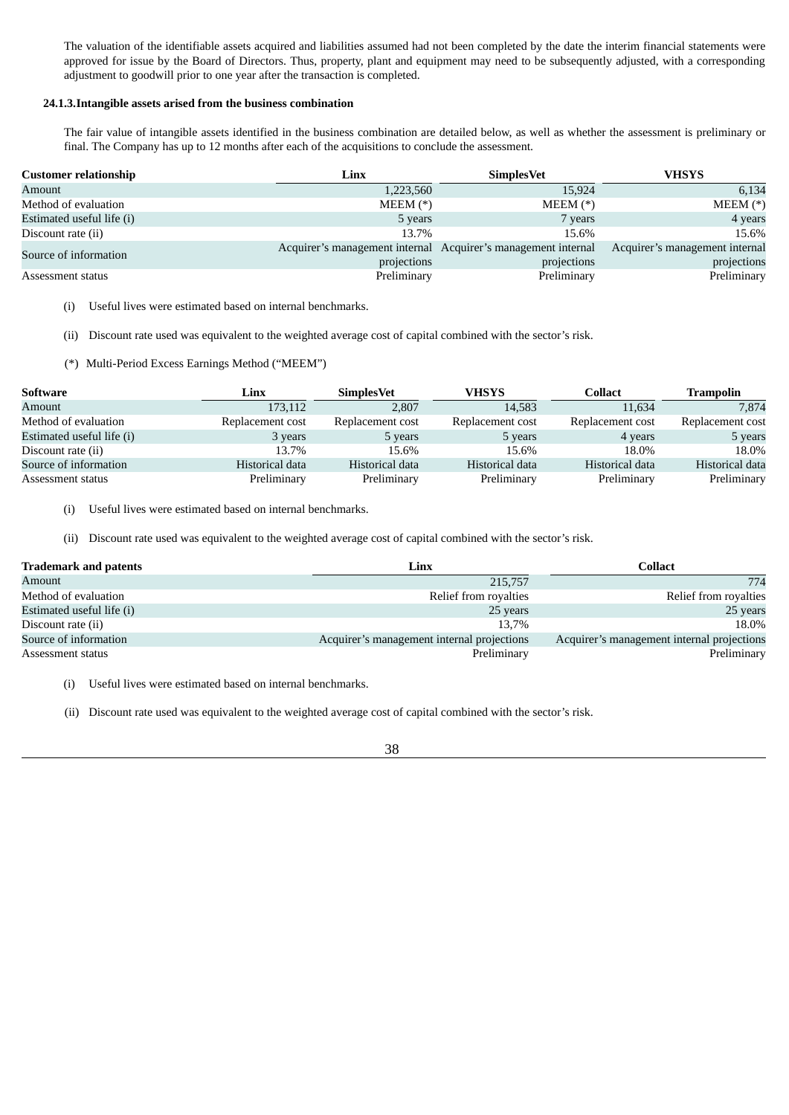The valuation of the identifiable assets acquired and liabilities assumed had not been completed by the date the interim financial statements were approved for issue by the Board of Directors. Thus, property, plant and equipment may need to be subsequently adjusted, with a corresponding adjustment to goodwill prior to one year after the transaction is completed.

### **24.1.3.Intangible assets arised from the business combination**

The fair value of intangible assets identified in the business combination are detailed below, as well as whether the assessment is preliminary or final. The Company has up to 12 months after each of the acquisitions to conclude the assessment.

| <b>Customer relationship</b> | Linx        | <b>SimplesVet</b>                                             | VHSYS                          |
|------------------------------|-------------|---------------------------------------------------------------|--------------------------------|
| Amount                       | 1,223,560   | 15,924                                                        | 6,134                          |
| Method of evaluation         | $MEEM (*)$  | $MEEM (*)$                                                    | $MEEM (*)$                     |
| Estimated useful life (i)    | 5 years     | 7 years                                                       | 4 years                        |
| Discount rate (ii)           | 13.7%       | 15.6%                                                         | 15.6%                          |
| Source of information        |             | Acquirer's management internal Acquirer's management internal | Acquirer's management internal |
|                              | projections | projections                                                   | projections                    |
| Assessment status            | Preliminary | Preliminary                                                   | Preliminary                    |

(i) Useful lives were estimated based on internal benchmarks.

(ii) Discount rate used was equivalent to the weighted average cost of capital combined with the sector's risk.

(\*) Multi-Period Excess Earnings Method ("MEEM")

| <b>Software</b>           | Linx             | <b>SimplesVet</b> | VHSYS            | Collact          | <b>Trampolin</b> |
|---------------------------|------------------|-------------------|------------------|------------------|------------------|
| Amount                    | 173,112          | 2.807             | 14,583           | 11,634           | 7,874            |
| Method of evaluation      | Replacement cost | Replacement cost  | Replacement cost | Replacement cost | Replacement cost |
| Estimated useful life (i) | 3 years          | 5 years           | 5 years          | 4 years          | 5 years          |
| Discount rate (ii)        | 13.7%            | 15.6%             | 15.6%            | 18.0%            | 18.0%            |
| Source of information     | Historical data  | Historical data   | Historical data  | Historical data  | Historical data  |
| Assessment status         | Preliminary      | Preliminary       | Preliminary      | Preliminary      | Preliminary      |

(i) Useful lives were estimated based on internal benchmarks.

(ii) Discount rate used was equivalent to the weighted average cost of capital combined with the sector's risk.

| <b>Trademark and patents</b> | Linx                                       | Collact                                    |
|------------------------------|--------------------------------------------|--------------------------------------------|
| Amount                       | 215,757                                    | 774                                        |
| Method of evaluation         | Relief from royalties                      | Relief from royalties                      |
| Estimated useful life (i)    | 25 years                                   | 25 years                                   |
| Discount rate (ii)           | 13.7%                                      | 18.0%                                      |
| Source of information        | Acquirer's management internal projections | Acquirer's management internal projections |
| Assessment status            | Preliminary                                | Preliminary                                |

(i) Useful lives were estimated based on internal benchmarks.

(ii) Discount rate used was equivalent to the weighted average cost of capital combined with the sector's risk.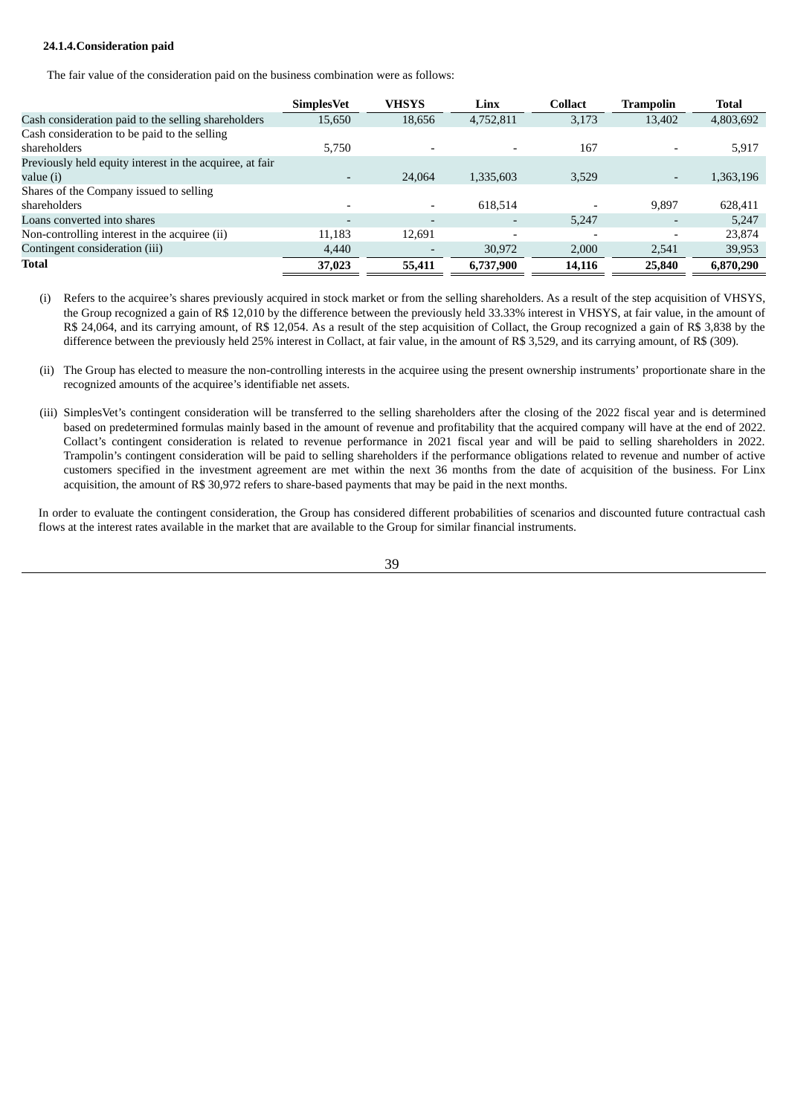# **24.1.4.Consideration paid**

The fair value of the consideration paid on the business combination were as follows:

|                                                          | <b>SimplesVet</b> | <b>VHSYS</b> | Linx                     | <b>Collact</b> | Trampolin                | <b>Total</b> |
|----------------------------------------------------------|-------------------|--------------|--------------------------|----------------|--------------------------|--------------|
| Cash consideration paid to the selling shareholders      | 15,650            | 18,656       | 4,752,811                | 3,173          | 13,402                   | 4,803,692    |
| Cash consideration to be paid to the selling             |                   |              |                          |                |                          |              |
| shareholders                                             | 5,750             |              | $\overline{\phantom{a}}$ | 167            |                          | 5,917        |
| Previously held equity interest in the acquiree, at fair |                   |              |                          |                |                          |              |
| value (i)                                                |                   | 24,064       | 1,335,603                | 3,529          | $\overline{\phantom{a}}$ | 1,363,196    |
| Shares of the Company issued to selling                  |                   |              |                          |                |                          |              |
| shareholders                                             |                   |              | 618,514                  |                | 9,897                    | 628,411      |
| Loans converted into shares                              |                   |              |                          | 5,247          |                          | 5,247        |
| Non-controlling interest in the acquiree (ii)            | 11,183            | 12,691       | $\overline{\phantom{a}}$ |                |                          | 23,874       |
| Contingent consideration (iii)                           | 4,440             |              | 30,972                   | 2,000          | 2,541                    | 39,953       |
| Total                                                    | 37,023            | 55,411       | 6,737,900                | 14,116         | 25,840                   | 6,870,290    |

- (i) Refers to the acquiree's shares previously acquired in stock market or from the selling shareholders. As a result of the step acquisition of VHSYS, the Group recognized a gain of R\$ 12,010 by the difference between the previously held 33.33% interest in VHSYS, at fair value, in the amount of R\$ 24,064, and its carrying amount, of R\$ 12,054. As a result of the step acquisition of Collact, the Group recognized a gain of R\$ 3,838 by the difference between the previously held 25% interest in Collact, at fair value, in the amount of R\$ 3,529, and its carrying amount, of R\$ (309).
- (ii) The Group has elected to measure the non-controlling interests in the acquiree using the present ownership instruments' proportionate share in the recognized amounts of the acquiree's identifiable net assets.
- (iii) SimplesVet's contingent consideration will be transferred to the selling shareholders after the closing of the 2022 fiscal year and is determined based on predetermined formulas mainly based in the amount of revenue and profitability that the acquired company will have at the end of 2022. Collact's contingent consideration is related to revenue performance in 2021 fiscal year and will be paid to selling shareholders in 2022. Trampolin's contingent consideration will be paid to selling shareholders if the performance obligations related to revenue and number of active customers specified in the investment agreement are met within the next 36 months from the date of acquisition of the business. For Linx acquisition, the amount of R\$ 30,972 refers to share-based payments that may be paid in the next months.

In order to evaluate the contingent consideration, the Group has considered different probabilities of scenarios and discounted future contractual cash flows at the interest rates available in the market that are available to the Group for similar financial instruments.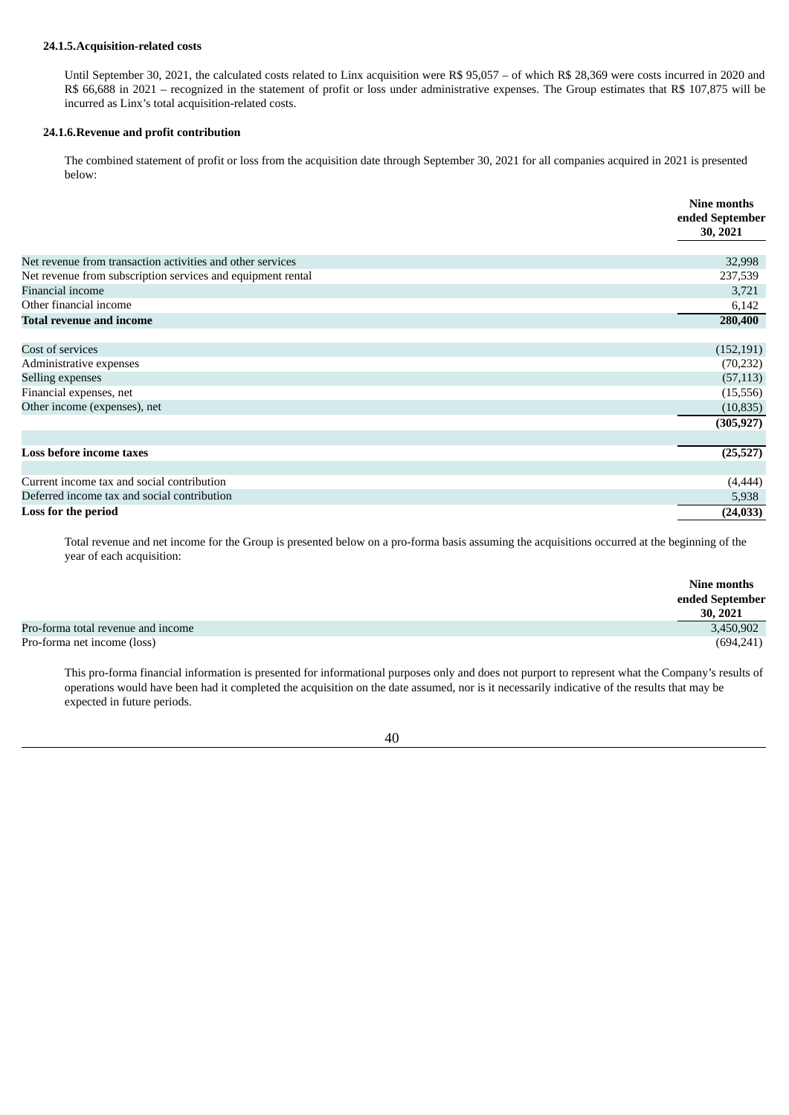#### **24.1.5.Acquisition-related costs**

Until September 30, 2021, the calculated costs related to Linx acquisition were R\$ 95,057 – of which R\$ 28,369 were costs incurred in 2020 and R\$ 66,688 in 2021 – recognized in the statement of profit or loss under administrative expenses. The Group estimates that R\$ 107,875 will be incurred as Linx's total acquisition-related costs.

## **24.1.6.Revenue and profit contribution**

The combined statement of profit or loss from the acquisition date through September 30, 2021 for all companies acquired in 2021 is presented below:

|                                                             | Nine months<br>ended September |
|-------------------------------------------------------------|--------------------------------|
|                                                             | 30, 2021                       |
| Net revenue from transaction activities and other services  | 32,998                         |
| Net revenue from subscription services and equipment rental | 237,539                        |
| Financial income                                            | 3,721                          |
| Other financial income                                      | 6,142                          |
| <b>Total revenue and income</b>                             | 280,400                        |
| Cost of services                                            | (152, 191)                     |
| Administrative expenses                                     | (70, 232)                      |
| Selling expenses                                            | (57, 113)                      |
| Financial expenses, net                                     | (15, 556)                      |
| Other income (expenses), net                                | (10, 835)                      |
|                                                             | (305, 927)                     |
| Loss before income taxes                                    | (25, 527)                      |
|                                                             |                                |
| Current income tax and social contribution                  | (4, 444)                       |
| Deferred income tax and social contribution                 | 5,938                          |
| Loss for the period                                         | (24, 033)                      |

Total revenue and net income for the Group is presented below on a pro-forma basis assuming the acquisitions occurred at the beginning of the year of each acquisition:

|                                    | Nine months<br>ended September<br>30, 2021 |
|------------------------------------|--------------------------------------------|
| Pro-forma total revenue and income | 3,450,902                                  |
| Pro-forma net income (loss)        | (694, 241)                                 |

This pro-forma financial information is presented for informational purposes only and does not purport to represent what the Company's results of operations would have been had it completed the acquisition on the date assumed, nor is it necessarily indicative of the results that may be expected in future periods.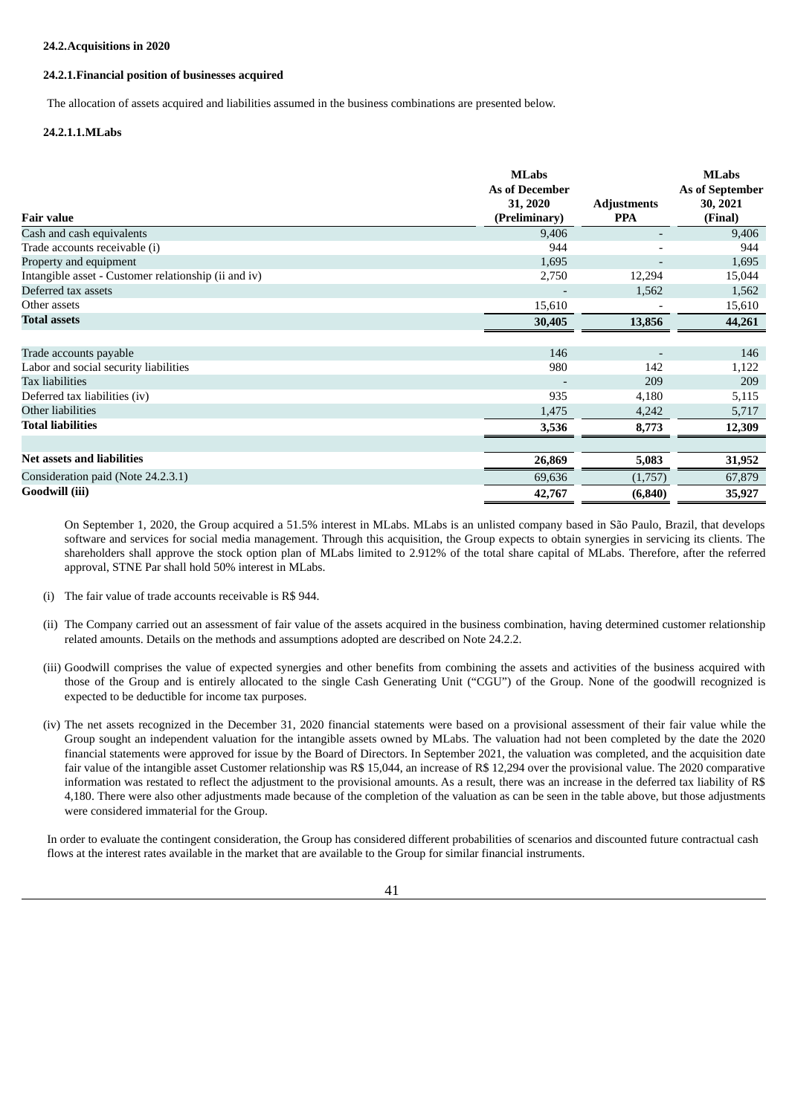#### **24.2.Acquisitions in 2020**

# **24.2.1.Financial position of businesses acquired**

The allocation of assets acquired and liabilities assumed in the business combinations are presented below.

#### **24.2.1.1.MLabs**

|                                                      | <b>MLabs</b>          |                    | <b>MLabs</b>    |
|------------------------------------------------------|-----------------------|--------------------|-----------------|
|                                                      | <b>As of December</b> |                    | As of September |
|                                                      | 31, 2020              | <b>Adjustments</b> | 30, 2021        |
| <b>Fair value</b>                                    | (Preliminary)         | <b>PPA</b>         | (Final)         |
| Cash and cash equivalents                            | 9,406                 |                    | 9,406           |
| Trade accounts receivable (i)                        | 944                   |                    | 944             |
| Property and equipment                               | 1,695                 |                    | 1,695           |
| Intangible asset - Customer relationship (ii and iv) | 2,750                 | 12,294             | 15,044          |
| Deferred tax assets                                  |                       | 1,562              | 1,562           |
| Other assets                                         | 15,610                |                    | 15,610          |
| <b>Total assets</b>                                  | 30,405                | 13,856             | 44,261          |
|                                                      |                       |                    |                 |
| Trade accounts payable                               | 146                   |                    | 146             |
| Labor and social security liabilities                | 980                   | 142                | 1,122           |
| <b>Tax liabilities</b>                               |                       | 209                | 209             |
| Deferred tax liabilities (iv)                        | 935                   | 4,180              | 5,115           |
| Other liabilities                                    | 1,475                 | 4,242              | 5,717           |
| <b>Total liabilities</b>                             | 3,536                 | 8,773              | 12,309          |
|                                                      |                       |                    |                 |
| <b>Net assets and liabilities</b>                    | 26,869                | 5,083              | 31,952          |
| Consideration paid (Note 24.2.3.1)                   | 69,636                | (1,757)            | 67,879          |
| Goodwill (iii)                                       | 42,767                | (6, 840)           | 35,927          |

On September 1, 2020, the Group acquired a 51.5% interest in MLabs. MLabs is an unlisted company based in São Paulo, Brazil, that develops software and services for social media management. Through this acquisition, the Group expects to obtain synergies in servicing its clients. The shareholders shall approve the stock option plan of MLabs limited to 2.912% of the total share capital of MLabs. Therefore, after the referred approval, STNE Par shall hold 50% interest in MLabs.

- (i) The fair value of trade accounts receivable is R\$ 944.
- (ii) The Company carried out an assessment of fair value of the assets acquired in the business combination, having determined customer relationship related amounts. Details on the methods and assumptions adopted are described on Note 24.2.2.
- (iii) Goodwill comprises the value of expected synergies and other benefits from combining the assets and activities of the business acquired with those of the Group and is entirely allocated to the single Cash Generating Unit ("CGU") of the Group. None of the goodwill recognized is expected to be deductible for income tax purposes.
- (iv) The net assets recognized in the December 31, 2020 financial statements were based on a provisional assessment of their fair value while the Group sought an independent valuation for the intangible assets owned by MLabs. The valuation had not been completed by the date the 2020 financial statements were approved for issue by the Board of Directors. In September 2021, the valuation was completed, and the acquisition date fair value of the intangible asset Customer relationship was R\$ 15,044, an increase of R\$ 12,294 over the provisional value. The 2020 comparative information was restated to reflect the adjustment to the provisional amounts. As a result, there was an increase in the deferred tax liability of R\$ 4,180. There were also other adjustments made because of the completion of the valuation as can be seen in the table above, but those adjustments were considered immaterial for the Group.

In order to evaluate the contingent consideration, the Group has considered different probabilities of scenarios and discounted future contractual cash flows at the interest rates available in the market that are available to the Group for similar financial instruments.

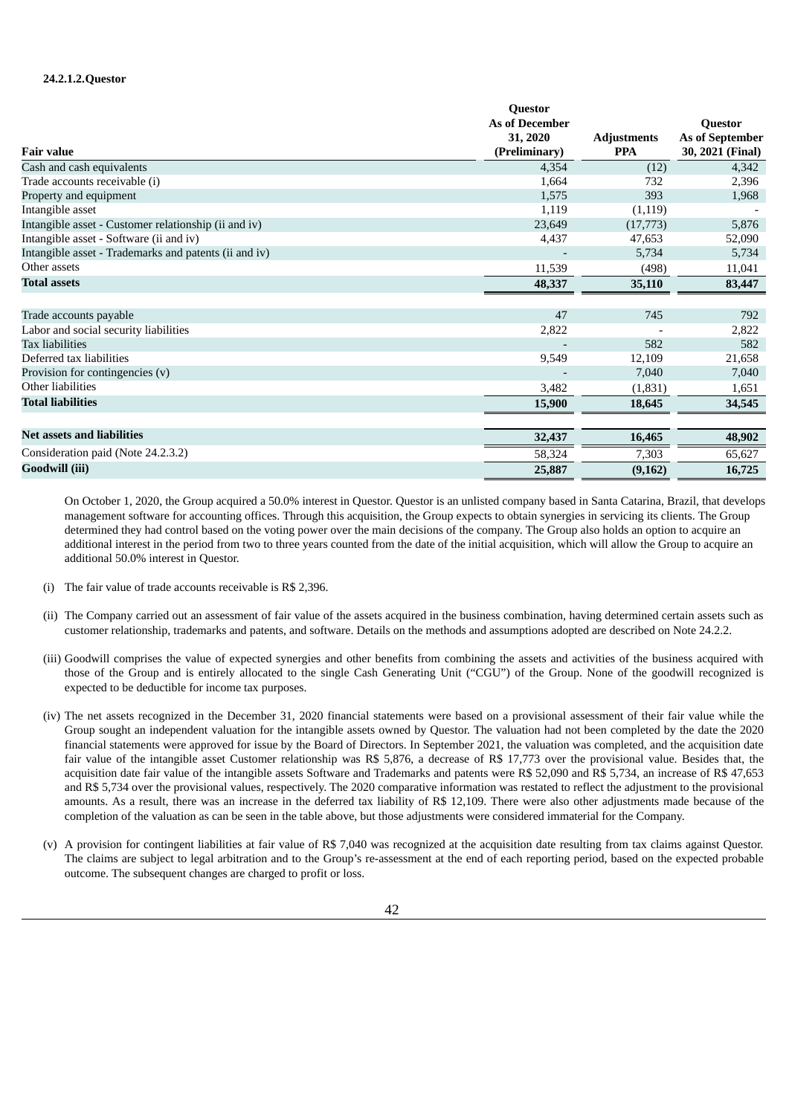# **24.2.1.2.Questor**

|                                                       | <b>Questor</b>        |                    |                  |
|-------------------------------------------------------|-----------------------|--------------------|------------------|
|                                                       | <b>As of December</b> |                    | Questor          |
|                                                       | 31, 2020              | <b>Adjustments</b> | As of September  |
| <b>Fair value</b>                                     | (Preliminary)         | <b>PPA</b>         | 30, 2021 (Final) |
| Cash and cash equivalents                             | 4,354                 | (12)               | 4,342            |
| Trade accounts receivable (i)                         | 1,664                 | 732                | 2,396            |
| Property and equipment                                | 1,575                 | 393                | 1,968            |
| Intangible asset                                      | 1,119                 | (1,119)            |                  |
| Intangible asset - Customer relationship (ii and iv)  | 23,649                | (17, 773)          | 5,876            |
| Intangible asset - Software (ii and iv)               | 4,437                 | 47,653             | 52,090           |
| Intangible asset - Trademarks and patents (ii and iv) |                       | 5,734              | 5,734            |
| Other assets                                          | 11,539                | (498)              | 11,041           |
| <b>Total assets</b>                                   | 48,337                | 35,110             | 83,447           |
|                                                       |                       |                    |                  |
| Trade accounts payable                                | 47                    | 745                | 792              |
| Labor and social security liabilities                 | 2,822                 |                    | 2,822            |
| <b>Tax liabilities</b>                                |                       | 582                | 582              |
| Deferred tax liabilities                              | 9,549                 | 12,109             | 21,658           |
| Provision for contingencies (v)                       |                       | 7,040              | 7,040            |
| Other liabilities                                     | 3,482                 | (1,831)            | 1,651            |
| <b>Total liabilities</b>                              | 15,900                | 18,645             | 34,545           |
| <b>Net assets and liabilities</b>                     | 32,437                | 16,465             | 48,902           |
| Consideration paid (Note 24.2.3.2)                    | 58,324                | 7,303              | 65,627           |
| Goodwill (iii)                                        | 25,887                | (9,162)            | 16,725           |

On October 1, 2020, the Group acquired a 50.0% interest in Questor. Questor is an unlisted company based in Santa Catarina, Brazil, that develops management software for accounting offices. Through this acquisition, the Group expects to obtain synergies in servicing its clients. The Group determined they had control based on the voting power over the main decisions of the company. The Group also holds an option to acquire an additional interest in the period from two to three years counted from the date of the initial acquisition, which will allow the Group to acquire an additional 50.0% interest in Questor.

- (i) The fair value of trade accounts receivable is R\$ 2,396.
- (ii) The Company carried out an assessment of fair value of the assets acquired in the business combination, having determined certain assets such as customer relationship, trademarks and patents, and software. Details on the methods and assumptions adopted are described on Note 24.2.2.
- (iii) Goodwill comprises the value of expected synergies and other benefits from combining the assets and activities of the business acquired with those of the Group and is entirely allocated to the single Cash Generating Unit ("CGU") of the Group. None of the goodwill recognized is expected to be deductible for income tax purposes.
- (iv) The net assets recognized in the December 31, 2020 financial statements were based on a provisional assessment of their fair value while the Group sought an independent valuation for the intangible assets owned by Questor. The valuation had not been completed by the date the 2020 financial statements were approved for issue by the Board of Directors. In September 2021, the valuation was completed, and the acquisition date fair value of the intangible asset Customer relationship was R\$ 5,876, a decrease of R\$ 17,773 over the provisional value. Besides that, the acquisition date fair value of the intangible assets Software and Trademarks and patents were R\$ 52,090 and R\$ 5,734, an increase of R\$ 47,653 and R\$ 5,734 over the provisional values, respectively. The 2020 comparative information was restated to reflect the adjustment to the provisional amounts. As a result, there was an increase in the deferred tax liability of R\$ 12,109. There were also other adjustments made because of the completion of the valuation as can be seen in the table above, but those adjustments were considered immaterial for the Company.
- (v) A provision for contingent liabilities at fair value of R\$ 7,040 was recognized at the acquisition date resulting from tax claims against Questor. The claims are subject to legal arbitration and to the Group's re-assessment at the end of each reporting period, based on the expected probable outcome. The subsequent changes are charged to profit or loss.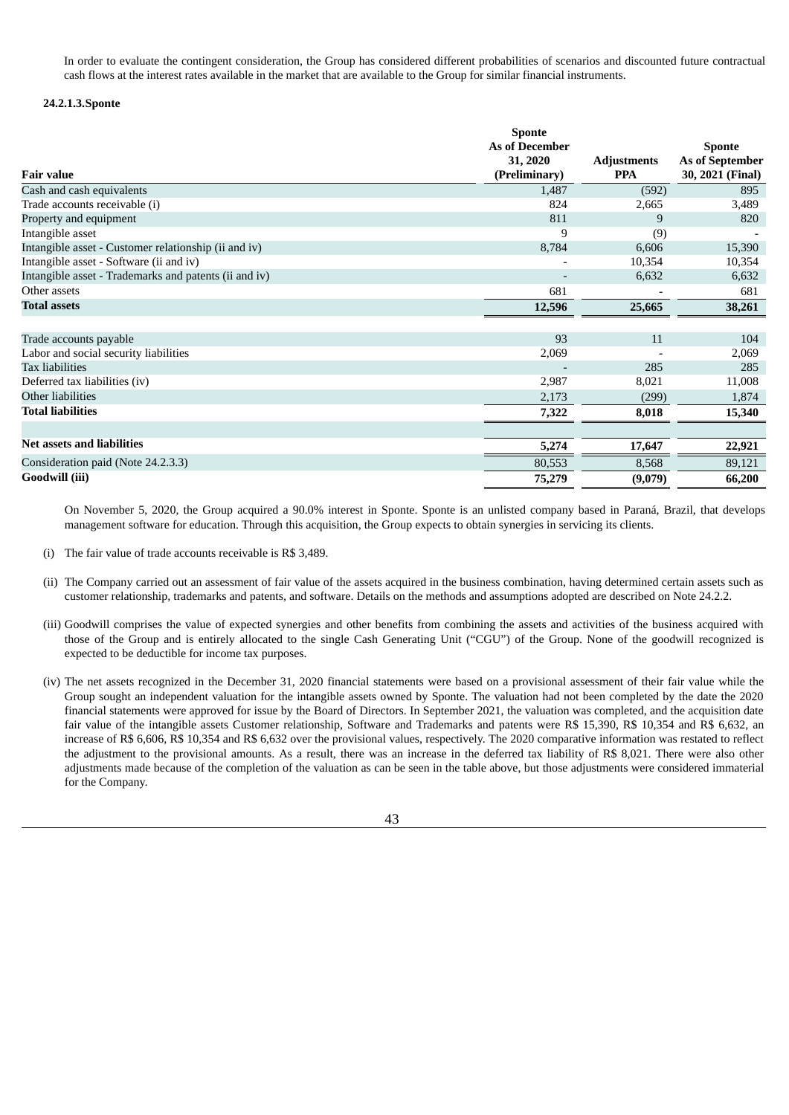In order to evaluate the contingent consideration, the Group has considered different probabilities of scenarios and discounted future contractual cash flows at the interest rates available in the market that are available to the Group for similar financial instruments.

# **24.2.1.3.Sponte**

|                                                       | <b>Sponte</b>         |                    |                  |
|-------------------------------------------------------|-----------------------|--------------------|------------------|
|                                                       | <b>As of December</b> |                    | <b>Sponte</b>    |
|                                                       | 31, 2020              | <b>Adjustments</b> | As of September  |
| <b>Fair value</b>                                     | (Preliminary)         | <b>PPA</b>         | 30, 2021 (Final) |
| Cash and cash equivalents                             | 1,487                 | (592)              | 895              |
| Trade accounts receivable (i)                         | 824                   | 2,665              | 3,489            |
| Property and equipment                                | 811                   | 9                  | 820              |
| Intangible asset                                      | 9                     | (9)                |                  |
| Intangible asset - Customer relationship (ii and iv)  | 8,784                 | 6,606              | 15,390           |
| Intangible asset - Software (ii and iv)               |                       | 10,354             | 10,354           |
| Intangible asset - Trademarks and patents (ii and iv) |                       | 6,632              | 6,632            |
| Other assets                                          | 681                   |                    | 681              |
| <b>Total assets</b>                                   | 12,596                | 25,665             | 38,261           |
|                                                       |                       |                    |                  |
| Trade accounts payable                                | 93                    | 11                 | 104              |
| Labor and social security liabilities                 | 2,069                 |                    | 2,069            |
| <b>Tax liabilities</b>                                |                       | 285                | 285              |
| Deferred tax liabilities (iv)                         | 2,987                 | 8,021              | 11,008           |
| Other liabilities                                     | 2,173                 | (299)              | 1,874            |
| <b>Total liabilities</b>                              | 7,322                 | 8,018              | 15,340           |
|                                                       |                       |                    |                  |
| <b>Net assets and liabilities</b>                     | 5,274                 | 17,647             | 22,921           |
| Consideration paid (Note 24.2.3.3)                    | 80,553                | 8,568              | 89,121           |
| Goodwill (iii)                                        | 75,279                | (9,079)            | 66,200           |

On November 5, 2020, the Group acquired a 90.0% interest in Sponte. Sponte is an unlisted company based in Paraná, Brazil, that develops management software for education. Through this acquisition, the Group expects to obtain synergies in servicing its clients.

- (i) The fair value of trade accounts receivable is R\$ 3,489.
- (ii) The Company carried out an assessment of fair value of the assets acquired in the business combination, having determined certain assets such as customer relationship, trademarks and patents, and software. Details on the methods and assumptions adopted are described on Note 24.2.2.
- (iii) Goodwill comprises the value of expected synergies and other benefits from combining the assets and activities of the business acquired with those of the Group and is entirely allocated to the single Cash Generating Unit ("CGU") of the Group. None of the goodwill recognized is expected to be deductible for income tax purposes.
- (iv) The net assets recognized in the December 31, 2020 financial statements were based on a provisional assessment of their fair value while the Group sought an independent valuation for the intangible assets owned by Sponte. The valuation had not been completed by the date the 2020 financial statements were approved for issue by the Board of Directors. In September 2021, the valuation was completed, and the acquisition date fair value of the intangible assets Customer relationship, Software and Trademarks and patents were R\$ 15,390, R\$ 10,354 and R\$ 6,632, an increase of R\$ 6,606, R\$ 10,354 and R\$ 6,632 over the provisional values, respectively. The 2020 comparative information was restated to reflect the adjustment to the provisional amounts. As a result, there was an increase in the deferred tax liability of R\$ 8,021. There were also other adjustments made because of the completion of the valuation as can be seen in the table above, but those adjustments were considered immaterial for the Company.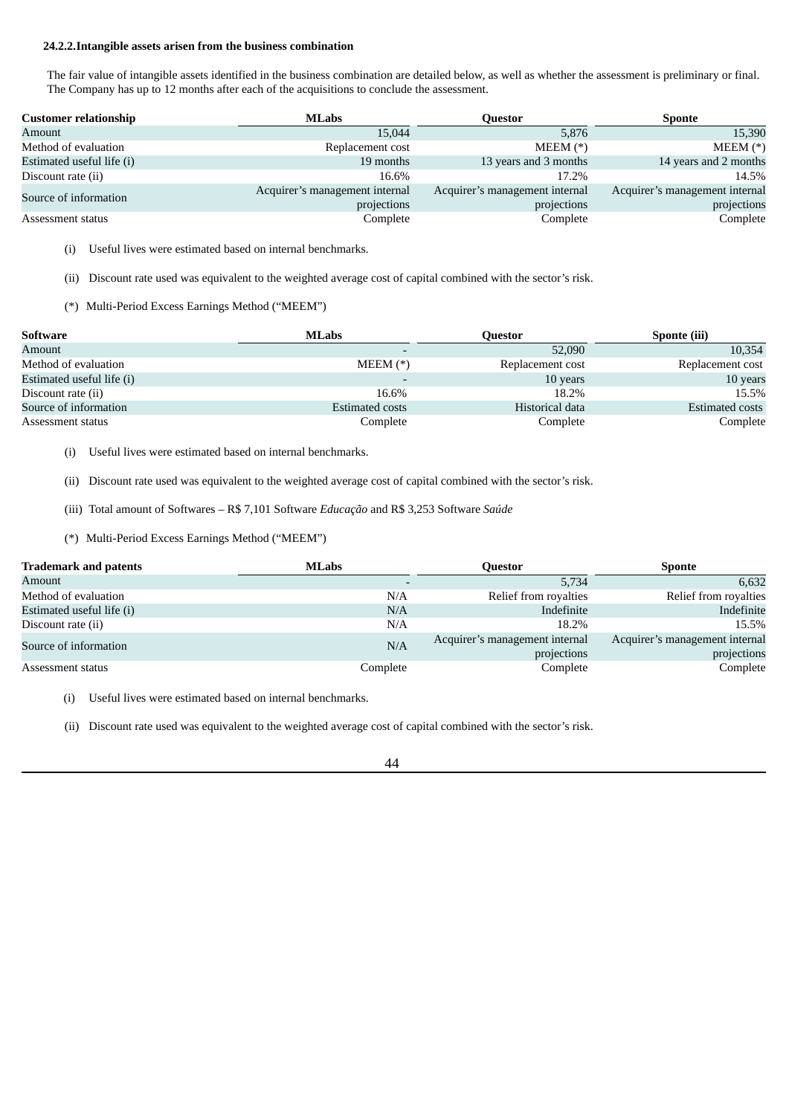### **24.2.2.Intangible assets arisen from the business combination**

The fair value of intangible assets identified in the business combination are detailed below, as well as whether the assessment is preliminary or final. The Company has up to 12 months after each of the acquisitions to conclude the assessment.

| <b>Customer relationship</b> | <b>MLabs</b>                   | Ouestor                        | <b>Sponte</b>                  |
|------------------------------|--------------------------------|--------------------------------|--------------------------------|
| Amount                       | 15,044                         | 5,876                          | 15,390                         |
| Method of evaluation         | Replacement cost               | $MEEM(*)$                      | $MEEM (*)$                     |
| Estimated useful life (i)    | 19 months                      | 13 years and 3 months          | 14 years and 2 months          |
| Discount rate (ii)           | 16.6%                          | 17.2%                          | 14.5%                          |
| Source of information        | Acquirer's management internal | Acquirer's management internal | Acquirer's management internal |
|                              | projections                    | projections                    | projections                    |
| Assessment status            | Complete                       | Complete                       | Complete                       |

(i) Useful lives were estimated based on internal benchmarks.

(ii) Discount rate used was equivalent to the weighted average cost of capital combined with the sector's risk.

(\*) Multi-Period Excess Earnings Method ("MEEM")

| Software                  | <b>MLabs</b>             | Ouestor          | Sponte (iii)     |
|---------------------------|--------------------------|------------------|------------------|
| Amount                    | $\overline{\phantom{a}}$ | 52,090           | 10,354           |
| Method of evaluation      | $MEEM (*)$               | Replacement cost | Replacement cost |
| Estimated useful life (i) | $\overline{\phantom{0}}$ | 10 years         | 10 years         |
| Discount rate (ii)        | 16.6%                    | 18.2%            | 15.5%            |
| Source of information     | Estimated costs          | Historical data  | Estimated costs  |
| Assessment status         | Complete                 | Complete         | Complete         |

(i) Useful lives were estimated based on internal benchmarks.

(ii) Discount rate used was equivalent to the weighted average cost of capital combined with the sector's risk.

(iii) Total amount of Softwares – R\$ 7,101 Software *Educação* and R\$ 3,253 Software *Saúde*

(\*) Multi-Period Excess Earnings Method ("MEEM")

| <b>Trademark and patents</b> | <b>MLabs</b> | Ouestor                        | <b>Sponte</b>                  |
|------------------------------|--------------|--------------------------------|--------------------------------|
| Amount                       |              | 5,734                          | 6,632                          |
| Method of evaluation         | N/A          | Relief from royalties          | Relief from royalties          |
| Estimated useful life (i)    | N/A          | Indefinite                     | Indefinite                     |
| Discount rate (ii)           | N/A          | 18.2%                          | 15.5%                          |
| Source of information        | N/A          | Acquirer's management internal | Acquirer's management internal |
|                              |              | projections                    | projections                    |
| Assessment status            | Complete     | Complete                       | Complete                       |

(i) Useful lives were estimated based on internal benchmarks.

(ii) Discount rate used was equivalent to the weighted average cost of capital combined with the sector's risk.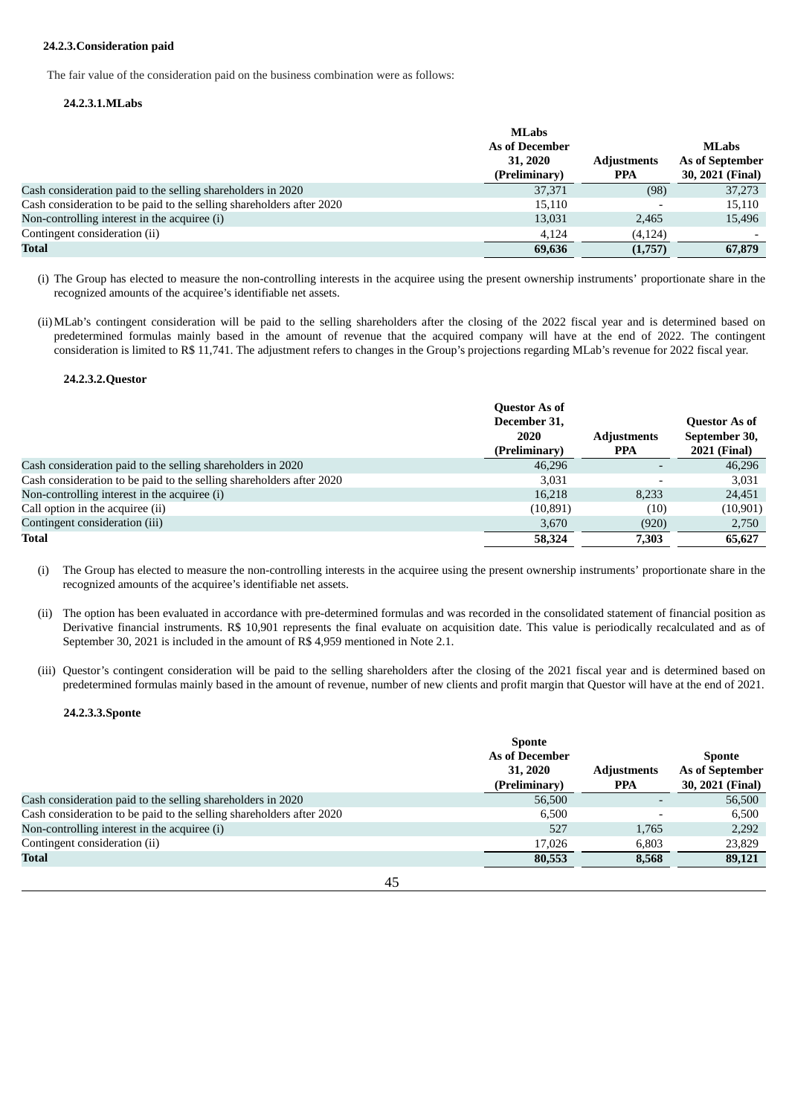### **24.2.3.Consideration paid**

The fair value of the consideration paid on the business combination were as follows:

### **24.2.3.1.MLabs**

|                                                                      | <b>MLabs</b>          |                    |                        |
|----------------------------------------------------------------------|-----------------------|--------------------|------------------------|
|                                                                      | <b>As of December</b> |                    | <b>MLabs</b>           |
|                                                                      | 31, 2020              | <b>Adjustments</b> | <b>As of September</b> |
|                                                                      | (Preliminary)         | <b>PPA</b>         | 30, 2021 (Final)       |
| Cash consideration paid to the selling shareholders in 2020          | 37,371                | (98)               | 37,273                 |
| Cash consideration to be paid to the selling shareholders after 2020 | 15,110                |                    | 15,110                 |
| Non-controlling interest in the acquiree (i)                         | 13,031                | 2,465              | 15,496                 |
| Contingent consideration (ii)                                        | 4.124                 | (4, 124)           |                        |
| Total                                                                | 69,636                | (1,757)            | 67,879                 |

(i) The Group has elected to measure the non-controlling interests in the acquiree using the present ownership instruments' proportionate share in the recognized amounts of the acquiree's identifiable net assets.

(ii)MLab's contingent consideration will be paid to the selling shareholders after the closing of the 2022 fiscal year and is determined based on predetermined formulas mainly based in the amount of revenue that the acquired company will have at the end of 2022. The contingent consideration is limited to R\$ 11,741. The adjustment refers to changes in the Group's projections regarding MLab's revenue for 2022 fiscal year.

#### **24.2.3.2.Questor**

|                                                                      | <b>Questor As of</b><br>December 31,<br>2020<br>(Preliminary) | <b>Adjustments</b><br><b>PPA</b> | <b>Questor As of</b><br>September 30,<br><b>2021 (Final)</b> |
|----------------------------------------------------------------------|---------------------------------------------------------------|----------------------------------|--------------------------------------------------------------|
| Cash consideration paid to the selling shareholders in 2020          | 46,296                                                        |                                  | 46,296                                                       |
| Cash consideration to be paid to the selling shareholders after 2020 | 3,031                                                         |                                  | 3,031                                                        |
| Non-controlling interest in the acquiree (i)                         | 16,218                                                        | 8.233                            | 24,451                                                       |
| Call option in the acquiree (ii)                                     | (10, 891)                                                     | (10)                             | (10, 901)                                                    |
| Contingent consideration (iii)                                       | 3,670                                                         | (920)                            | 2,750                                                        |
| Total                                                                | 58,324                                                        | 7,303                            | 65,627                                                       |

(i) The Group has elected to measure the non-controlling interests in the acquiree using the present ownership instruments' proportionate share in the recognized amounts of the acquiree's identifiable net assets.

- (ii) The option has been evaluated in accordance with pre-determined formulas and was recorded in the consolidated statement of financial position as Derivative financial instruments. R\$ 10,901 represents the final evaluate on acquisition date. This value is periodically recalculated and as of September 30, 2021 is included in the amount of R\$ 4,959 mentioned in Note 2.1.
- (iii) Questor's contingent consideration will be paid to the selling shareholders after the closing of the 2021 fiscal year and is determined based on predetermined formulas mainly based in the amount of revenue, number of new clients and profit margin that Questor will have at the end of 2021.

#### **24.2.3.3.Sponte**

|                                                                      | <b>Sponte</b>         |                    |                  |
|----------------------------------------------------------------------|-----------------------|--------------------|------------------|
|                                                                      | <b>As of December</b> |                    |                  |
|                                                                      | 31, 2020              | <b>Adjustments</b> | As of September  |
|                                                                      | (Preliminary)         | <b>PPA</b>         | 30, 2021 (Final) |
| Cash consideration paid to the selling shareholders in 2020          | 56,500                |                    | 56,500           |
| Cash consideration to be paid to the selling shareholders after 2020 | 6.500                 |                    | 6.500            |
| Non-controlling interest in the acquiree (i)                         | 527                   | 1.765              | 2,292            |
| Contingent consideration (ii)                                        | 17.026                | 6,803              | 23,829           |
| <b>Total</b>                                                         | 80,553                | 8,568              | 89,121           |
|                                                                      |                       |                    |                  |